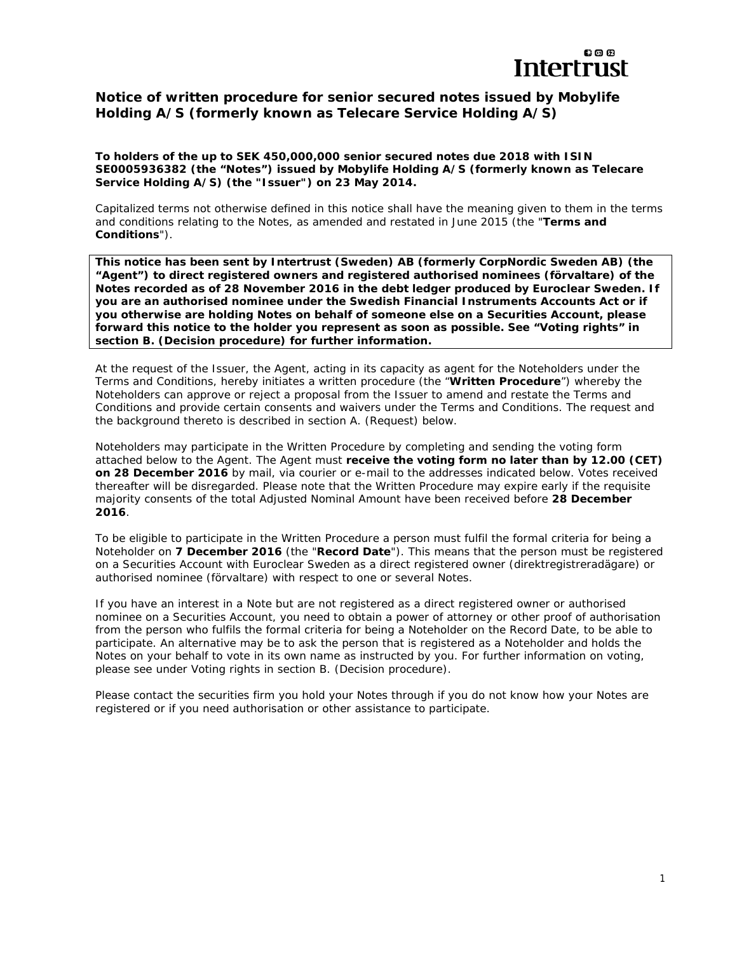

# **Notice of written procedure for senior secured notes issued by Mobylife Holding A/S (formerly known as Telecare Service Holding A/S)**

**To holders of the up to SEK 450,000,000 senior secured notes due 2018 with ISIN SE0005936382 (the "Notes") issued by Mobylife Holding A/S (formerly known as Telecare Service Holding A/S) (the "Issuer") on 23 May 2014.** 

*Capitalized terms not otherwise defined in this notice shall have the meaning given to them in the terms and conditions relating to the Notes, as amended and restated in June 2015 (the "Terms and Conditions").*

**This notice has been sent by Intertrust (Sweden) AB (formerly CorpNordic Sweden AB) (the "Agent") to direct registered owners and registered authorised nominees (***förvaltare***) of the Notes recorded as of 28 November 2016 in the debt ledger produced by Euroclear Sweden. If you are an authorised nominee under the Swedish Financial Instruments Accounts Act or if you otherwise are holding Notes on behalf of someone else on a Securities Account, please forward this notice to the holder you represent as soon as possible. See "Voting rights" in section B. (***Decision procedure***) for further information.**

At the request of the Issuer, the Agent, acting in its capacity as agent for the Noteholders under the Terms and Conditions, hereby initiates a written procedure (the "**Written Procedure**") whereby the Noteholders can approve or reject a proposal from the Issuer to amend and restate the Terms and Conditions and provide certain consents and waivers under the Terms and Conditions. The request and the background thereto is described in section A. *(Request)* below.

Noteholders may participate in the Written Procedure by completing and sending the voting form attached below to the Agent. The Agent must **receive the voting form no later than by 12.00 (CET) on 28 December 2016** by mail, via courier or e-mail to the addresses indicated below. Votes received thereafter will be disregarded. Please note that the Written Procedure may expire early if the requisite majority consents of the total Adjusted Nominal Amount have been received before **28 December 2016**.

To be eligible to participate in the Written Procedure a person must fulfil the formal criteria for being a Noteholder on **7 December 2016** (the "**Record Date**"). This means that the person must be registered on a Securities Account with Euroclear Sweden as a direct registered owner *(direktregistreradägare)* or authorised nominee *(förvaltare)* with respect to one or several Notes.

If you have an interest in a Note but are not registered as a direct registered owner or authorised nominee on a Securities Account, you need to obtain a power of attorney or other proof of authorisation from the person who fulfils the formal criteria for being a Noteholder on the Record Date, to be able to participate. An alternative may be to ask the person that is registered as a Noteholder and holds the Notes on your behalf to vote in its own name as instructed by you. For further information on voting, please see under *Voting rights* in section B. *(Decision procedure).* 

Please contact the securities firm you hold your Notes through if you do not know how your Notes are registered or if you need authorisation or other assistance to participate.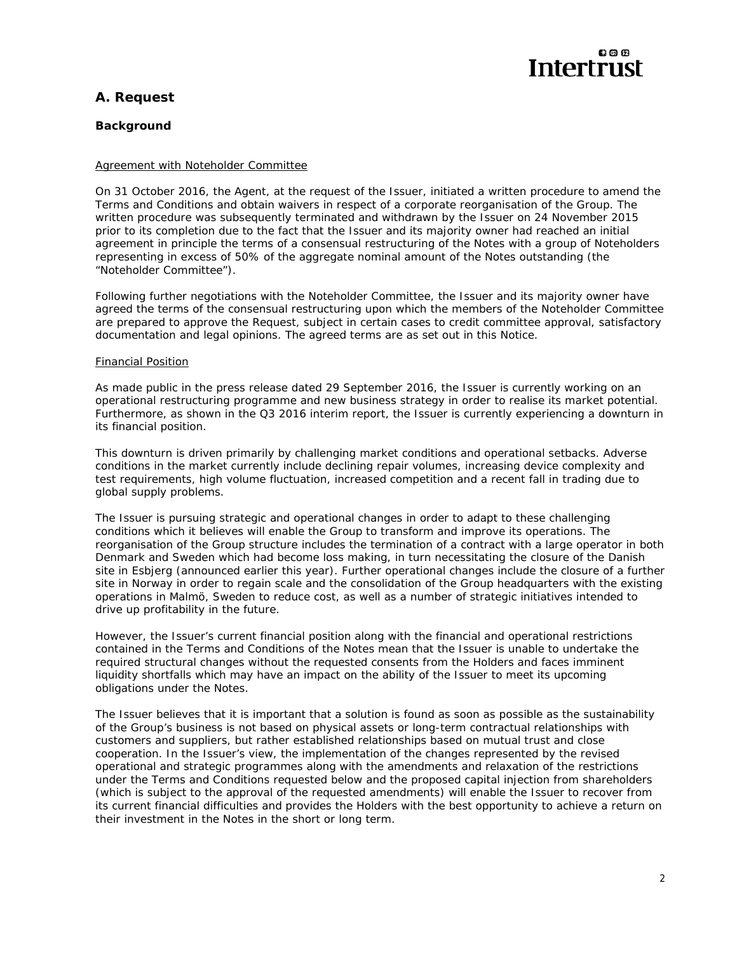# இதை **Intertrust**

# **A. Request**

# *Background*

# *Agreement with Noteholder Committee*

On 31 October 2016, the Agent, at the request of the Issuer, initiated a written procedure to amend the Terms and Conditions and obtain waivers in respect of a corporate reorganisation of the Group. The written procedure was subsequently terminated and withdrawn by the Issuer on 24 November 2015 prior to its completion due to the fact that the Issuer and its majority owner had reached an initial agreement in principle the terms of a consensual restructuring of the Notes with a group of Noteholders representing in excess of 50% of the aggregate nominal amount of the Notes outstanding (the "Noteholder Committee").

Following further negotiations with the Noteholder Committee, the Issuer and its majority owner have agreed the terms of the consensual restructuring upon which the members of the Noteholder Committee are prepared to approve the Request, subject in certain cases to credit committee approval, satisfactory documentation and legal opinions. The agreed terms are as set out in this Notice.

#### *Financial Position*

As made public in the press release dated 29 September 2016, the Issuer is currently working on an operational restructuring programme and new business strategy in order to realise its market potential. Furthermore, as shown in the Q3 2016 interim report, the Issuer is currently experiencing a downturn in its financial position.

This downturn is driven primarily by challenging market conditions and operational setbacks. Adverse conditions in the market currently include declining repair volumes, increasing device complexity and test requirements, high volume fluctuation, increased competition and a recent fall in trading due to global supply problems.

The Issuer is pursuing strategic and operational changes in order to adapt to these challenging conditions which it believes will enable the Group to transform and improve its operations. The reorganisation of the Group structure includes the termination of a contract with a large operator in both Denmark and Sweden which had become loss making, in turn necessitating the closure of the Danish site in Esbjerg (announced earlier this year). Further operational changes include the closure of a further site in Norway in order to regain scale and the consolidation of the Group headquarters with the existing operations in Malmö, Sweden to reduce cost, as well as a number of strategic initiatives intended to drive up profitability in the future.

However, the Issuer's current financial position along with the financial and operational restrictions contained in the Terms and Conditions of the Notes mean that the Issuer is unable to undertake the required structural changes without the requested consents from the Holders and faces imminent liquidity shortfalls which may have an impact on the ability of the Issuer to meet its upcoming obligations under the Notes.

The Issuer believes that it is important that a solution is found as soon as possible as the sustainability of the Group's business is not based on physical assets or long-term contractual relationships with customers and suppliers, but rather established relationships based on mutual trust and close cooperation. In the Issuer's view, the implementation of the changes represented by the revised operational and strategic programmes along with the amendments and relaxation of the restrictions under the Terms and Conditions requested below and the proposed capital injection from shareholders (which is subject to the approval of the requested amendments) will enable the Issuer to recover from its current financial difficulties and provides the Holders with the best opportunity to achieve a return on their investment in the Notes in the short or long term.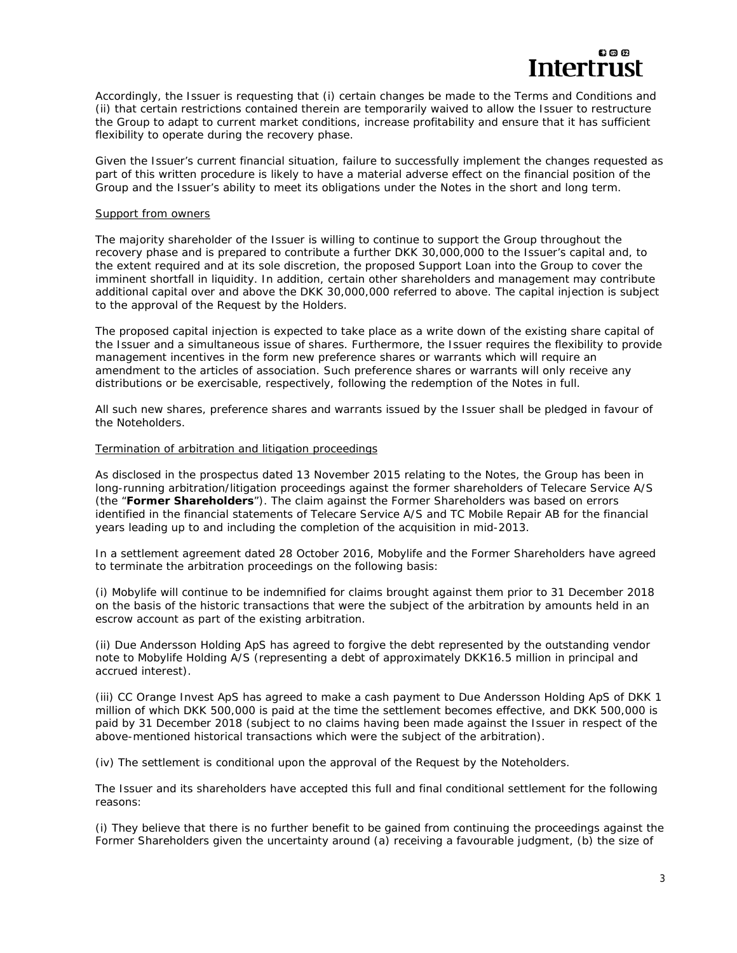

Accordingly, the Issuer is requesting that (i) certain changes be made to the Terms and Conditions and (ii) that certain restrictions contained therein are temporarily waived to allow the Issuer to restructure the Group to adapt to current market conditions, increase profitability and ensure that it has sufficient flexibility to operate during the recovery phase.

Given the Issuer's current financial situation, failure to successfully implement the changes requested as part of this written procedure is likely to have a material adverse effect on the financial position of the Group and the Issuer's ability to meet its obligations under the Notes in the short and long term.

#### *Support from owners*

The majority shareholder of the Issuer is willing to continue to support the Group throughout the recovery phase and is prepared to contribute a further DKK 30,000,000 to the Issuer's capital and, to the extent required and at its sole discretion, the proposed Support Loan into the Group to cover the imminent shortfall in liquidity. In addition, certain other shareholders and management may contribute additional capital over and above the DKK 30,000,000 referred to above. The capital injection is subject to the approval of the Request by the Holders.

The proposed capital injection is expected to take place as a write down of the existing share capital of the Issuer and a simultaneous issue of shares. Furthermore, the Issuer requires the flexibility to provide management incentives in the form new preference shares or warrants which will require an amendment to the articles of association. Such preference shares or warrants will only receive any distributions or be exercisable, respectively, following the redemption of the Notes in full.

All such new shares, preference shares and warrants issued by the Issuer shall be pledged in favour of the Noteholders.

### *Termination of arbitration and litigation proceedings*

As disclosed in the prospectus dated 13 November 2015 relating to the Notes, the Group has been in long-running arbitration/litigation proceedings against the former shareholders of Telecare Service A/S (the "**Former Shareholders**"). The claim against the Former Shareholders was based on errors identified in the financial statements of Telecare Service A/S and TC Mobile Repair AB for the financial years leading up to and including the completion of the acquisition in mid-2013.

In a settlement agreement dated 28 October 2016, Mobylife and the Former Shareholders have agreed to terminate the arbitration proceedings on the following basis:

(i) Mobylife will continue to be indemnified for claims brought against them prior to 31 December 2018 on the basis of the historic transactions that were the subject of the arbitration by amounts held in an escrow account as part of the existing arbitration.

(ii) Due Andersson Holding ApS has agreed to forgive the debt represented by the outstanding vendor note to Mobylife Holding A/S (representing a debt of approximately DKK16.5 million in principal and accrued interest).

(iii) CC Orange Invest ApS has agreed to make a cash payment to Due Andersson Holding ApS of DKK 1 million of which DKK 500,000 is paid at the time the settlement becomes effective, and DKK 500,000 is paid by 31 December 2018 (subject to no claims having been made against the Issuer in respect of the above-mentioned historical transactions which were the subject of the arbitration).

(iv) The settlement is conditional upon the approval of the Request by the Noteholders.

The Issuer and its shareholders have accepted this full and final conditional settlement for the following reasons:

(i) They believe that there is no further benefit to be gained from continuing the proceedings against the Former Shareholders given the uncertainty around (a) receiving a favourable judgment, (b) the size of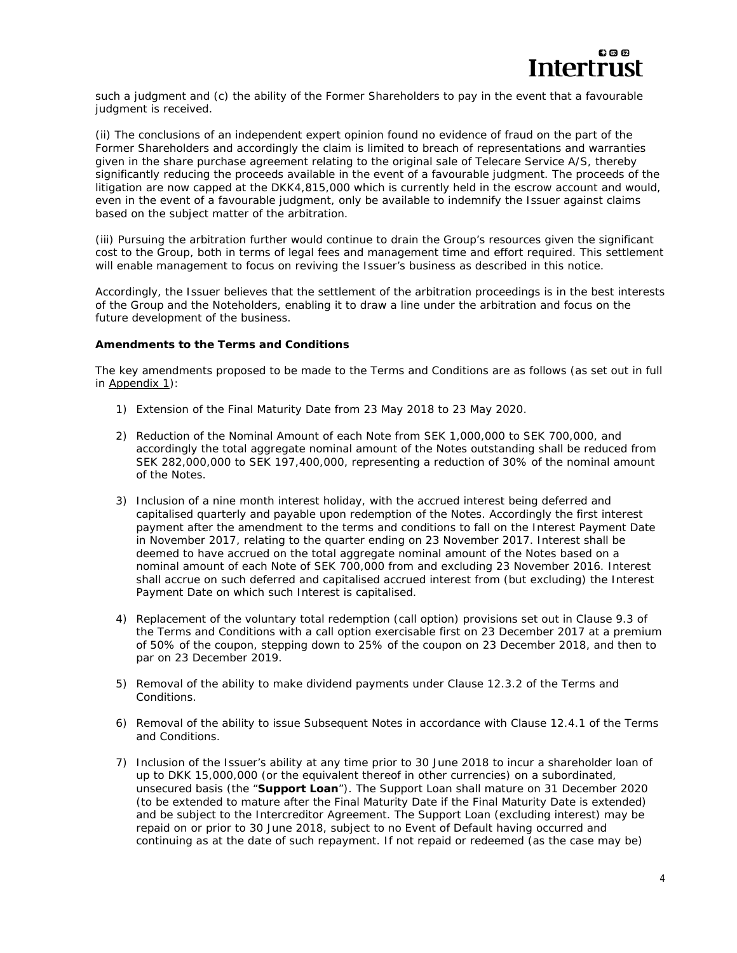

such a judgment and (c) the ability of the Former Shareholders to pay in the event that a favourable judgment is received.

(ii) The conclusions of an independent expert opinion found no evidence of fraud on the part of the Former Shareholders and accordingly the claim is limited to breach of representations and warranties given in the share purchase agreement relating to the original sale of Telecare Service A/S, thereby significantly reducing the proceeds available in the event of a favourable judgment. The proceeds of the litigation are now capped at the DKK4,815,000 which is currently held in the escrow account and would, even in the event of a favourable judgment, only be available to indemnify the Issuer against claims based on the subject matter of the arbitration.

(iii) Pursuing the arbitration further would continue to drain the Group's resources given the significant cost to the Group, both in terms of legal fees and management time and effort required. This settlement will enable management to focus on reviving the Issuer's business as described in this notice.

Accordingly, the Issuer believes that the settlement of the arbitration proceedings is in the best interests of the Group and the Noteholders, enabling it to draw a line under the arbitration and focus on the future development of the business.

#### *Amendments to the Terms and Conditions*

The key amendments proposed to be made to the Terms and Conditions are as follows (as set out in full in Appendix 1):

- 1) Extension of the Final Maturity Date from 23 May 2018 to 23 May 2020.
- 2) Reduction of the Nominal Amount of each Note from SEK 1,000,000 to SEK 700,000, and accordingly the total aggregate nominal amount of the Notes outstanding shall be reduced from SEK 282,000,000 to SEK 197,400,000, representing a reduction of 30% of the nominal amount of the Notes.
- 3) Inclusion of a nine month interest holiday, with the accrued interest being deferred and capitalised quarterly and payable upon redemption of the Notes. Accordingly the first interest payment after the amendment to the terms and conditions to fall on the Interest Payment Date in November 2017, relating to the quarter ending on 23 November 2017. Interest shall be deemed to have accrued on the total aggregate nominal amount of the Notes based on a nominal amount of each Note of SEK 700,000 from and excluding 23 November 2016. Interest shall accrue on such deferred and capitalised accrued interest from (but excluding) the Interest Payment Date on which such Interest is capitalised.
- 4) Replacement of the voluntary total redemption (call option) provisions set out in Clause 9.3 of the Terms and Conditions with a call option exercisable first on 23 December 2017 at a premium of 50% of the coupon, stepping down to 25% of the coupon on 23 December 2018, and then to par on 23 December 2019.
- 5) Removal of the ability to make dividend payments under Clause 12.3.2 of the Terms and Conditions.
- 6) Removal of the ability to issue Subsequent Notes in accordance with Clause 12.4.1 of the Terms and Conditions.
- 7) Inclusion of the Issuer's ability at any time prior to 30 June 2018 to incur a shareholder loan of up to DKK 15,000,000 (or the equivalent thereof in other currencies) on a subordinated, unsecured basis (the "**Support Loan**"). The Support Loan shall mature on 31 December 2020 (to be extended to mature after the Final Maturity Date if the Final Maturity Date is extended) and be subject to the Intercreditor Agreement. The Support Loan (excluding interest) may be repaid on or prior to 30 June 2018, subject to no Event of Default having occurred and continuing as at the date of such repayment. If not repaid or redeemed (as the case may be)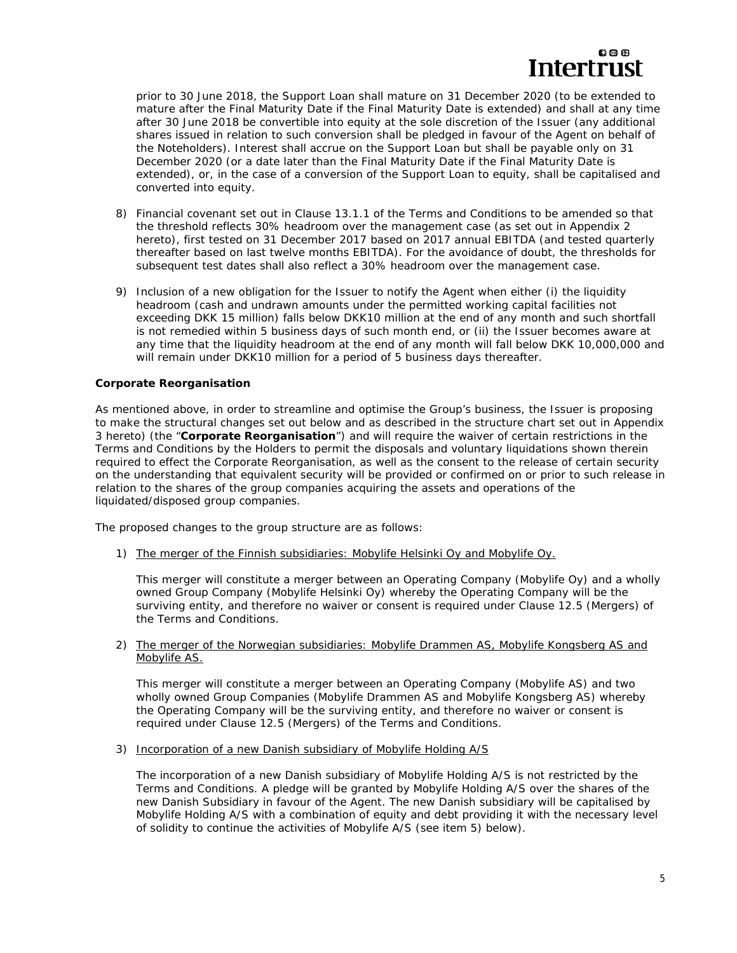# **ස** ග ශ Intertrust

prior to 30 June 2018, the Support Loan shall mature on 31 December 2020 (to be extended to mature after the Final Maturity Date if the Final Maturity Date is extended) and shall at any time after 30 June 2018 be convertible into equity at the sole discretion of the Issuer (any additional shares issued in relation to such conversion shall be pledged in favour of the Agent on behalf of the Noteholders). Interest shall accrue on the Support Loan but shall be payable only on 31 December 2020 (or a date later than the Final Maturity Date if the Final Maturity Date is extended), or, in the case of a conversion of the Support Loan to equity, shall be capitalised and converted into equity.

- 8) Financial covenant set out in Clause 13.1.1 of the Terms and Conditions to be amended so that the threshold reflects 30% headroom over the management case (as set out in Appendix 2 hereto), first tested on 31 December 2017 based on 2017 annual EBITDA (and tested quarterly thereafter based on last twelve months EBITDA). For the avoidance of doubt, the thresholds for subsequent test dates shall also reflect a 30% headroom over the management case.
- 9) Inclusion of a new obligation for the Issuer to notify the Agent when either (i) the liquidity headroom (cash and undrawn amounts under the permitted working capital facilities not exceeding DKK 15 million) falls below DKK10 million at the end of any month and such shortfall is not remedied within 5 business days of such month end, or (ii) the Issuer becomes aware at any time that the liquidity headroom at the end of any month will fall below DKK 10,000,000 and will remain under DKK10 million for a period of 5 business days thereafter.

### *Corporate Reorganisation*

As mentioned above, in order to streamline and optimise the Group's business, the Issuer is proposing to make the structural changes set out below and as described in the structure chart set out in Appendix 3 hereto) (the "**Corporate Reorganisation**") and will require the waiver of certain restrictions in the Terms and Conditions by the Holders to permit the disposals and voluntary liquidations shown therein required to effect the Corporate Reorganisation, as well as the consent to the release of certain security on the understanding that equivalent security will be provided or confirmed on or prior to such release in relation to the shares of the group companies acquiring the assets and operations of the liquidated/disposed group companies.

The proposed changes to the group structure are as follows:

1) The merger of the Finnish subsidiaries: Mobylife Helsinki Oy and Mobylife Oy.

This merger will constitute a merger between an Operating Company (Mobylife Oy) and a wholly owned Group Company (Mobylife Helsinki Oy) whereby the Operating Company will be the surviving entity, and therefore no waiver or consent is required under Clause 12.5 (*Mergers*) of the Terms and Conditions.

2) The merger of the Norwegian subsidiaries: Mobylife Drammen AS, Mobylife Kongsberg AS and Mobylife AS.

This merger will constitute a merger between an Operating Company (Mobylife AS) and two wholly owned Group Companies (Mobylife Drammen AS and Mobylife Kongsberg AS) whereby the Operating Company will be the surviving entity, and therefore no waiver or consent is required under Clause 12.5 (*Mergers*) of the Terms and Conditions.

3) Incorporation of a new Danish subsidiary of Mobylife Holding A/S

The incorporation of a new Danish subsidiary of Mobylife Holding A/S is not restricted by the Terms and Conditions. A pledge will be granted by Mobylife Holding A/S over the shares of the new Danish Subsidiary in favour of the Agent. The new Danish subsidiary will be capitalised by Mobylife Holding A/S with a combination of equity and debt providing it with the necessary level of solidity to continue the activities of Mobylife A/S (see item 5) below).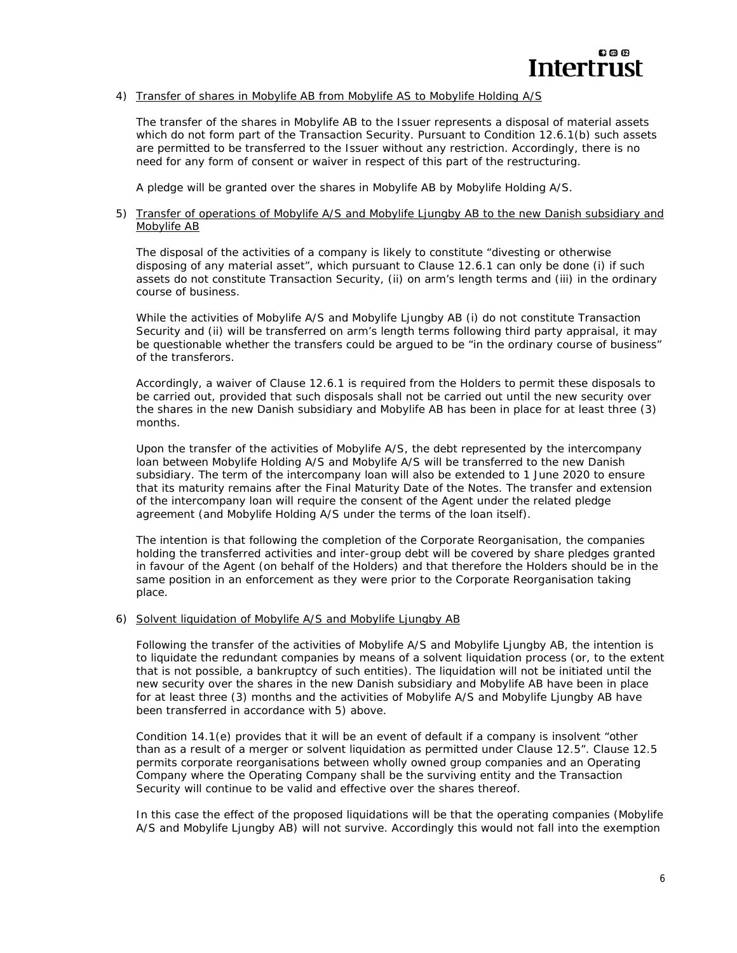#### 4) Transfer of shares in Mobylife AB from Mobylife AS to Mobylife Holding A/S

The transfer of the shares in Mobylife AB to the Issuer represents a disposal of material assets which do not form part of the Transaction Security. Pursuant to Condition 12.6.1(b) such assets are permitted to be transferred to the Issuer without any restriction. Accordingly, there is no need for any form of consent or waiver in respect of this part of the restructuring.

A pledge will be granted over the shares in Mobylife AB by Mobylife Holding A/S.

#### 5) Transfer of operations of Mobylife A/S and Mobylife Ljungby AB to the new Danish subsidiary and Mobylife AB

The disposal of the activities of a company is likely to constitute "divesting or otherwise disposing of any material asset", which pursuant to Clause 12.6.1 can only be done (i) if such assets do not constitute Transaction Security, (ii) on arm's length terms and (iii) in the ordinary course of business.

While the activities of Mobylife A/S and Mobylife Ljungby AB (i) do not constitute Transaction Security and (ii) will be transferred on arm's length terms following third party appraisal, it may be questionable whether the transfers could be argued to be "in the ordinary course of business" of the transferors.

Accordingly, a waiver of Clause 12.6.1 is required from the Holders to permit these disposals to be carried out, provided that such disposals shall not be carried out until the new security over the shares in the new Danish subsidiary and Mobylife AB has been in place for at least three (3) months.

Upon the transfer of the activities of Mobylife A/S, the debt represented by the intercompany loan between Mobylife Holding A/S and Mobylife A/S will be transferred to the new Danish subsidiary. The term of the intercompany loan will also be extended to 1 June 2020 to ensure that its maturity remains after the Final Maturity Date of the Notes. The transfer and extension of the intercompany loan will require the consent of the Agent under the related pledge agreement (and Mobylife Holding A/S under the terms of the loan itself).

The intention is that following the completion of the Corporate Reorganisation, the companies holding the transferred activities and inter-group debt will be covered by share pledges granted in favour of the Agent (on behalf of the Holders) and that therefore the Holders should be in the same position in an enforcement as they were prior to the Corporate Reorganisation taking place.

#### 6) Solvent liquidation of Mobylife A/S and Mobylife Ljungby AB

Following the transfer of the activities of Mobylife A/S and Mobylife Ljungby AB, the intention is to liquidate the redundant companies by means of a solvent liquidation process (or, to the extent that is not possible, a bankruptcy of such entities). The liquidation will not be initiated until the new security over the shares in the new Danish subsidiary and Mobylife AB have been in place for at least three (3) months and the activities of Mobylife A/S and Mobylife Ljungby AB have been transferred in accordance with 5) above.

Condition 14.1(e) provides that it will be an event of default if a company is insolvent "other than as a result of a merger or solvent liquidation as permitted under Clause 12.5". Clause 12.5 permits corporate reorganisations between wholly owned group companies and an Operating Company where the Operating Company shall be the surviving entity and the Transaction Security will continue to be valid and effective over the shares thereof.

In this case the effect of the proposed liquidations will be that the operating companies (Mobylife A/S and Mobylife Ljungby AB) will not survive. Accordingly this would not fall into the exemption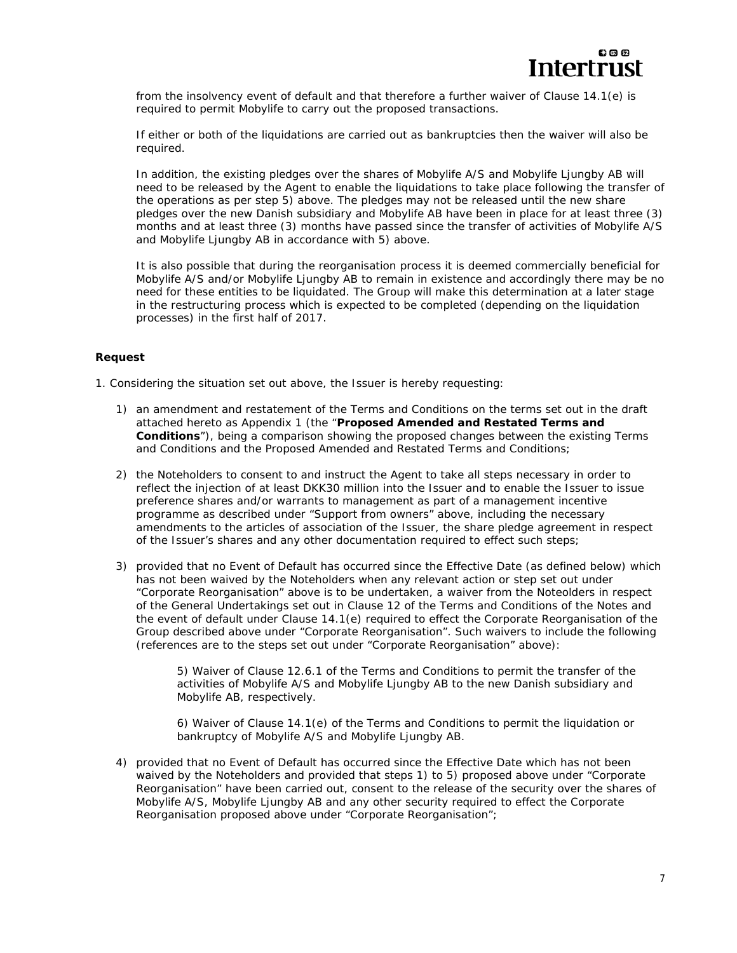from the insolvency event of default and that therefore a further waiver of Clause 14.1(e) is required to permit Mobylife to carry out the proposed transactions.

If either or both of the liquidations are carried out as bankruptcies then the waiver will also be required.

In addition, the existing pledges over the shares of Mobylife A/S and Mobylife Ljungby AB will need to be released by the Agent to enable the liquidations to take place following the transfer of the operations as per step 5) above. The pledges may not be released until the new share pledges over the new Danish subsidiary and Mobylife AB have been in place for at least three (3) months and at least three (3) months have passed since the transfer of activities of Mobylife A/S and Mobylife Ljungby AB in accordance with 5) above.

It is also possible that during the reorganisation process it is deemed commercially beneficial for Mobylife A/S and/or Mobylife Ljungby AB to remain in existence and accordingly there may be no need for these entities to be liquidated. The Group will make this determination at a later stage in the restructuring process which is expected to be completed (depending on the liquidation processes) in the first half of 2017.

#### *Request*

1. Considering the situation set out above, the Issuer is hereby requesting:

- 1) an amendment and restatement of the Terms and Conditions on the terms set out in the draft attached hereto as Appendix 1 (the "**Proposed Amended and Restated Terms and Conditions**"), being a comparison showing the proposed changes between the existing Terms and Conditions and the Proposed Amended and Restated Terms and Conditions;
- 2) the Noteholders to consent to and instruct the Agent to take all steps necessary in order to reflect the injection of at least DKK30 million into the Issuer and to enable the Issuer to issue preference shares and/or warrants to management as part of a management incentive programme as described under "*Support from owners*" above, including the necessary amendments to the articles of association of the Issuer, the share pledge agreement in respect of the Issuer's shares and any other documentation required to effect such steps;
- 3) provided that no Event of Default has occurred since the Effective Date (as defined below) which has not been waived by the Noteholders when any relevant action or step set out under "*Corporate Reorganisation*" above is to be undertaken, a waiver from the Noteolders in respect of the General Undertakings set out in Clause 12 of the Terms and Conditions of the Notes and the event of default under Clause 14.1(e) required to effect the Corporate Reorganisation of the Group described above under "*Corporate Reorganisation*". Such waivers to include the following (references are to the steps set out under "*Corporate Reorganisation*" above):

5) Waiver of Clause 12.6.1 of the Terms and Conditions to permit the transfer of the activities of Mobylife A/S and Mobylife Ljungby AB to the new Danish subsidiary and Mobylife AB, respectively.

6) Waiver of Clause 14.1(e) of the Terms and Conditions to permit the liquidation or bankruptcy of Mobylife A/S and Mobylife Ljungby AB.

4) provided that no Event of Default has occurred since the Effective Date which has not been waived by the Noteholders and provided that steps 1) to 5) proposed above under "*Corporate Reorganisation*" have been carried out, consent to the release of the security over the shares of Mobylife A/S, Mobylife Ljungby AB and any other security required to effect the Corporate Reorganisation proposed above under "*Corporate Reorganisation*";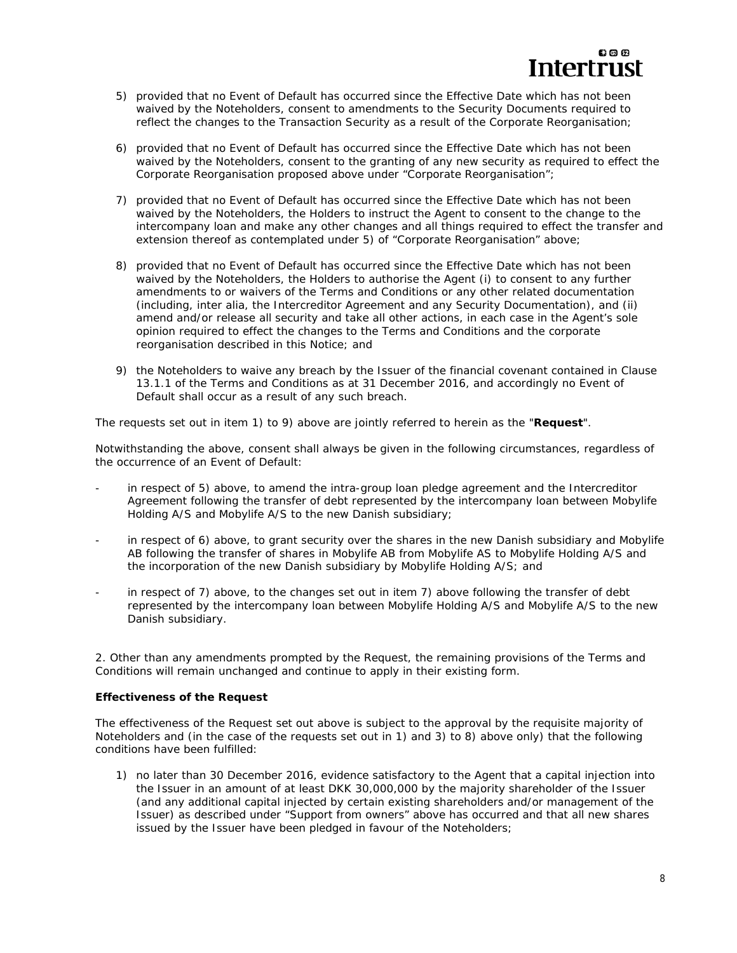- 5) provided that no Event of Default has occurred since the Effective Date which has not been waived by the Noteholders, consent to amendments to the Security Documents required to reflect the changes to the Transaction Security as a result of the Corporate Reorganisation;
- 6) provided that no Event of Default has occurred since the Effective Date which has not been waived by the Noteholders, consent to the granting of any new security as required to effect the Corporate Reorganisation proposed above under "*Corporate Reorganisation*";
- 7) provided that no Event of Default has occurred since the Effective Date which has not been waived by the Noteholders, the Holders to instruct the Agent to consent to the change to the intercompany loan and make any other changes and all things required to effect the transfer and extension thereof as contemplated under 5) of "*Corporate Reorganisation*" above;
- 8) provided that no Event of Default has occurred since the Effective Date which has not been waived by the Noteholders, the Holders to authorise the Agent (i) to consent to any further amendments to or waivers of the Terms and Conditions or any other related documentation (including, *inter alia*, the Intercreditor Agreement and any Security Documentation), and (ii) amend and/or release all security and take all other actions, in each case in the Agent's sole opinion required to effect the changes to the Terms and Conditions and the corporate reorganisation described in this Notice; and
- 9) the Noteholders to waive any breach by the Issuer of the financial covenant contained in Clause 13.1.1 of the Terms and Conditions as at 31 December 2016, and accordingly no Event of Default shall occur as a result of any such breach.

The requests set out in item 1) to 9) above are jointly referred to herein as the "**Request**".

Notwithstanding the above, consent shall always be given in the following circumstances, regardless of the occurrence of an Event of Default:

- in respect of 5) above, to amend the intra-group loan pledge agreement and the Intercreditor Agreement following the transfer of debt represented by the intercompany loan between Mobylife Holding A/S and Mobylife A/S to the new Danish subsidiary;
- in respect of 6) above, to grant security over the shares in the new Danish subsidiary and Mobylife AB following the transfer of shares in Mobylife AB from Mobylife AS to Mobylife Holding A/S and the incorporation of the new Danish subsidiary by Mobylife Holding A/S; and
- in respect of 7) above, to the changes set out in item 7) above following the transfer of debt represented by the intercompany loan between Mobylife Holding A/S and Mobylife A/S to the new Danish subsidiary.

2. Other than any amendments prompted by the Request, the remaining provisions of the Terms and Conditions will remain unchanged and continue to apply in their existing form.

# *Effectiveness of the Request*

The effectiveness of the Request set out above is subject to the approval by the requisite majority of Noteholders and (in the case of the requests set out in 1) and 3) to 8) above only) that the following conditions have been fulfilled:

1) no later than 30 December 2016, evidence satisfactory to the Agent that a capital injection into the Issuer in an amount of at least DKK 30,000,000 by the majority shareholder of the Issuer (and any additional capital injected by certain existing shareholders and/or management of the Issuer) as described under "*Support from owners*" above has occurred and that all new shares issued by the Issuer have been pledged in favour of the Noteholders;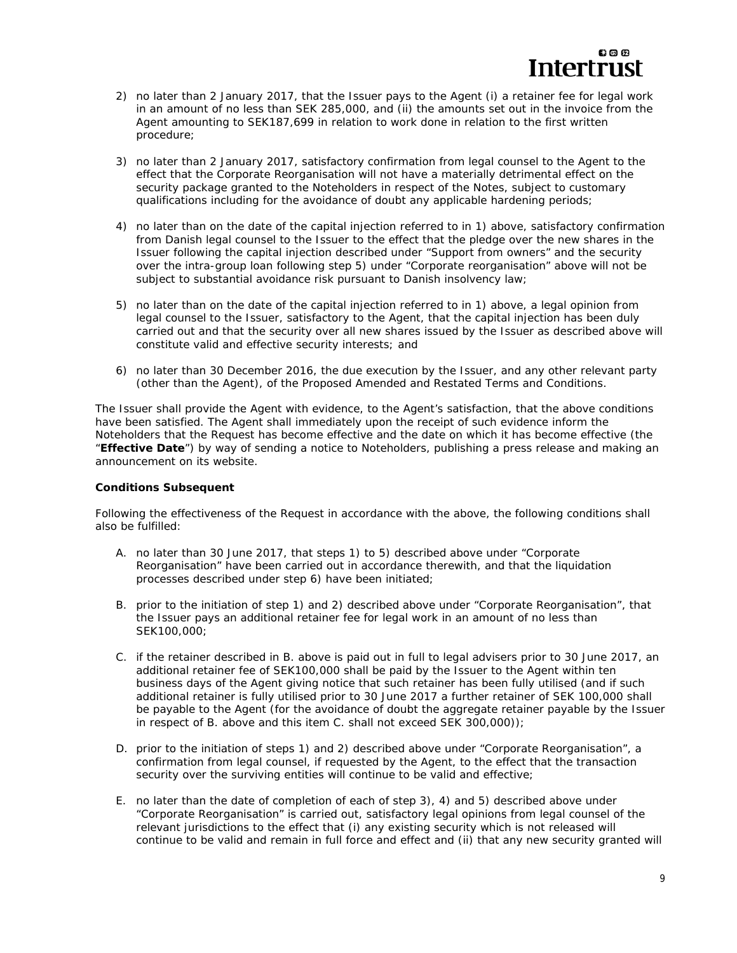

- 2) no later than 2 January 2017, that the Issuer pays to the Agent (i) a retainer fee for legal work in an amount of no less than SEK 285,000, and (ii) the amounts set out in the invoice from the Agent amounting to SEK187,699 in relation to work done in relation to the first written procedure;
- 3) no later than 2 January 2017, satisfactory confirmation from legal counsel to the Agent to the effect that the Corporate Reorganisation will not have a materially detrimental effect on the security package granted to the Noteholders in respect of the Notes, subject to customary qualifications including for the avoidance of doubt any applicable hardening periods;
- 4) no later than on the date of the capital injection referred to in 1) above, satisfactory confirmation from Danish legal counsel to the Issuer to the effect that the pledge over the new shares in the Issuer following the capital injection described under "Support from owners" and the security over the intra-group loan following step 5) under "Corporate reorganisation" above will not be subject to substantial avoidance risk pursuant to Danish insolvency law;
- 5) no later than on the date of the capital injection referred to in 1) above, a legal opinion from legal counsel to the Issuer, satisfactory to the Agent, that the capital injection has been duly carried out and that the security over all new shares issued by the Issuer as described above will constitute valid and effective security interests; and
- 6) no later than 30 December 2016, the due execution by the Issuer, and any other relevant party (other than the Agent), of the Proposed Amended and Restated Terms and Conditions.

The Issuer shall provide the Agent with evidence, to the Agent's satisfaction, that the above conditions have been satisfied. The Agent shall immediately upon the receipt of such evidence inform the Noteholders that the Request has become effective and the date on which it has become effective (the "**Effective Date**") by way of sending a notice to Noteholders, publishing a press release and making an announcement on its website.

#### *Conditions Subsequent*

Following the effectiveness of the Request in accordance with the above, the following conditions shall also be fulfilled:

- A. no later than 30 June 2017, that steps 1) to 5) described above under "*Corporate Reorganisation*" have been carried out in accordance therewith, and that the liquidation processes described under step 6) have been initiated;
- B. prior to the initiation of step 1) and 2) described above under "Corporate Reorganisation", that the Issuer pays an additional retainer fee for legal work in an amount of no less than SEK100,000;
- C. if the retainer described in B. above is paid out in full to legal advisers prior to 30 June 2017, an additional retainer fee of SEK100,000 shall be paid by the Issuer to the Agent within ten business days of the Agent giving notice that such retainer has been fully utilised (and if such additional retainer is fully utilised prior to 30 June 2017 a further retainer of SEK 100,000 shall be payable to the Agent (for the avoidance of doubt the aggregate retainer payable by the Issuer in respect of B. above and this item C. shall not exceed SEK 300,000));
- D. prior to the initiation of steps 1) and 2) described above under "*Corporate Reorganisation*", a confirmation from legal counsel, if requested by the Agent, to the effect that the transaction security over the surviving entities will continue to be valid and effective;
- E. no later than the date of completion of each of step 3), 4) and 5) described above under "*Corporate Reorganisation*" is carried out, satisfactory legal opinions from legal counsel of the relevant jurisdictions to the effect that (i) any existing security which is not released will continue to be valid and remain in full force and effect and (ii) that any new security granted will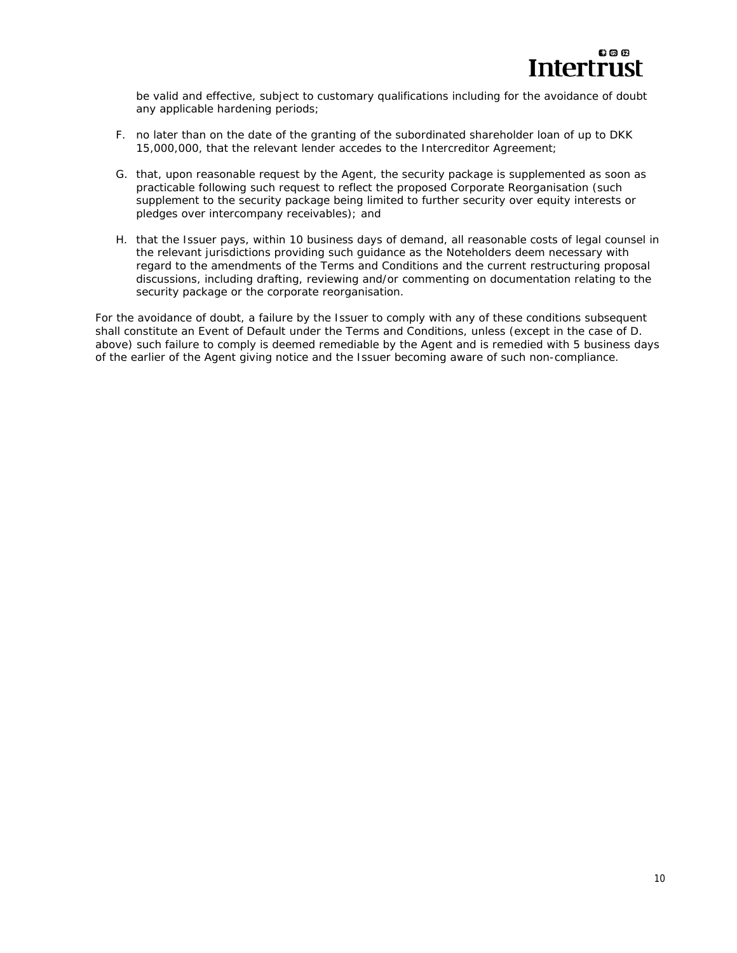

be valid and effective, subject to customary qualifications including for the avoidance of doubt any applicable hardening periods;

- F. no later than on the date of the granting of the subordinated shareholder loan of up to DKK 15,000,000, that the relevant lender accedes to the Intercreditor Agreement;
- G. that, upon reasonable request by the Agent, the security package is supplemented as soon as practicable following such request to reflect the proposed Corporate Reorganisation (such supplement to the security package being limited to further security over equity interests or pledges over intercompany receivables); and
- H. that the Issuer pays, within 10 business days of demand, all reasonable costs of legal counsel in the relevant jurisdictions providing such guidance as the Noteholders deem necessary with regard to the amendments of the Terms and Conditions and the current restructuring proposal discussions, including drafting, reviewing and/or commenting on documentation relating to the security package or the corporate reorganisation.

For the avoidance of doubt, a failure by the Issuer to comply with any of these conditions subsequent shall constitute an Event of Default under the Terms and Conditions, unless (except in the case of D. above) such failure to comply is deemed remediable by the Agent and is remedied with 5 business days of the earlier of the Agent giving notice and the Issuer becoming aware of such non-compliance.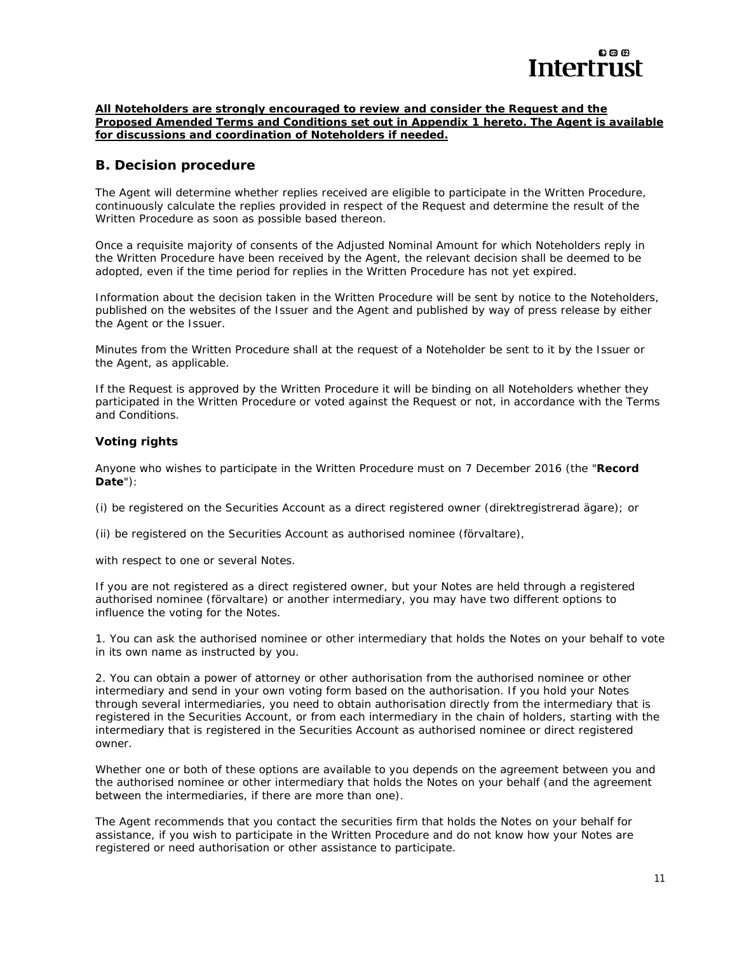

#### **All Noteholders are strongly encouraged to review and consider the Request and the Proposed Amended Terms and Conditions set out in Appendix 1 hereto. The Agent is available for discussions and coordination of Noteholders if needed.**

# **B. Decision procedure**

The Agent will determine whether replies received are eligible to participate in the Written Procedure, continuously calculate the replies provided in respect of the Request and determine the result of the Written Procedure as soon as possible based thereon.

Once a requisite majority of consents of the Adjusted Nominal Amount for which Noteholders reply in the Written Procedure have been received by the Agent, the relevant decision shall be deemed to be adopted, even if the time period for replies in the Written Procedure has not yet expired.

Information about the decision taken in the Written Procedure will be sent by notice to the Noteholders, published on the websites of the Issuer and the Agent and published by way of press release by either the Agent or the Issuer.

Minutes from the Written Procedure shall at the request of a Noteholder be sent to it by the Issuer or the Agent, as applicable.

If the Request is approved by the Written Procedure it will be binding on all Noteholders whether they participated in the Written Procedure or voted against the Request or not, in accordance with the Terms and Conditions.

### *Voting rights*

Anyone who wishes to participate in the Written Procedure must on 7 December 2016 (the "**Record Date**"):

(i) be registered on the Securities Account as a direct registered owner *(direktregistrerad ägare*); or

(ii) be registered on the Securities Account as authorised nominee *(förvaltare),* 

with respect to one or several Notes.

If you are not registered as a direct registered owner, but your Notes are held through a registered authorised nominee *(förvaltare)* or another intermediary, you may have two different options to influence the voting for the Notes.

1. You can ask the authorised nominee or other intermediary that holds the Notes on your behalf to vote in its own name as instructed by you.

2. You can obtain a power of attorney or other authorisation from the authorised nominee or other intermediary and send in your own voting form based on the authorisation. If you hold your Notes through several intermediaries, you need to obtain authorisation directly from the intermediary that is registered in the Securities Account, or from each intermediary in the chain of holders, starting with the intermediary that is registered in the Securities Account as authorised nominee or direct registered owner.

Whether one or both of these options are available to you depends on the agreement between you and the authorised nominee or other intermediary that holds the Notes on your behalf (and the agreement between the intermediaries, if there are more than one).

The Agent recommends that you contact the securities firm that holds the Notes on your behalf for assistance, if you wish to participate in the Written Procedure and do not know how your Notes are registered or need authorisation or other assistance to participate.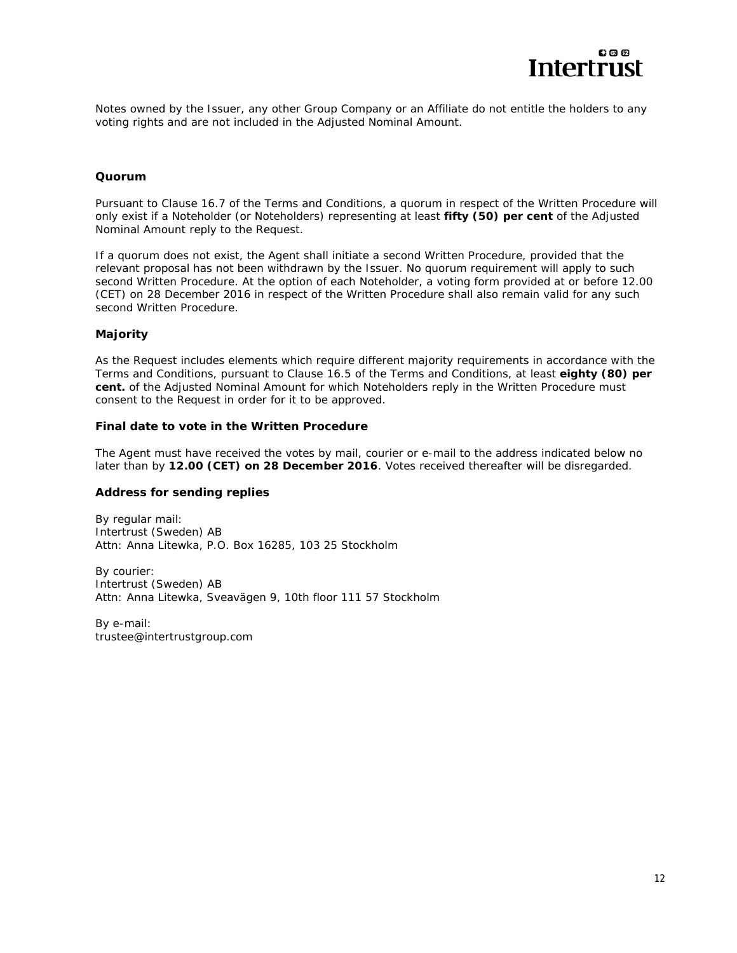

Notes owned by the Issuer, any other Group Company or an Affiliate do not entitle the holders to any voting rights and are not included in the Adjusted Nominal Amount.

### *Quorum*

Pursuant to Clause 16.7 of the Terms and Conditions, a quorum in respect of the Written Procedure will only exist if a Noteholder (or Noteholders) representing at least **fifty (50) per cent** of the Adjusted Nominal Amount reply to the Request.

If a quorum does not exist, the Agent shall initiate a second Written Procedure, provided that the relevant proposal has not been withdrawn by the Issuer. No quorum requirement will apply to such second Written Procedure. At the option of each Noteholder, a voting form provided at or before 12.00 (CET) on 28 December 2016 in respect of the Written Procedure shall also remain valid for any such second Written Procedure.

### *Majority*

As the Request includes elements which require different majority requirements in accordance with the Terms and Conditions, pursuant to Clause 16.5 of the Terms and Conditions, at least **eighty (80) per cent.** of the Adjusted Nominal Amount for which Noteholders reply in the Written Procedure must consent to the Request in order for it to be approved.

#### *Final date to vote in the Written Procedure*

The Agent must have received the votes by mail, courier or e-mail to the address indicated below no later than by **12.00 (CET) on 28 December 2016**. Votes received thereafter will be disregarded.

#### *Address for sending replies*

*By regular mail:* Intertrust (Sweden) AB Attn: Anna Litewka, P.O. Box 16285, 103 25 Stockholm

*By courier:* Intertrust (Sweden) AB Attn: Anna Litewka, Sveavägen 9, 10th floor 111 57 Stockholm

*By e-mail:* trustee@intertrustgroup.com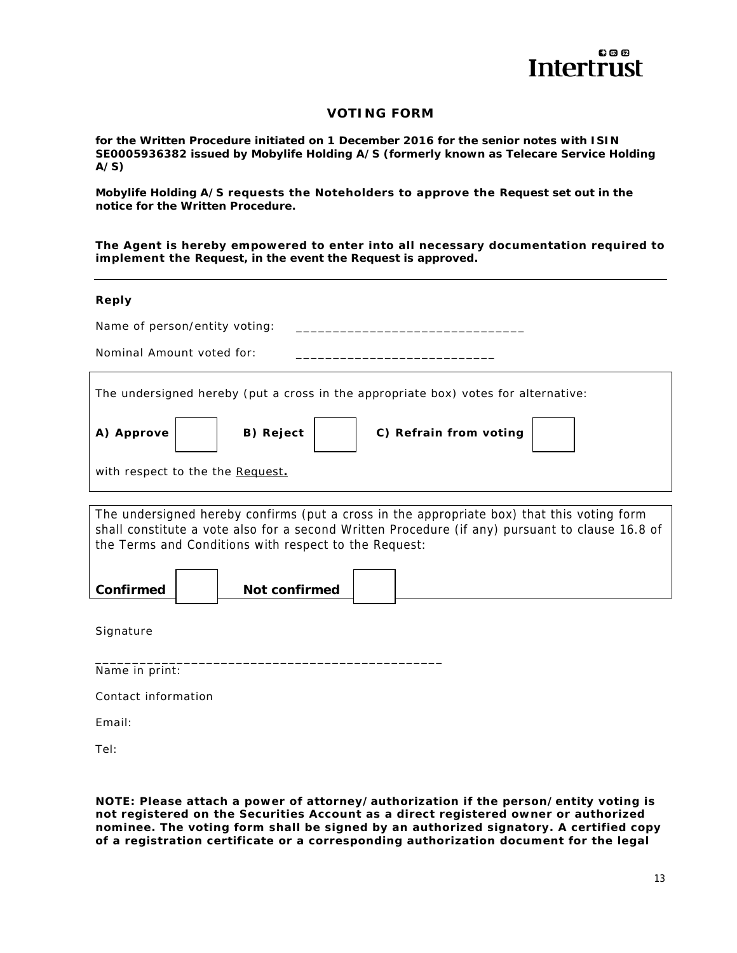

# **VOTING FORM**

**for the Written Procedure initiated on 1 December 2016 for the senior notes with ISIN SE0005936382 issued by Mobylife Holding A/S (formerly known as Telecare Service Holding A/S)** 

**Mobylife Holding A/S requests the Noteholders to approve the Request set out in the notice for the Written Procedure.** 

**The Agent is hereby empowered to enter into all necessary documentation required to implement the Request, in the event the Request is approved.** 

#### **Reply**

| Name of person/entity voting:                                                                                                                                                                                                                          |  |  |  |
|--------------------------------------------------------------------------------------------------------------------------------------------------------------------------------------------------------------------------------------------------------|--|--|--|
| Nominal Amount voted for:                                                                                                                                                                                                                              |  |  |  |
| The undersigned hereby (put a cross in the appropriate box) votes for alternative:                                                                                                                                                                     |  |  |  |
| C) Refrain from voting<br>B) Reject<br>A) Approve                                                                                                                                                                                                      |  |  |  |
| with respect to the the Request.                                                                                                                                                                                                                       |  |  |  |
|                                                                                                                                                                                                                                                        |  |  |  |
| The undersigned hereby confirms (put a cross in the appropriate box) that this voting form<br>shall constitute a vote also for a second Written Procedure (if any) pursuant to clause 16.8 of<br>the Terms and Conditions with respect to the Request: |  |  |  |
| Confirmed<br>Not confirmed                                                                                                                                                                                                                             |  |  |  |

**Signature** 

\_\_\_\_\_\_\_\_\_\_\_\_\_\_\_\_\_\_\_\_\_\_\_\_\_\_\_\_\_\_\_\_\_\_\_\_\_\_\_\_\_\_\_\_\_\_\_ Name in print:

Contact information

Email:

Tel:

**NOTE: Please attach a power of attorney/authorization if the person/entity voting is not registered on the Securities Account as a direct registered owner or authorized nominee. The voting form shall be signed by an authorized signatory. A certified copy of a registration certificate or a corresponding authorization document for the legal**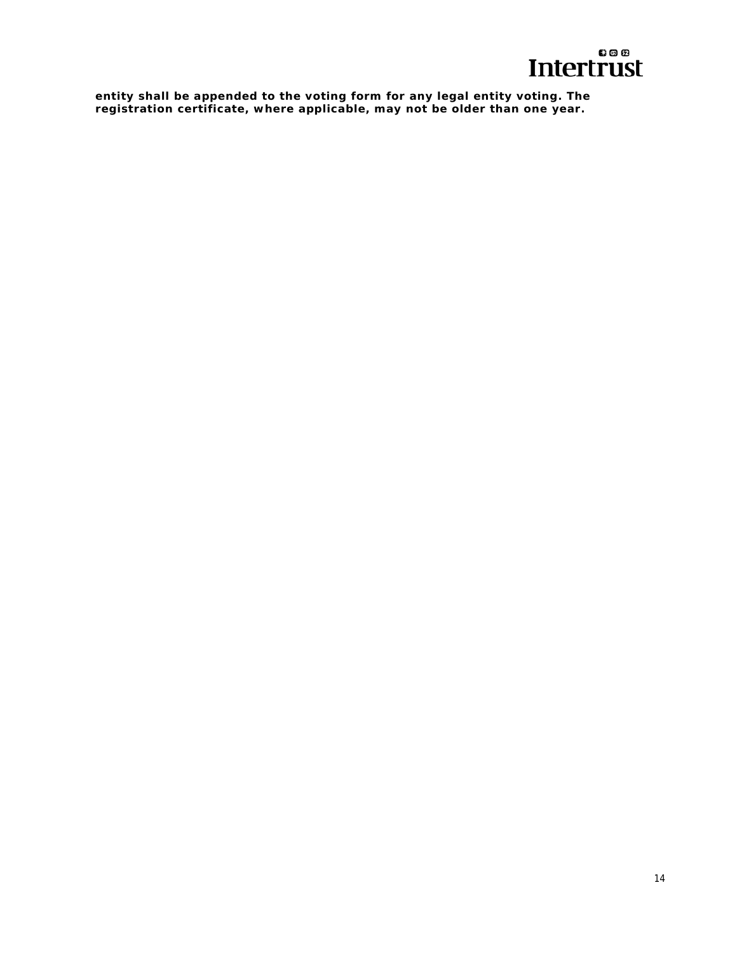

**entity shall be appended to the voting form for any legal entity voting. The registration certificate, where applicable, may not be older than one year.**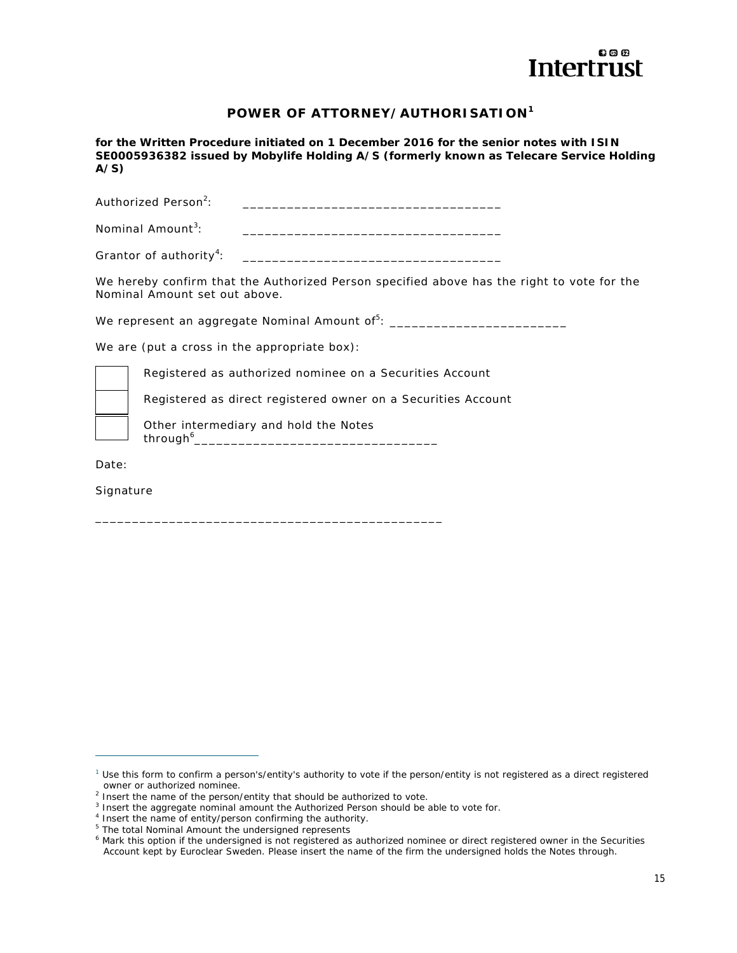

# **POWER OF ATTORNEY/AUTHORISATION<sup>1</sup>**

**for the Written Procedure initiated on 1 December 2016 for the senior notes with ISIN SE0005936382 issued by Mobylife Holding A/S (formerly known as Telecare Service Holding A/S)** 

Authorized Person<sup>2.</sup> : \_\_\_\_\_\_\_\_\_\_\_\_\_\_\_\_\_\_\_\_\_\_\_\_\_\_\_\_\_\_\_\_\_\_\_ Nominal Amount<sup>3</sup>: : \_\_\_\_\_\_\_\_\_\_\_\_\_\_\_\_\_\_\_\_\_\_\_\_\_\_\_\_\_\_\_\_\_\_\_

Grantor of authority<sup>4</sup>: : \_\_\_\_\_\_\_\_\_\_\_\_\_\_\_\_\_\_\_\_\_\_\_\_\_\_\_\_\_\_\_\_\_\_\_

We hereby confirm that the Authorized Person specified above has the right to vote for the Nominal Amount set out above.

We represent an aggregate Nominal Amount of<sup>5</sup>: \_\_\_\_\_\_\_\_\_\_\_\_\_\_\_\_\_\_\_\_\_\_\_\_\_\_\_

We are (put a cross in the appropriate box):

Registered as authorized nominee on a Securities Account

Registered as direct registered owner on a Securities Account

Other intermediary and hold the Notes

through $^{6}$ <sub>--</sub> \_\_\_\_\_\_\_\_\_\_\_\_\_\_\_\_\_\_\_\_\_\_\_\_\_\_\_\_\_\_\_\_\_

\_\_\_\_\_\_\_\_\_\_\_\_\_\_\_\_\_\_\_\_\_\_\_\_\_\_\_\_\_\_\_\_\_\_\_\_\_\_\_\_\_\_\_\_\_\_\_

Date:

 $\overline{a}$ 

**Signature** 

 $1$  Use this form to confirm a person's/entity's authority to vote if the person/entity is not registered as a direct registered

owner or authorized nominee.<br><sup>2</sup> Insert the name of the person/entity that should be authorized to vote.

 $3$  Insert the aggregate nominal amount the Authorized Person should be able to vote for.<br> $4$  Insert the name of ontity/person confirming the authority

<sup>&</sup>lt;sup>4</sup> Insert the name of entity/person confirming the authority.

<sup>&</sup>lt;sup>5</sup> The total Nominal Amount the undersigned represents

<sup>&</sup>lt;sup>6</sup> Mark this option if the undersigned is not registered as authorized nominee or direct registered owner in the Securities Account kept by Euroclear Sweden. Please insert the name of the firm the undersigned holds the Notes through.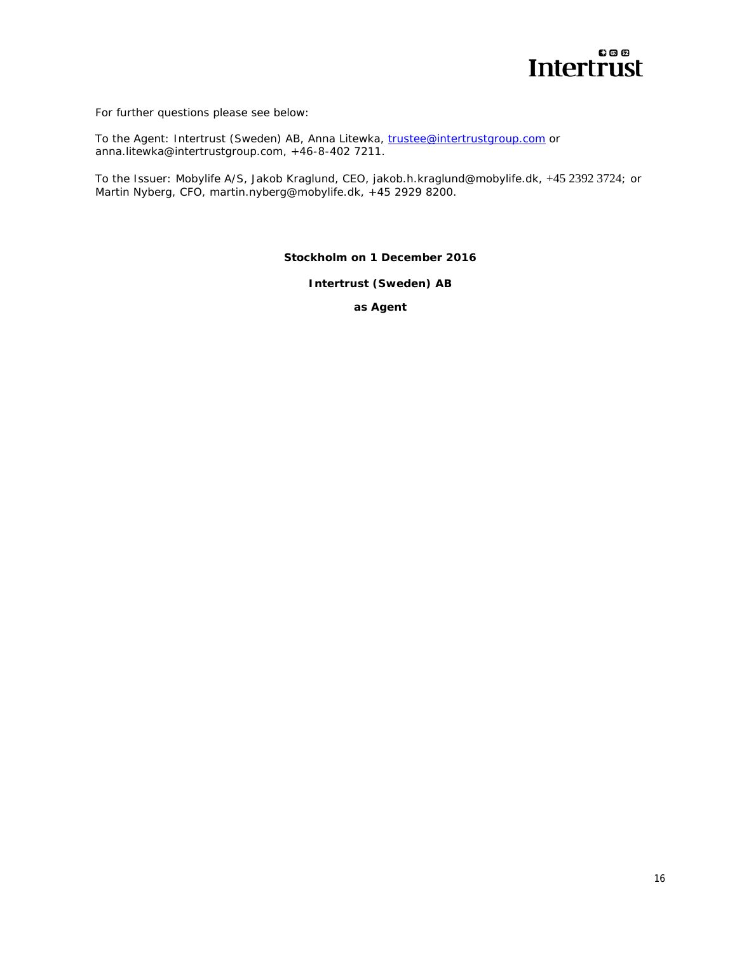# 800 Intertrust

For further questions please see below:

To the Agent: Intertrust (Sweden) AB, Anna Litewka, trustee@intertrustgroup.com or anna.litewka@intertrustgroup.com, +46-8-402 7211.

To the Issuer: Mobylife A/S, Jakob Kraglund, CEO, jakob.h.kraglund@mobylife.dk, +45 2392 3724; or Martin Nyberg, CFO, martin.nyberg@mobylife.dk, +45 2929 8200.

**Stockholm on 1 December 2016**

**Intertrust (Sweden) AB** 

**as Agent**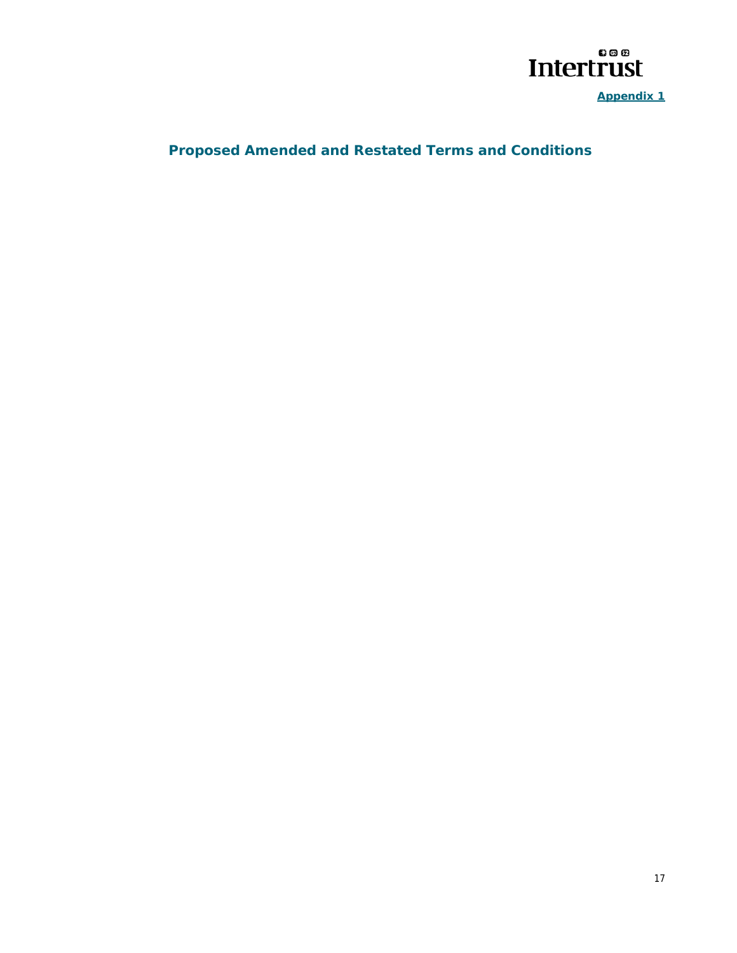

**Appendix 1** 

# **Proposed Amended and Restated Terms and Conditions**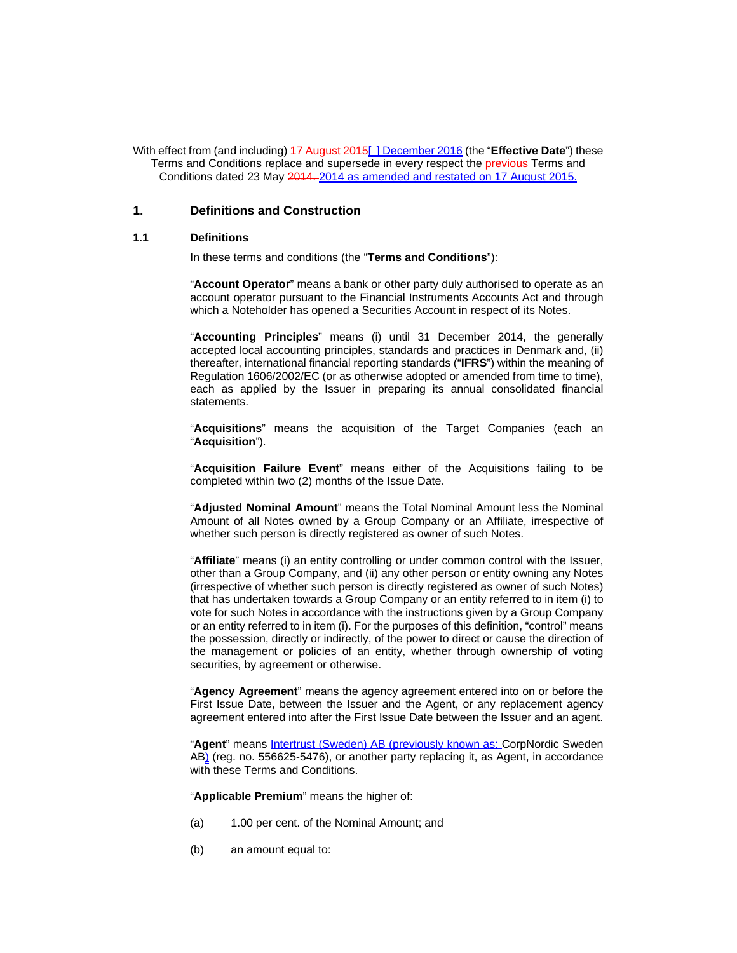With effect from (and including) 17 August 2015[ ] December 2016 (the "**Effective Date**") these Terms and Conditions replace and supersede in every respect the **previous** Terms and Conditions dated 23 May 2014. 2014 as amended and restated on 17 August 2015.

#### **1. Definitions and Construction**

#### **1.1 Definitions**

In these terms and conditions (the "**Terms and Conditions**"):

"**Account Operator**" means a bank or other party duly authorised to operate as an account operator pursuant to the Financial Instruments Accounts Act and through which a Noteholder has opened a Securities Account in respect of its Notes.

"**Accounting Principles**" means (i) until 31 December 2014, the generally accepted local accounting principles, standards and practices in Denmark and, (ii) thereafter, international financial reporting standards ("**IFRS**") within the meaning of Regulation 1606/2002/EC (or as otherwise adopted or amended from time to time), each as applied by the Issuer in preparing its annual consolidated financial statements.

"**Acquisitions**" means the acquisition of the Target Companies (each an "**Acquisition**").

"**Acquisition Failure Event**" means either of the Acquisitions failing to be completed within two (2) months of the Issue Date.

"**Adjusted Nominal Amount**" means the Total Nominal Amount less the Nominal Amount of all Notes owned by a Group Company or an Affiliate, irrespective of whether such person is directly registered as owner of such Notes.

"**Affiliate**" means (i) an entity controlling or under common control with the Issuer, other than a Group Company, and (ii) any other person or entity owning any Notes (irrespective of whether such person is directly registered as owner of such Notes) that has undertaken towards a Group Company or an entity referred to in item (i) to vote for such Notes in accordance with the instructions given by a Group Company or an entity referred to in item (i). For the purposes of this definition, "control" means the possession, directly or indirectly, of the power to direct or cause the direction of the management or policies of an entity, whether through ownership of voting securities, by agreement or otherwise.

"**Agency Agreement**" means the agency agreement entered into on or before the First Issue Date, between the Issuer and the Agent, or any replacement agency agreement entered into after the First Issue Date between the Issuer and an agent.

"**Agent**" means Intertrust (Sweden) AB (previously known as: CorpNordic Sweden AB) (reg. no. 556625-5476), or another party replacing it, as Agent, in accordance with these Terms and Conditions.

"**Applicable Premium**" means the higher of:

- (a) 1.00 per cent. of the Nominal Amount; and
- (b) an amount equal to: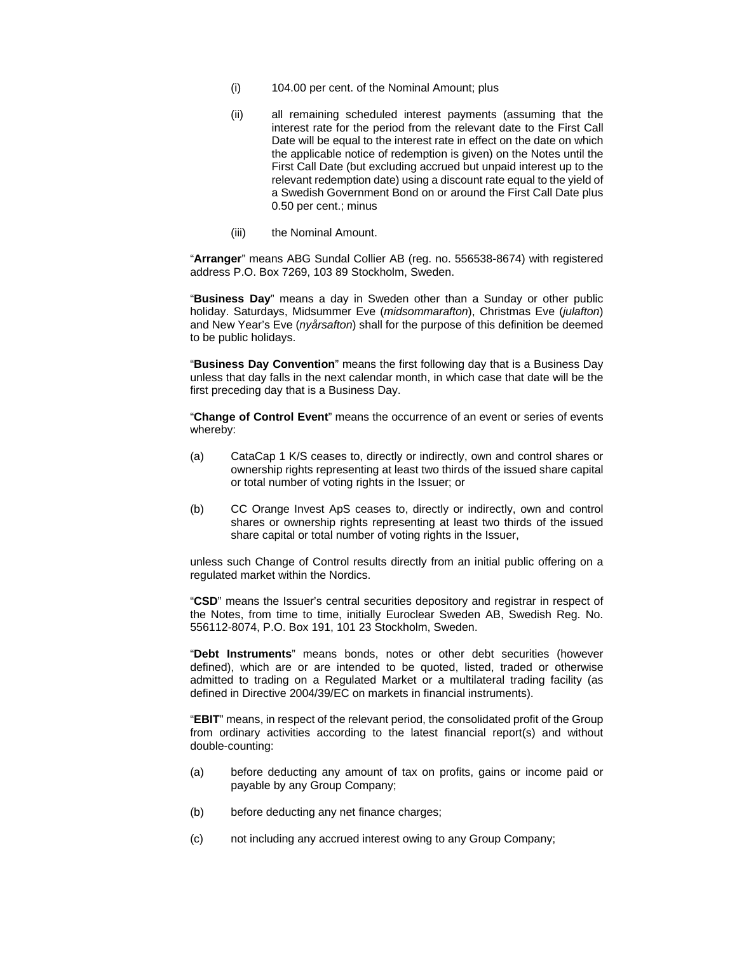- (i) 104.00 per cent. of the Nominal Amount; plus
- (ii) all remaining scheduled interest payments (assuming that the interest rate for the period from the relevant date to the First Call Date will be equal to the interest rate in effect on the date on which the applicable notice of redemption is given) on the Notes until the First Call Date (but excluding accrued but unpaid interest up to the relevant redemption date) using a discount rate equal to the yield of a Swedish Government Bond on or around the First Call Date plus 0.50 per cent.; minus
- (iii) the Nominal Amount.

"**Arranger**" means ABG Sundal Collier AB (reg. no. 556538-8674) with registered address P.O. Box 7269, 103 89 Stockholm, Sweden.

"**Business Day**" means a day in Sweden other than a Sunday or other public holiday. Saturdays, Midsummer Eve (*midsommarafton*), Christmas Eve (*julafton*) and New Year's Eve (*nyårsafton*) shall for the purpose of this definition be deemed to be public holidays.

"**Business Day Convention**" means the first following day that is a Business Day unless that day falls in the next calendar month, in which case that date will be the first preceding day that is a Business Day.

"**Change of Control Event**" means the occurrence of an event or series of events whereby:

- (a) CataCap 1 K/S ceases to, directly or indirectly, own and control shares or ownership rights representing at least two thirds of the issued share capital or total number of voting rights in the Issuer; or
- (b) CC Orange Invest ApS ceases to, directly or indirectly, own and control shares or ownership rights representing at least two thirds of the issued share capital or total number of voting rights in the Issuer,

unless such Change of Control results directly from an initial public offering on a regulated market within the Nordics.

"**CSD**" means the Issuer's central securities depository and registrar in respect of the Notes, from time to time, initially Euroclear Sweden AB, Swedish Reg. No. 556112-8074, P.O. Box 191, 101 23 Stockholm, Sweden.

"**Debt Instruments**" means bonds, notes or other debt securities (however defined), which are or are intended to be quoted, listed, traded or otherwise admitted to trading on a Regulated Market or a multilateral trading facility (as defined in Directive 2004/39/EC on markets in financial instruments).

"**EBIT**" means, in respect of the relevant period, the consolidated profit of the Group from ordinary activities according to the latest financial report(s) and without double-counting:

- (a) before deducting any amount of tax on profits, gains or income paid or payable by any Group Company;
- (b) before deducting any net finance charges;
- (c) not including any accrued interest owing to any Group Company;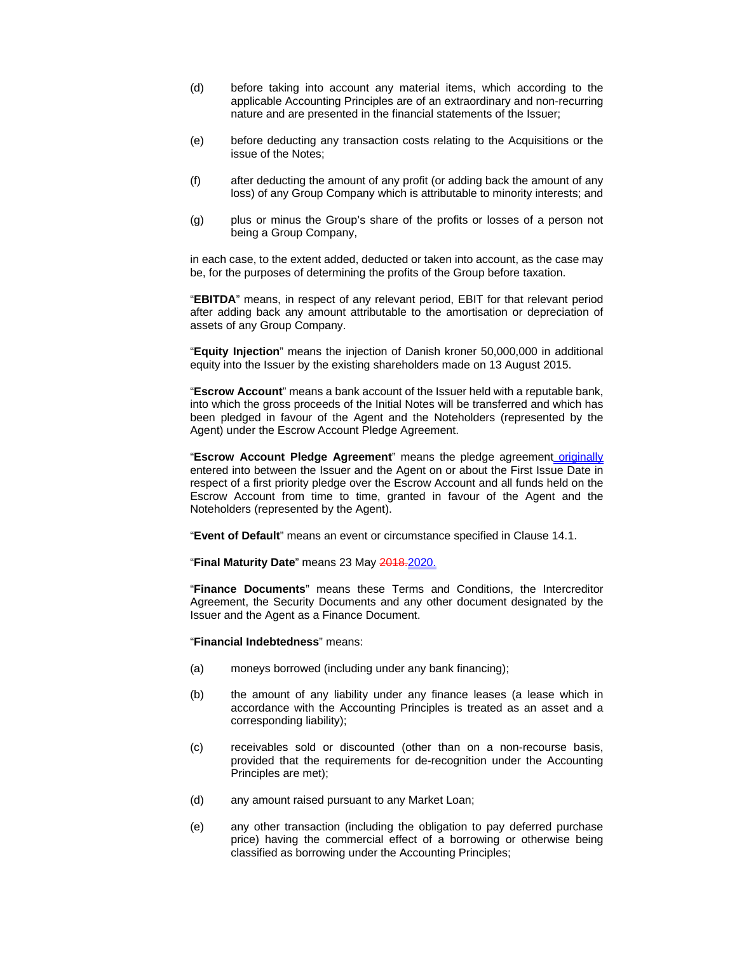- (d) before taking into account any material items, which according to the applicable Accounting Principles are of an extraordinary and non-recurring nature and are presented in the financial statements of the Issuer;
- (e) before deducting any transaction costs relating to the Acquisitions or the issue of the Notes;
- (f) after deducting the amount of any profit (or adding back the amount of any loss) of any Group Company which is attributable to minority interests; and
- (g) plus or minus the Group's share of the profits or losses of a person not being a Group Company,

in each case, to the extent added, deducted or taken into account, as the case may be, for the purposes of determining the profits of the Group before taxation.

"**EBITDA**" means, in respect of any relevant period, EBIT for that relevant period after adding back any amount attributable to the amortisation or depreciation of assets of any Group Company.

"**Equity Injection**" means the injection of Danish kroner 50,000,000 in additional equity into the Issuer by the existing shareholders made on 13 August 2015.

"**Escrow Account**" means a bank account of the Issuer held with a reputable bank, into which the gross proceeds of the Initial Notes will be transferred and which has been pledged in favour of the Agent and the Noteholders (represented by the Agent) under the Escrow Account Pledge Agreement.

"**Escrow Account Pledge Agreement**" means the pledge agreement originally entered into between the Issuer and the Agent on or about the First Issue Date in respect of a first priority pledge over the Escrow Account and all funds held on the Escrow Account from time to time, granted in favour of the Agent and the Noteholders (represented by the Agent).

"**Event of Default**" means an event or circumstance specified in Clause 14.1.

"Final Maturity Date" means 23 May 2018.2020.

"**Finance Documents**" means these Terms and Conditions, the Intercreditor Agreement, the Security Documents and any other document designated by the Issuer and the Agent as a Finance Document.

"**Financial Indebtedness**" means:

- (a) moneys borrowed (including under any bank financing);
- (b) the amount of any liability under any finance leases (a lease which in accordance with the Accounting Principles is treated as an asset and a corresponding liability);
- (c) receivables sold or discounted (other than on a non-recourse basis, provided that the requirements for de-recognition under the Accounting Principles are met);
- (d) any amount raised pursuant to any Market Loan;
- (e) any other transaction (including the obligation to pay deferred purchase price) having the commercial effect of a borrowing or otherwise being classified as borrowing under the Accounting Principles;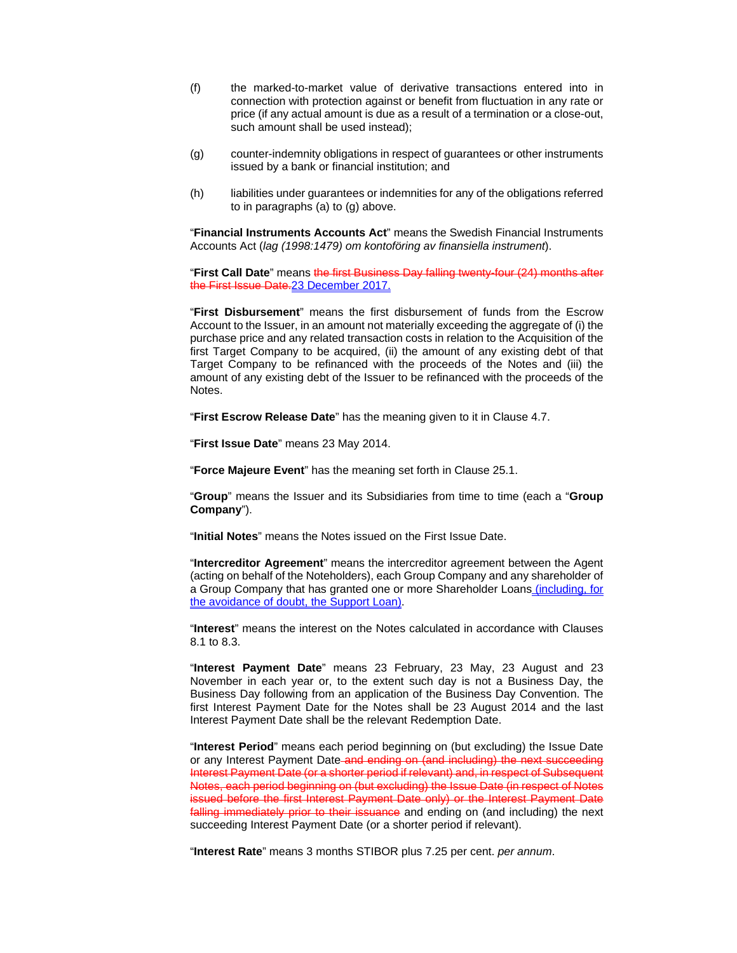- (f) the marked-to-market value of derivative transactions entered into in connection with protection against or benefit from fluctuation in any rate or price (if any actual amount is due as a result of a termination or a close-out, such amount shall be used instead);
- (g) counter-indemnity obligations in respect of guarantees or other instruments issued by a bank or financial institution; and
- (h) liabilities under guarantees or indemnities for any of the obligations referred to in paragraphs (a) to (g) above.

"**Financial Instruments Accounts Act**" means the Swedish Financial Instruments Accounts Act (*lag (1998:1479) om kontoföring av finansiella instrument*).

"**First Call Date**" means the first Business Day falling twenty-four (24) months after the First Issue Date.23 December 2017.

"**First Disbursement**" means the first disbursement of funds from the Escrow Account to the Issuer, in an amount not materially exceeding the aggregate of (i) the purchase price and any related transaction costs in relation to the Acquisition of the first Target Company to be acquired, (ii) the amount of any existing debt of that Target Company to be refinanced with the proceeds of the Notes and (iii) the amount of any existing debt of the Issuer to be refinanced with the proceeds of the Notes.

"**First Escrow Release Date**" has the meaning given to it in Clause 4.7.

"**First Issue Date**" means 23 May 2014.

"**Force Majeure Event**" has the meaning set forth in Clause 25.1.

"**Group**" means the Issuer and its Subsidiaries from time to time (each a "**Group Company**").

"**Initial Notes**" means the Notes issued on the First Issue Date.

"**Intercreditor Agreement**" means the intercreditor agreement between the Agent (acting on behalf of the Noteholders), each Group Company and any shareholder of a Group Company that has granted one or more Shareholder Loans (including, for the avoidance of doubt, the Support Loan).

"**Interest**" means the interest on the Notes calculated in accordance with Clauses 8.1 to 8.3.

"**Interest Payment Date**" means 23 February, 23 May, 23 August and 23 November in each year or, to the extent such day is not a Business Day, the Business Day following from an application of the Business Day Convention. The first Interest Payment Date for the Notes shall be 23 August 2014 and the last Interest Payment Date shall be the relevant Redemption Date.

"**Interest Period**" means each period beginning on (but excluding) the Issue Date or any Interest Payment Date and ending on (and including) the next succeeding Interest Payment Date (or a shorter period if relevant) and, in respect of Subsequent Notes, each period beginning on (but excluding) the Issue Date (in respect of Notes issued before the first Interest Payment Date only) or the Interest Payment Date falling immediately prior to their issuance and ending on (and including) the next succeeding Interest Payment Date (or a shorter period if relevant).

"**Interest Rate**" means 3 months STIBOR plus 7.25 per cent. *per annum*.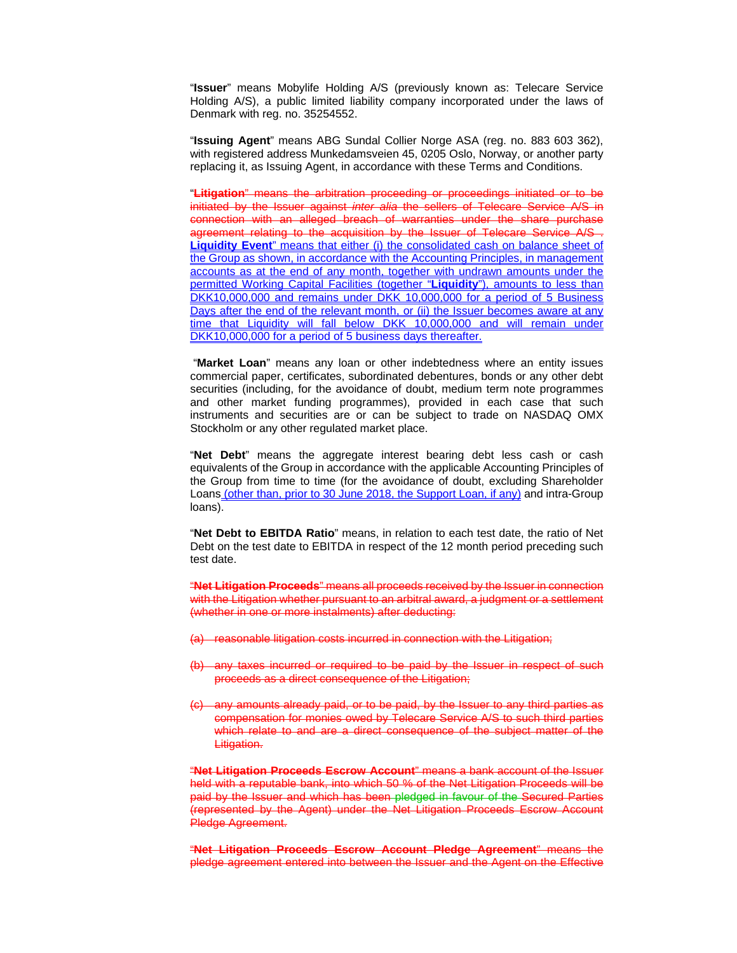"**Issuer**" means Mobylife Holding A/S (previously known as: Telecare Service Holding A/S), a public limited liability company incorporated under the laws of Denmark with reg. no. 35254552.

"**Issuing Agent**" means ABG Sundal Collier Norge ASA (reg. no. 883 603 362), with registered address Munkedamsveien 45, 0205 Oslo, Norway, or another party replacing it, as Issuing Agent, in accordance with these Terms and Conditions.

"**Litigation**" means the arbitration proceeding or proceedings initiated or to be initiated by the Issuer against *inter alia* the sellers of Telecare Service A/S in connection with an alleged breach of warranties under the share purchase agreement relating to the acquisition by the Issuer of Telecare Service A/S . **Liquidity Event**" means that either (i) the consolidated cash on balance sheet of the Group as shown, in accordance with the Accounting Principles, in management accounts as at the end of any month, together with undrawn amounts under the permitted Working Capital Facilities (together "**Liquidity**"), amounts to less than DKK10,000,000 and remains under DKK 10,000,000 for a period of 5 Business Days after the end of the relevant month, or (ii) the Issuer becomes aware at any time that Liquidity will fall below DKK 10,000,000 and will remain under DKK10,000,000 for a period of 5 business days thereafter.

 "**Market Loan**" means any loan or other indebtedness where an entity issues commercial paper, certificates, subordinated debentures, bonds or any other debt securities (including, for the avoidance of doubt, medium term note programmes and other market funding programmes), provided in each case that such instruments and securities are or can be subject to trade on NASDAQ OMX Stockholm or any other regulated market place.

"**Net Debt**" means the aggregate interest bearing debt less cash or cash equivalents of the Group in accordance with the applicable Accounting Principles of the Group from time to time (for the avoidance of doubt, excluding Shareholder Loans (other than, prior to 30 June 2018, the Support Loan, if any) and intra-Group loans).

"**Net Debt to EBITDA Ratio**" means, in relation to each test date, the ratio of Net Debt on the test date to EBITDA in respect of the 12 month period preceding such test date.

"**Net Litigation Proceeds**" means all proceeds received by the Issuer in connection with the Litigation whether pursuant to an arbitral award, a judgment or a settlement (whether in one or more instalments) after deducting:

- (a) reasonable litigation costs incurred in connection with the Litigation;
- (b) any taxes incurred or required to be paid by the Issuer in respect of such proceeds as a direct consequence of the Litigation;
- (c) any amounts already paid, or to be paid, by the Issuer to any third parties as compensation for monies owed by Telecare Service A/S to such third parties which relate to and are a direct consequence of the subject matter of the Litigation.

"**Net Litigation Proceeds Escrow Account**" means a bank account of the Issuer held with a reputable bank, into which 50 % of the Net Litigation Proceeds will be paid by the Issuer and which has been pledged in favour of the Secured Parties (represented by the Agent) under the Net Litigation Proceeds Escrow Account Pledge Agreement.

"**Net Litigation Proceeds Escrow Account Pledge Agreement**" means the pledge agreement entered into between the Issuer and the Agent on the Effective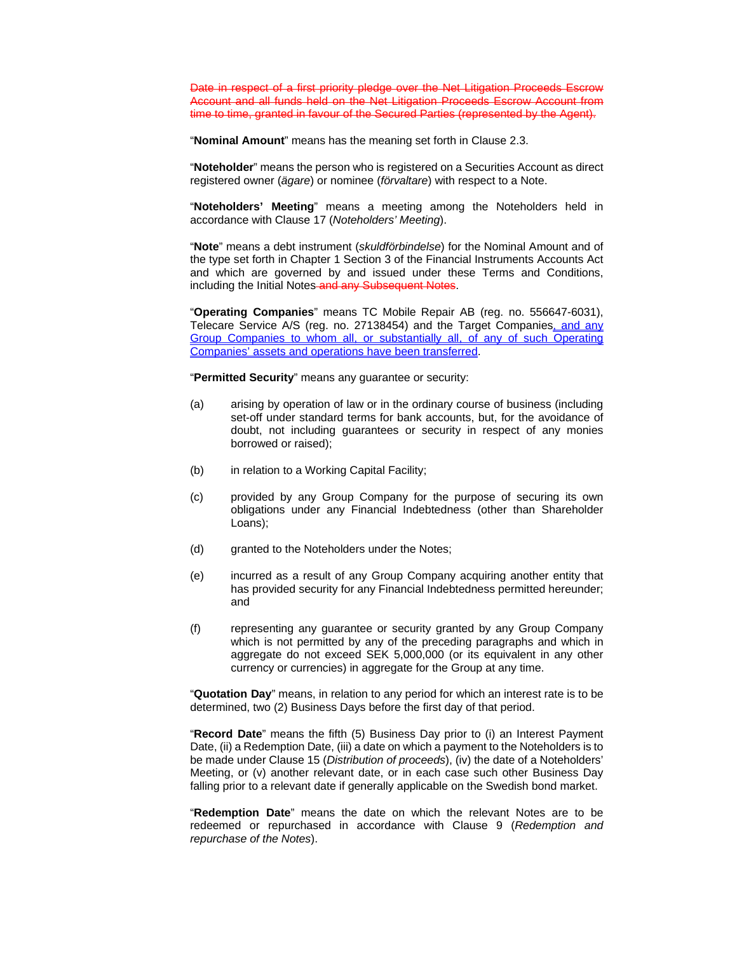Date in respect of a first priority pledge over the Net Litigation Proceeds Escrow Account and all funds held on the Net Litigation Proceeds Escrow Account from time to time, granted in favour of the Secured Parties (represented by the Agent).

"**Nominal Amount**" means has the meaning set forth in Clause 2.3.

"**Noteholder**" means the person who is registered on a Securities Account as direct registered owner (*ägare*) or nominee (*förvaltare*) with respect to a Note.

"**Noteholders' Meeting**" means a meeting among the Noteholders held in accordance with Clause 17 (*Noteholders' Meeting*).

"**Note**" means a debt instrument (*skuldförbindelse*) for the Nominal Amount and of the type set forth in Chapter 1 Section 3 of the Financial Instruments Accounts Act and which are governed by and issued under these Terms and Conditions, including the Initial Notes and any Subsequent Notes.

"**Operating Companies**" means TC Mobile Repair AB (reg. no. 556647-6031), Telecare Service A/S (reg. no. 27138454) and the Target Companies, and any Group Companies to whom all, or substantially all, of any of such Operating Companies' assets and operations have been transferred.

"**Permitted Security**" means any guarantee or security:

- (a) arising by operation of law or in the ordinary course of business (including set-off under standard terms for bank accounts, but, for the avoidance of doubt, not including guarantees or security in respect of any monies borrowed or raised);
- (b) in relation to a Working Capital Facility;
- (c) provided by any Group Company for the purpose of securing its own obligations under any Financial Indebtedness (other than Shareholder Loans);
- (d) granted to the Noteholders under the Notes;
- (e) incurred as a result of any Group Company acquiring another entity that has provided security for any Financial Indebtedness permitted hereunder; and
- (f) representing any guarantee or security granted by any Group Company which is not permitted by any of the preceding paragraphs and which in aggregate do not exceed SEK 5,000,000 (or its equivalent in any other currency or currencies) in aggregate for the Group at any time.

"**Quotation Day**" means, in relation to any period for which an interest rate is to be determined, two (2) Business Days before the first day of that period.

"**Record Date**" means the fifth (5) Business Day prior to (i) an Interest Payment Date, (ii) a Redemption Date, (iii) a date on which a payment to the Noteholders is to be made under Clause 15 (*Distribution of proceeds*), (iv) the date of a Noteholders' Meeting, or (v) another relevant date, or in each case such other Business Day falling prior to a relevant date if generally applicable on the Swedish bond market.

"**Redemption Date**" means the date on which the relevant Notes are to be redeemed or repurchased in accordance with Clause 9 (*Redemption and repurchase of the Notes*).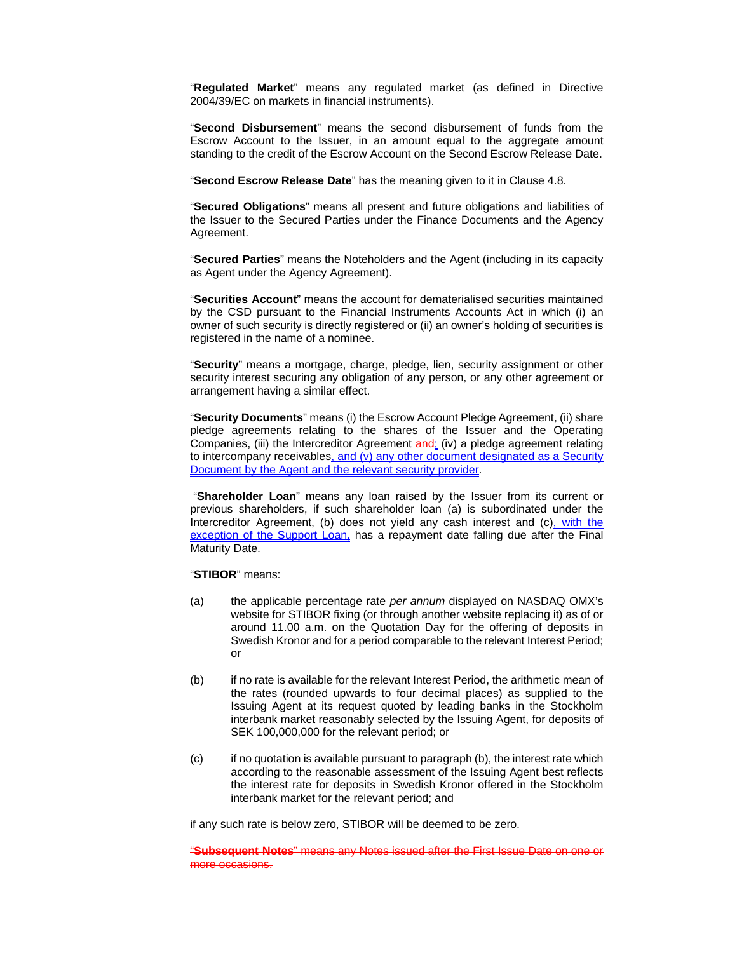"**Regulated Market**" means any regulated market (as defined in Directive 2004/39/EC on markets in financial instruments).

"**Second Disbursement**" means the second disbursement of funds from the Escrow Account to the Issuer, in an amount equal to the aggregate amount standing to the credit of the Escrow Account on the Second Escrow Release Date.

"**Second Escrow Release Date**" has the meaning given to it in Clause 4.8.

"**Secured Obligations**" means all present and future obligations and liabilities of the Issuer to the Secured Parties under the Finance Documents and the Agency Agreement.

"**Secured Parties**" means the Noteholders and the Agent (including in its capacity as Agent under the Agency Agreement).

"**Securities Account**" means the account for dematerialised securities maintained by the CSD pursuant to the Financial Instruments Accounts Act in which (i) an owner of such security is directly registered or (ii) an owner's holding of securities is registered in the name of a nominee.

"**Security**" means a mortgage, charge, pledge, lien, security assignment or other security interest securing any obligation of any person, or any other agreement or arrangement having a similar effect.

"**Security Documents**" means (i) the Escrow Account Pledge Agreement, (ii) share pledge agreements relating to the shares of the Issuer and the Operating Companies, (iii) the Intercreditor Agreement-and; (iv) a pledge agreement relating to intercompany receivables, and  $(v)$  any other document designated as a Security Document by the Agent and the relevant security provider.

 "**Shareholder Loan**" means any loan raised by the Issuer from its current or previous shareholders, if such shareholder loan (a) is subordinated under the Intercreditor Agreement, (b) does not yield any cash interest and (c), with the exception of the Support Loan, has a repayment date falling due after the Final Maturity Date.

#### "**STIBOR**" means:

- (a) the applicable percentage rate *per annum* displayed on NASDAQ OMX's website for STIBOR fixing (or through another website replacing it) as of or around 11.00 a.m. on the Quotation Day for the offering of deposits in Swedish Kronor and for a period comparable to the relevant Interest Period; or
- (b) if no rate is available for the relevant Interest Period, the arithmetic mean of the rates (rounded upwards to four decimal places) as supplied to the Issuing Agent at its request quoted by leading banks in the Stockholm interbank market reasonably selected by the Issuing Agent, for deposits of SEK 100,000,000 for the relevant period; or
- $(c)$  if no quotation is available pursuant to paragraph  $(b)$ , the interest rate which according to the reasonable assessment of the Issuing Agent best reflects the interest rate for deposits in Swedish Kronor offered in the Stockholm interbank market for the relevant period; and

if any such rate is below zero, STIBOR will be deemed to be zero.

"**Subsequent Notes**" means any Notes issued after the First Issue Date on one or more occasions.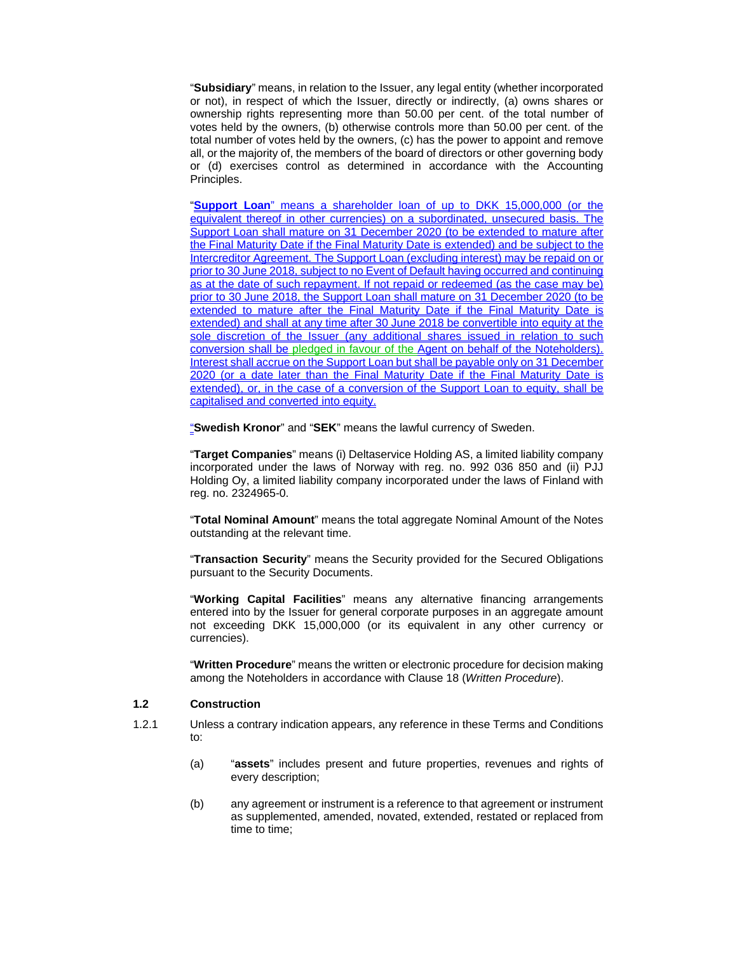"**Subsidiary**" means, in relation to the Issuer, any legal entity (whether incorporated or not), in respect of which the Issuer, directly or indirectly, (a) owns shares or ownership rights representing more than 50.00 per cent. of the total number of votes held by the owners, (b) otherwise controls more than 50.00 per cent. of the total number of votes held by the owners, (c) has the power to appoint and remove all, or the majority of, the members of the board of directors or other governing body or (d) exercises control as determined in accordance with the Accounting Principles.

"**Support Loan**" means a shareholder loan of up to DKK 15,000,000 (or the equivalent thereof in other currencies) on a subordinated, unsecured basis. The Support Loan shall mature on 31 December 2020 (to be extended to mature after the Final Maturity Date if the Final Maturity Date is extended) and be subject to the Intercreditor Agreement. The Support Loan (excluding interest) may be repaid on or prior to 30 June 2018, subject to no Event of Default having occurred and continuing as at the date of such repayment. If not repaid or redeemed (as the case may be) prior to 30 June 2018, the Support Loan shall mature on 31 December 2020 (to be extended to mature after the Final Maturity Date if the Final Maturity Date is extended) and shall at any time after 30 June 2018 be convertible into equity at the sole discretion of the Issuer (any additional shares issued in relation to such conversion shall be pledged in favour of the Agent on behalf of the Noteholders). Interest shall accrue on the Support Loan but shall be payable only on 31 December 2020 (or a date later than the Final Maturity Date if the Final Maturity Date is extended), or, in the case of a conversion of the Support Loan to equity, shall be capitalised and converted into equity.

"**Swedish Kronor**" and "**SEK**" means the lawful currency of Sweden.

"**Target Companies**" means (i) Deltaservice Holding AS, a limited liability company incorporated under the laws of Norway with reg. no. 992 036 850 and (ii) PJJ Holding Oy, a limited liability company incorporated under the laws of Finland with reg. no. 2324965-0.

"**Total Nominal Amount**" means the total aggregate Nominal Amount of the Notes outstanding at the relevant time.

"**Transaction Security**" means the Security provided for the Secured Obligations pursuant to the Security Documents.

"**Working Capital Facilities**" means any alternative financing arrangements entered into by the Issuer for general corporate purposes in an aggregate amount not exceeding DKK 15,000,000 (or its equivalent in any other currency or currencies).

"**Written Procedure**" means the written or electronic procedure for decision making among the Noteholders in accordance with Clause 18 (*Written Procedure*).

### **1.2 Construction**

- 1.2.1 Unless a contrary indication appears, any reference in these Terms and Conditions to:
	- (a) "**assets**" includes present and future properties, revenues and rights of every description;
	- (b) any agreement or instrument is a reference to that agreement or instrument as supplemented, amended, novated, extended, restated or replaced from time to time;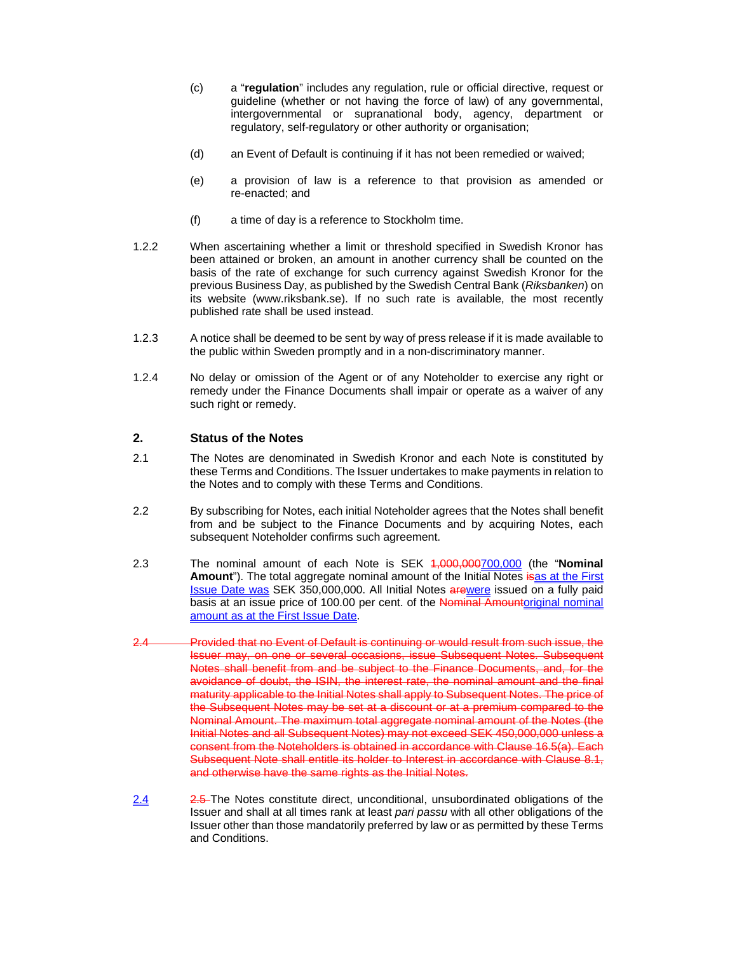- (c) a "**regulation**" includes any regulation, rule or official directive, request or guideline (whether or not having the force of law) of any governmental, intergovernmental or supranational body, agency, department or regulatory, self-regulatory or other authority or organisation;
- (d) an Event of Default is continuing if it has not been remedied or waived;
- (e) a provision of law is a reference to that provision as amended or re-enacted; and
- (f) a time of day is a reference to Stockholm time.
- 1.2.2 When ascertaining whether a limit or threshold specified in Swedish Kronor has been attained or broken, an amount in another currency shall be counted on the basis of the rate of exchange for such currency against Swedish Kronor for the previous Business Day, as published by the Swedish Central Bank (*Riksbanken*) on its website (www.riksbank.se). If no such rate is available, the most recently published rate shall be used instead.
- 1.2.3 A notice shall be deemed to be sent by way of press release if it is made available to the public within Sweden promptly and in a non-discriminatory manner.
- 1.2.4 No delay or omission of the Agent or of any Noteholder to exercise any right or remedy under the Finance Documents shall impair or operate as a waiver of any such right or remedy.

### **2. Status of the Notes**

- 2.1 The Notes are denominated in Swedish Kronor and each Note is constituted by these Terms and Conditions. The Issuer undertakes to make payments in relation to the Notes and to comply with these Terms and Conditions.
- 2.2 By subscribing for Notes, each initial Noteholder agrees that the Notes shall benefit from and be subject to the Finance Documents and by acquiring Notes, each subsequent Noteholder confirms such agreement.
- 2.3 The nominal amount of each Note is SEK 1,000,000700,000 (the "**Nominal**  Amount"). The total aggregate nominal amount of the Initial Notes is as at the First **Issue Date was SEK 350,000,000. All Initial Notes arewere issued on a fully paid** basis at an issue price of 100.00 per cent. of the Nominal Amountoriginal nominal amount as at the First Issue Date.
- 2.4 Provided that no Event of Default is continuing or would result from such issue, the Issuer may, on one or several occasions, issue Subsequent Notes. Subsequent Notes shall benefit from and be subject to the Finance Documents, and, for the avoidance of doubt, the ISIN, the interest rate, the nominal amount and the final maturity applicable to the Initial Notes shall apply to Subsequent Notes. The price of the Subsequent Notes may be set at a discount or at a premium compared to the Nominal Amount. The maximum total aggregate nominal amount of the Notes (the Initial Notes and all Subsequent Notes) may not exceed SEK 450,000,000 unless a consent from the Noteholders is obtained in accordance with Clause 16.5(a). Each Subsequent Note shall entitle its holder to Interest in accordance with Clause 8.1, and otherwise have the same rights as the Initial Notes.
- 2.4 2.5 The Notes constitute direct, unconditional, unsubordinated obligations of the Issuer and shall at all times rank at least *pari passu* with all other obligations of the Issuer other than those mandatorily preferred by law or as permitted by these Terms and Conditions.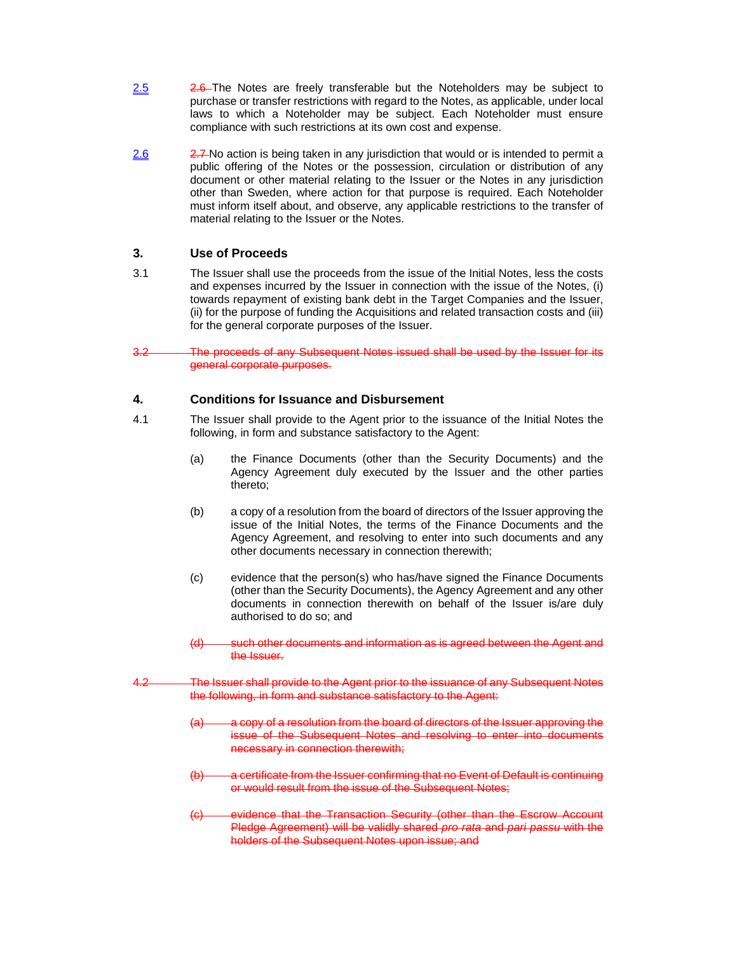- 2.5  $2.6$  The Notes are freely transferable but the Noteholders may be subject to purchase or transfer restrictions with regard to the Notes, as applicable, under local laws to which a Noteholder may be subject. Each Noteholder must ensure compliance with such restrictions at its own cost and expense.
- 2.6  $2.7 N$  action is being taken in any jurisdiction that would or is intended to permit a public offering of the Notes or the possession, circulation or distribution of any document or other material relating to the Issuer or the Notes in any jurisdiction other than Sweden, where action for that purpose is required. Each Noteholder must inform itself about, and observe, any applicable restrictions to the transfer of material relating to the Issuer or the Notes.

# **3. Use of Proceeds**

- 3.1 The Issuer shall use the proceeds from the issue of the Initial Notes, less the costs and expenses incurred by the Issuer in connection with the issue of the Notes, (i) towards repayment of existing bank debt in the Target Companies and the Issuer, (ii) for the purpose of funding the Acquisitions and related transaction costs and (iii) for the general corporate purposes of the Issuer.
- 3.2 The proceeds of any Subsequent Notes issued shall be used by the Issuer for its general corporate purposes.

# **4. Conditions for Issuance and Disbursement**

- 4.1 The Issuer shall provide to the Agent prior to the issuance of the Initial Notes the following, in form and substance satisfactory to the Agent:
	- (a) the Finance Documents (other than the Security Documents) and the Agency Agreement duly executed by the Issuer and the other parties thereto;
	- (b) a copy of a resolution from the board of directors of the Issuer approving the issue of the Initial Notes, the terms of the Finance Documents and the Agency Agreement, and resolving to enter into such documents and any other documents necessary in connection therewith;
	- (c) evidence that the person(s) who has/have signed the Finance Documents (other than the Security Documents), the Agency Agreement and any other documents in connection therewith on behalf of the Issuer is/are duly authorised to do so; and
	- (d) such other documents and information as is agreed between the Agent and the Issuer.
- 4.2 The Issuer shall provide to the Agent prior to the issuance of any Subsequent Notes the following, in form and substance satisfactory to the Agent:
	- (a) a copy of a resolution from the board of directors of the Issuer approving the issue of the Subsequent Notes and resolving to enter into documents necessary in connection therewith;
	- a certificate from the Issuer confirming that no Event of Default is continuing or would result from the issue of the Subsequent Notes;
	- (c) evidence that the Transaction Security (other than the Escrow Account Pledge Agreement) will be validly shared *pro rata* and *pari passu* with the holders of the Subsequent Notes upon issue; and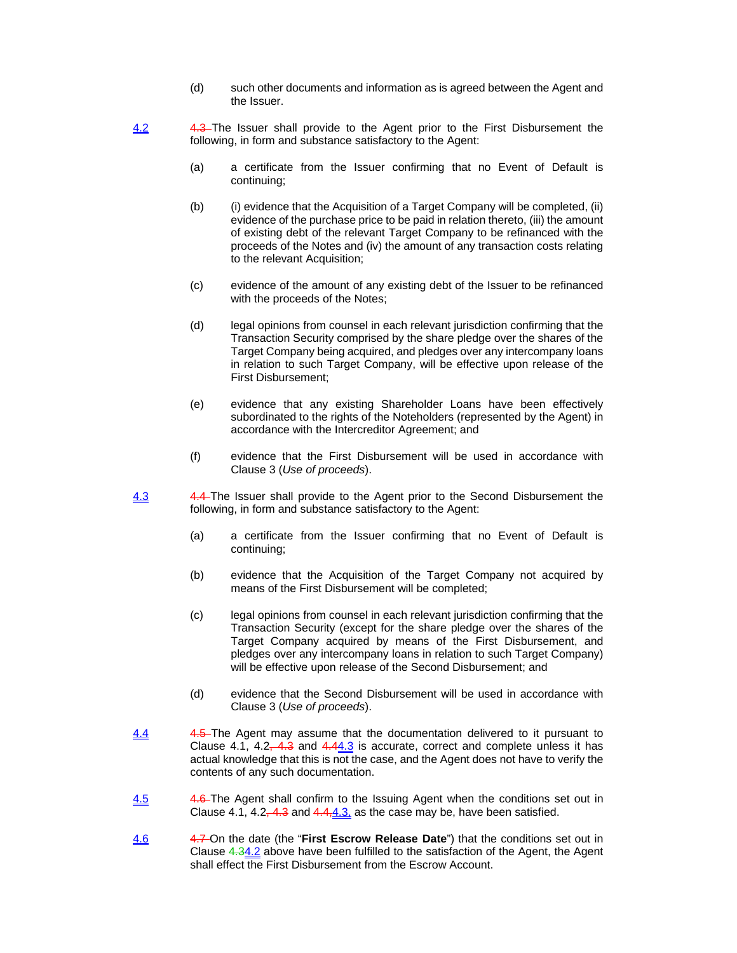- (d) such other documents and information as is agreed between the Agent and the Issuer.
- 4.2 4.3 The Issuer shall provide to the Agent prior to the First Disbursement the following, in form and substance satisfactory to the Agent:
	- (a) a certificate from the Issuer confirming that no Event of Default is continuing;
	- (b) (i) evidence that the Acquisition of a Target Company will be completed, (ii) evidence of the purchase price to be paid in relation thereto, (iii) the amount of existing debt of the relevant Target Company to be refinanced with the proceeds of the Notes and (iv) the amount of any transaction costs relating to the relevant Acquisition;
	- (c) evidence of the amount of any existing debt of the Issuer to be refinanced with the proceeds of the Notes;
	- (d) legal opinions from counsel in each relevant jurisdiction confirming that the Transaction Security comprised by the share pledge over the shares of the Target Company being acquired, and pledges over any intercompany loans in relation to such Target Company, will be effective upon release of the First Disbursement;
	- (e) evidence that any existing Shareholder Loans have been effectively subordinated to the rights of the Noteholders (represented by the Agent) in accordance with the Intercreditor Agreement; and
	- (f) evidence that the First Disbursement will be used in accordance with Clause 3 (*Use of proceeds*).
- 4.3 4.4-The Issuer shall provide to the Agent prior to the Second Disbursement the following, in form and substance satisfactory to the Agent:
	- (a) a certificate from the Issuer confirming that no Event of Default is continuing;
	- (b) evidence that the Acquisition of the Target Company not acquired by means of the First Disbursement will be completed;
	- (c) legal opinions from counsel in each relevant jurisdiction confirming that the Transaction Security (except for the share pledge over the shares of the Target Company acquired by means of the First Disbursement, and pledges over any intercompany loans in relation to such Target Company) will be effective upon release of the Second Disbursement; and
	- (d) evidence that the Second Disbursement will be used in accordance with Clause 3 (*Use of proceeds*).
- 4.4 4.5 The Agent may assume that the documentation delivered to it pursuant to Clause 4.1, 4.2 $-4.3$  and 4.44.3 is accurate, correct and complete unless it has actual knowledge that this is not the case, and the Agent does not have to verify the contents of any such documentation.
- 4.5 4.6 The Agent shall confirm to the Issuing Agent when the conditions set out in Clause 4.1, 4.2,  $-4.3$  and  $4.4, 4.3$ , as the case may be, have been satisfied.
- 4.6 4.7 On the date (the "**First Escrow Release Date**") that the conditions set out in Clause 4.34.2 above have been fulfilled to the satisfaction of the Agent, the Agent shall effect the First Disbursement from the Escrow Account.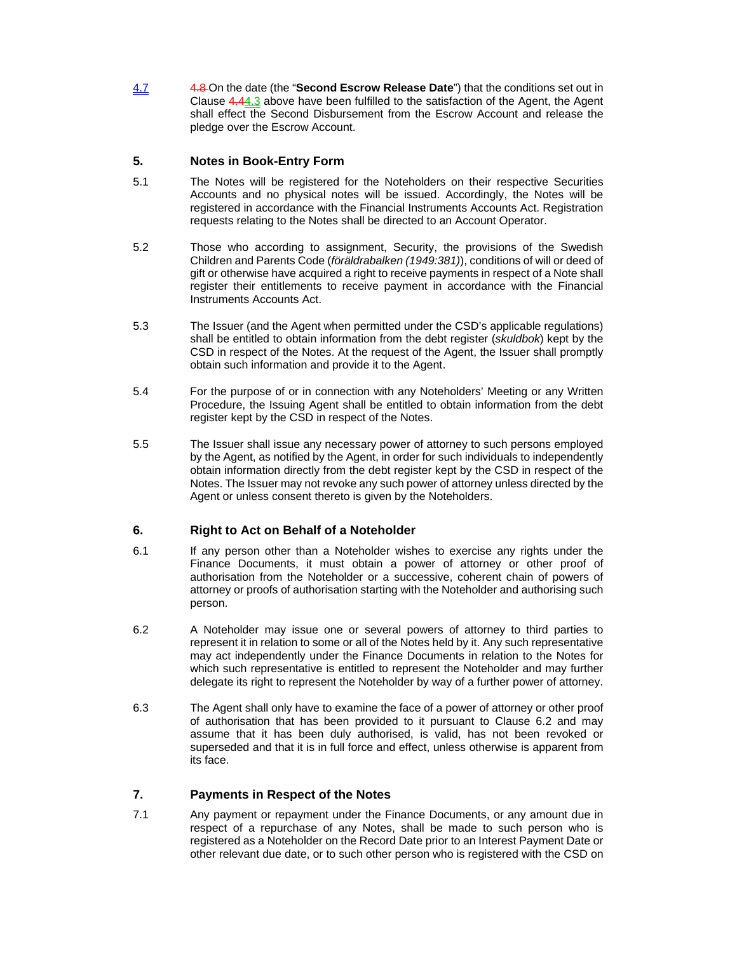4.7 4.8 On the date (the "**Second Escrow Release Date**") that the conditions set out in Clause 4.44.3 above have been fulfilled to the satisfaction of the Agent, the Agent shall effect the Second Disbursement from the Escrow Account and release the pledge over the Escrow Account.

# **5. Notes in Book-Entry Form**

- 5.1 The Notes will be registered for the Noteholders on their respective Securities Accounts and no physical notes will be issued. Accordingly, the Notes will be registered in accordance with the Financial Instruments Accounts Act. Registration requests relating to the Notes shall be directed to an Account Operator.
- 5.2 Those who according to assignment, Security, the provisions of the Swedish Children and Parents Code (*föräldrabalken (1949:381)*), conditions of will or deed of gift or otherwise have acquired a right to receive payments in respect of a Note shall register their entitlements to receive payment in accordance with the Financial Instruments Accounts Act.
- 5.3 The Issuer (and the Agent when permitted under the CSD's applicable regulations) shall be entitled to obtain information from the debt register (*skuldbok*) kept by the CSD in respect of the Notes. At the request of the Agent, the Issuer shall promptly obtain such information and provide it to the Agent.
- 5.4 For the purpose of or in connection with any Noteholders' Meeting or any Written Procedure, the Issuing Agent shall be entitled to obtain information from the debt register kept by the CSD in respect of the Notes.
- 5.5 The Issuer shall issue any necessary power of attorney to such persons employed by the Agent, as notified by the Agent, in order for such individuals to independently obtain information directly from the debt register kept by the CSD in respect of the Notes. The Issuer may not revoke any such power of attorney unless directed by the Agent or unless consent thereto is given by the Noteholders.

# **6. Right to Act on Behalf of a Noteholder**

- 6.1 If any person other than a Noteholder wishes to exercise any rights under the Finance Documents, it must obtain a power of attorney or other proof of authorisation from the Noteholder or a successive, coherent chain of powers of attorney or proofs of authorisation starting with the Noteholder and authorising such person.
- 6.2 A Noteholder may issue one or several powers of attorney to third parties to represent it in relation to some or all of the Notes held by it. Any such representative may act independently under the Finance Documents in relation to the Notes for which such representative is entitled to represent the Noteholder and may further delegate its right to represent the Noteholder by way of a further power of attorney.
- 6.3 The Agent shall only have to examine the face of a power of attorney or other proof of authorisation that has been provided to it pursuant to Clause 6.2 and may assume that it has been duly authorised, is valid, has not been revoked or superseded and that it is in full force and effect, unless otherwise is apparent from its face.

# **7. Payments in Respect of the Notes**

7.1 Any payment or repayment under the Finance Documents, or any amount due in respect of a repurchase of any Notes, shall be made to such person who is registered as a Noteholder on the Record Date prior to an Interest Payment Date or other relevant due date, or to such other person who is registered with the CSD on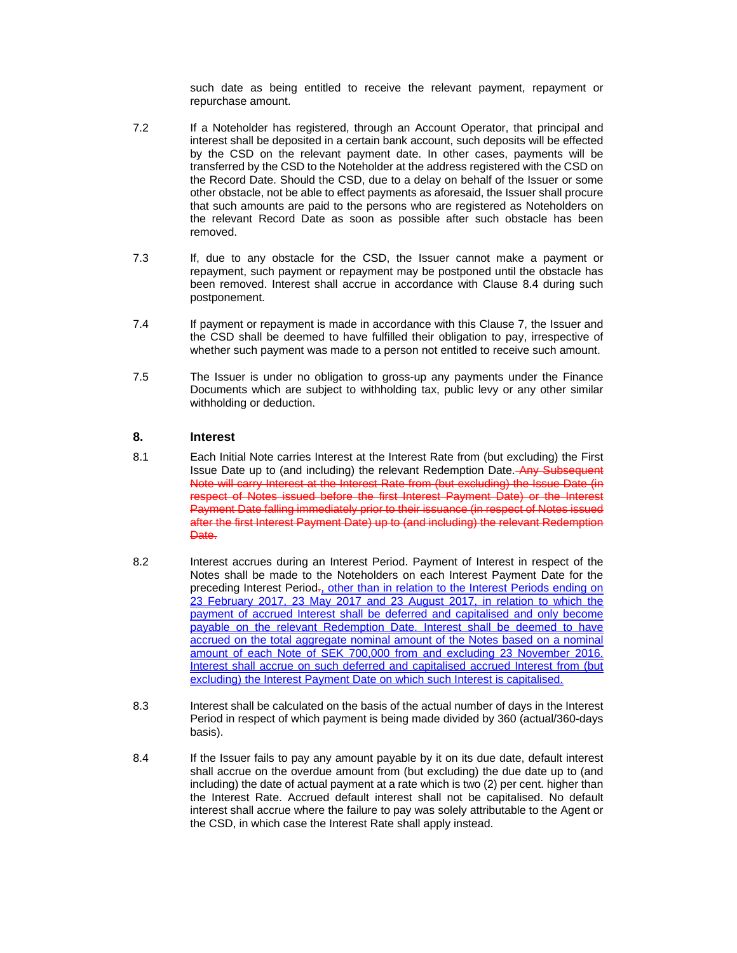such date as being entitled to receive the relevant payment, repayment or repurchase amount.

- 7.2 If a Noteholder has registered, through an Account Operator, that principal and interest shall be deposited in a certain bank account, such deposits will be effected by the CSD on the relevant payment date. In other cases, payments will be transferred by the CSD to the Noteholder at the address registered with the CSD on the Record Date. Should the CSD, due to a delay on behalf of the Issuer or some other obstacle, not be able to effect payments as aforesaid, the Issuer shall procure that such amounts are paid to the persons who are registered as Noteholders on the relevant Record Date as soon as possible after such obstacle has been removed.
- 7.3 If, due to any obstacle for the CSD, the Issuer cannot make a payment or repayment, such payment or repayment may be postponed until the obstacle has been removed. Interest shall accrue in accordance with Clause 8.4 during such postponement.
- 7.4 If payment or repayment is made in accordance with this Clause 7, the Issuer and the CSD shall be deemed to have fulfilled their obligation to pay, irrespective of whether such payment was made to a person not entitled to receive such amount.
- 7.5 The Issuer is under no obligation to gross-up any payments under the Finance Documents which are subject to withholding tax, public levy or any other similar withholding or deduction.

# **8. Interest**

- 8.1 Each Initial Note carries Interest at the Interest Rate from (but excluding) the First Issue Date up to (and including) the relevant Redemption Date. Any Subsequent Note will carry Interest at the Interest Rate from (but excluding) the Issue Date (in respect of Notes issued before the first Interest Payment Date) or the Interest Payment Date falling immediately prior to their issuance (in respect of Notes issued after the first Interest Payment Date) up to (and including) the relevant Redemption Date.
- 8.2 Interest accrues during an Interest Period. Payment of Interest in respect of the Notes shall be made to the Noteholders on each Interest Payment Date for the preceding Interest Period-, other than in relation to the Interest Periods ending on 23 February 2017, 23 May 2017 and 23 August 2017, in relation to which the payment of accrued Interest shall be deferred and capitalised and only become payable on the relevant Redemption Date. Interest shall be deemed to have accrued on the total aggregate nominal amount of the Notes based on a nominal amount of each Note of SEK 700,000 from and excluding 23 November 2016. Interest shall accrue on such deferred and capitalised accrued Interest from (but excluding) the Interest Payment Date on which such Interest is capitalised.
- 8.3 Interest shall be calculated on the basis of the actual number of days in the Interest Period in respect of which payment is being made divided by 360 (actual/360-days basis).
- 8.4 If the Issuer fails to pay any amount payable by it on its due date, default interest shall accrue on the overdue amount from (but excluding) the due date up to (and including) the date of actual payment at a rate which is two (2) per cent. higher than the Interest Rate. Accrued default interest shall not be capitalised. No default interest shall accrue where the failure to pay was solely attributable to the Agent or the CSD, in which case the Interest Rate shall apply instead.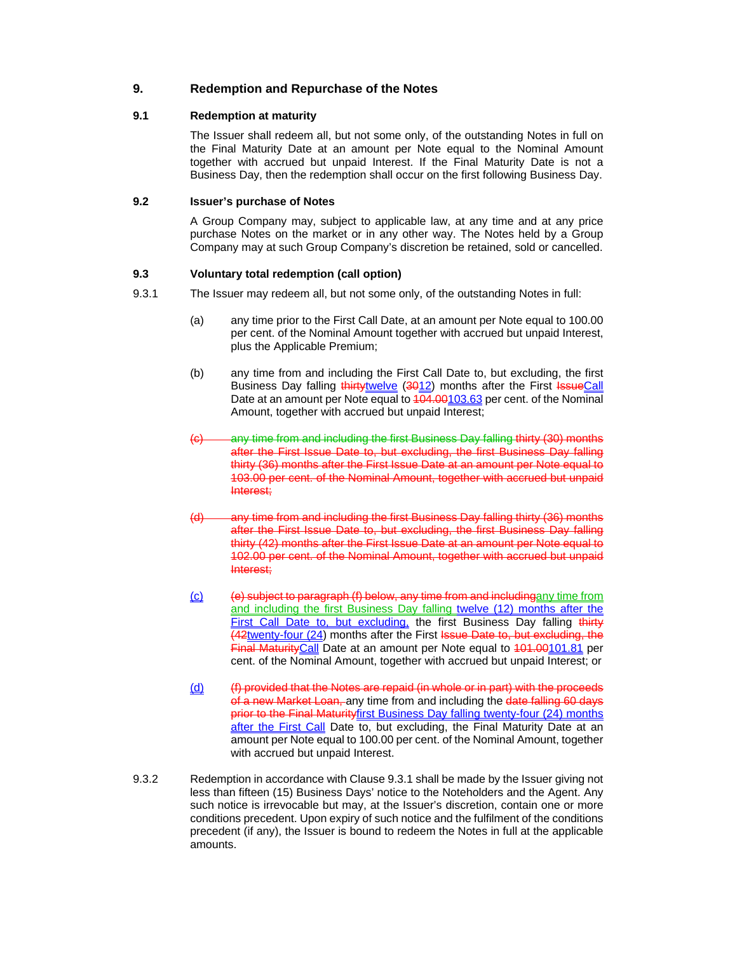# **9. Redemption and Repurchase of the Notes**

# **9.1 Redemption at maturity**

The Issuer shall redeem all, but not some only, of the outstanding Notes in full on the Final Maturity Date at an amount per Note equal to the Nominal Amount together with accrued but unpaid Interest. If the Final Maturity Date is not a Business Day, then the redemption shall occur on the first following Business Day.

### **9.2 Issuer's purchase of Notes**

A Group Company may, subject to applicable law, at any time and at any price purchase Notes on the market or in any other way. The Notes held by a Group Company may at such Group Company's discretion be retained, sold or cancelled.

# **9.3 Voluntary total redemption (call option)**

- 9.3.1 The Issuer may redeem all, but not some only, of the outstanding Notes in full:
	- (a) any time prior to the First Call Date, at an amount per Note equal to 100.00 per cent. of the Nominal Amount together with accrued but unpaid Interest, plus the Applicable Premium;
	- (b) any time from and including the First Call Date to, but excluding, the first Business Day falling thirtytwelve (3012) months after the First IssueCall Date at an amount per Note equal to  $\frac{104.00103.63}{104.00103.63}$  per cent. of the Nominal Amount, together with accrued but unpaid Interest;
	- (c) any time from and including the first Business Day falling thirty (30) months after the First Issue Date to, but excluding, the first Business Day falling thirty (36) months after the First Issue Date at an amount per Note equal to 103.00 per cent. of the Nominal Amount, together with accrued but unpaid Interest;
	- (d) any time from and including the first Business Day falling thirty (36) months after the First Issue Date to, but excluding, the first Business Day falling thirty (42) months after the First Issue Date at an amount per Note equal to 102.00 per cent. of the Nominal Amount, together with accrued but unpaid Interest;
	- (c) (e) subject to paragraph (f) below, any time from and includingany time from and including the first Business Day falling twelve (12) months after the First Call Date to, but excluding, the first Business Day falling thirty (42twenty-four (24) months after the First Issue Date to, but excluding, the Final Maturity Call Date at an amount per Note equal to 401.00101.81 per cent. of the Nominal Amount, together with accrued but unpaid Interest; or
	- (d) (f) provided that the Notes are repaid (in whole or in part) with the proceeds of a new Market Loan, any time from and including the date falling 60 days prior to the Final Maturityfirst Business Day falling twenty-four (24) months after the First Call Date to, but excluding, the Final Maturity Date at an amount per Note equal to 100.00 per cent. of the Nominal Amount, together with accrued but unpaid Interest.
- 9.3.2 Redemption in accordance with Clause 9.3.1 shall be made by the Issuer giving not less than fifteen (15) Business Days' notice to the Noteholders and the Agent. Any such notice is irrevocable but may, at the Issuer's discretion, contain one or more conditions precedent. Upon expiry of such notice and the fulfilment of the conditions precedent (if any), the Issuer is bound to redeem the Notes in full at the applicable amounts.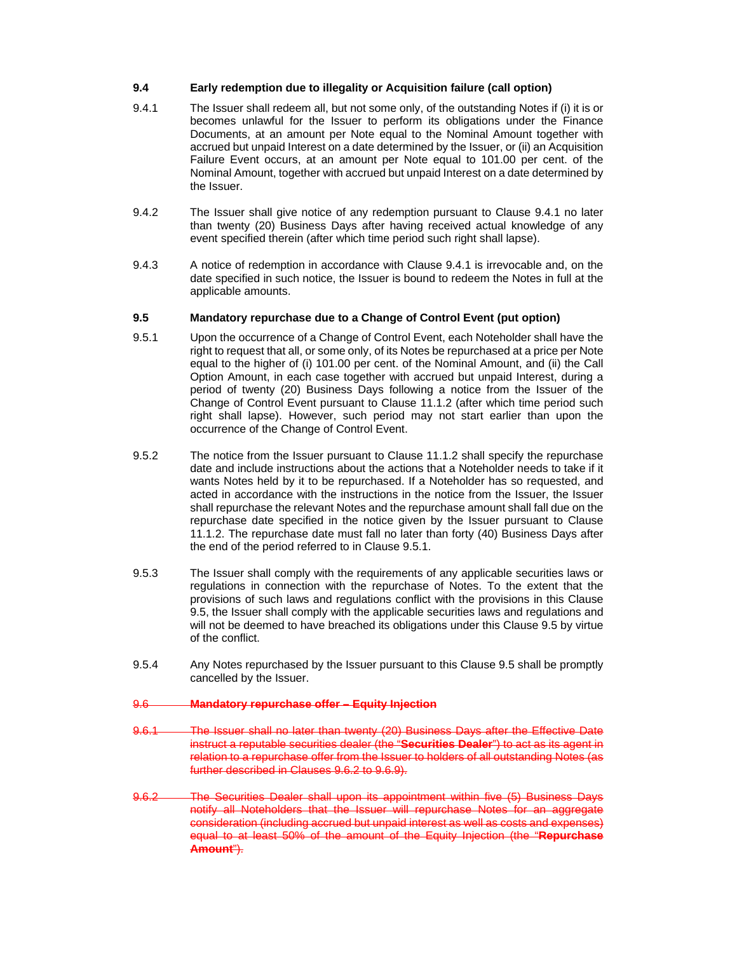#### **9.4 Early redemption due to illegality or Acquisition failure (call option)**

- 9.4.1 The Issuer shall redeem all, but not some only, of the outstanding Notes if (i) it is or becomes unlawful for the Issuer to perform its obligations under the Finance Documents, at an amount per Note equal to the Nominal Amount together with accrued but unpaid Interest on a date determined by the Issuer, or (ii) an Acquisition Failure Event occurs, at an amount per Note equal to 101.00 per cent. of the Nominal Amount, together with accrued but unpaid Interest on a date determined by the Issuer.
- 9.4.2 The Issuer shall give notice of any redemption pursuant to Clause 9.4.1 no later than twenty (20) Business Days after having received actual knowledge of any event specified therein (after which time period such right shall lapse).
- 9.4.3 A notice of redemption in accordance with Clause 9.4.1 is irrevocable and, on the date specified in such notice, the Issuer is bound to redeem the Notes in full at the applicable amounts.

### **9.5 Mandatory repurchase due to a Change of Control Event (put option)**

- 9.5.1 Upon the occurrence of a Change of Control Event, each Noteholder shall have the right to request that all, or some only, of its Notes be repurchased at a price per Note equal to the higher of (i) 101.00 per cent. of the Nominal Amount, and (ii) the Call Option Amount, in each case together with accrued but unpaid Interest, during a period of twenty (20) Business Days following a notice from the Issuer of the Change of Control Event pursuant to Clause 11.1.2 (after which time period such right shall lapse). However, such period may not start earlier than upon the occurrence of the Change of Control Event.
- 9.5.2 The notice from the Issuer pursuant to Clause 11.1.2 shall specify the repurchase date and include instructions about the actions that a Noteholder needs to take if it wants Notes held by it to be repurchased. If a Noteholder has so requested, and acted in accordance with the instructions in the notice from the Issuer, the Issuer shall repurchase the relevant Notes and the repurchase amount shall fall due on the repurchase date specified in the notice given by the Issuer pursuant to Clause 11.1.2. The repurchase date must fall no later than forty (40) Business Days after the end of the period referred to in Clause 9.5.1.
- 9.5.3 The Issuer shall comply with the requirements of any applicable securities laws or regulations in connection with the repurchase of Notes. To the extent that the provisions of such laws and regulations conflict with the provisions in this Clause 9.5, the Issuer shall comply with the applicable securities laws and regulations and will not be deemed to have breached its obligations under this Clause 9.5 by virtue of the conflict.
- 9.5.4 Any Notes repurchased by the Issuer pursuant to this Clause 9.5 shall be promptly cancelled by the Issuer.

#### 9.6 **Mandatory repurchase offer – Equity Injection**

- 9.6.1 The Issuer shall no later than twenty (20) Business Days after the Effective Date instruct a reputable securities dealer (the "**Securities Dealer**") to act as its agent in relation to a repurchase offer from the Issuer to holders of all outstanding Notes (as further described in Clauses 9.6.2 to 9.6.9).
- 9.6.2 The Securities Dealer shall upon its appointment within five (5) Business Days notify all Noteholders that the Issuer will repurchase Notes for an aggregate consideration (including accrued but unpaid interest as well as costs and expenses) equal to at least 50% of the amount of the Equity Injection (the "**Repurchase Amount**").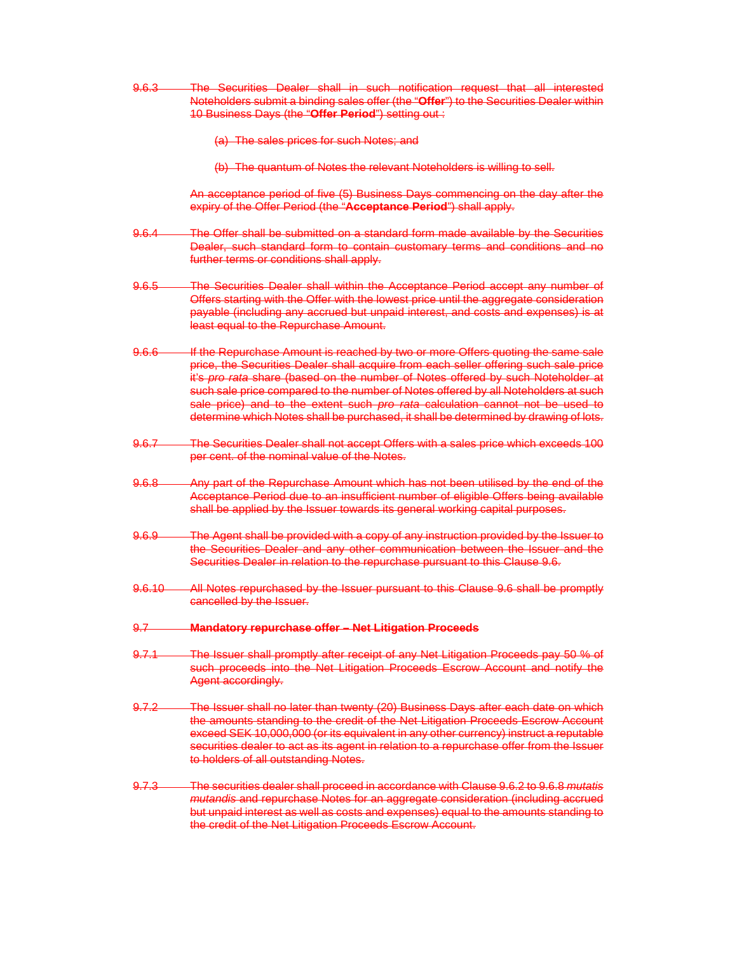- 9.6.3 The Securities Dealer shall in such notification request that all interested Noteholders submit a binding sales offer (the "**Offer**") to the Securities Dealer within 10 Business Days (the "**Offer Period**") setting out :
	- (a) The sales prices for such Notes; and
	- (b) The quantum of Notes the relevant Noteholders is willing to sell.

An acceptance period of five (5) Business Days commencing on the day after the expiry of the Offer Period (the "**Acceptance Period**") shall apply.

- 9.6.4 The Offer shall be submitted on a standard form made available by the Securities Dealer, such standard form to contain customary terms and conditions and no further terms or conditions shall apply.
- 9.6.5 The Securities Dealer shall within the Acceptance Period accept any number of Offers starting with the Offer with the lowest price until the aggregate consideration payable (including any accrued but unpaid interest, and costs and expenses) is at least equal to the Repurchase Amount.
- 9.6.6 If the Repurchase Amount is reached by two or more Offers quoting the same sale price, the Securities Dealer shall acquire from each seller offering such sale price it's *pro rata* share (based on the number of Notes offered by such Noteholder at such sale price compared to the number of Notes offered by all Noteholders at such sale price) and to the extent such *pro rata* calculation cannot not be used to determine which Notes shall be purchased, it shall be determined by drawing of lots.
- 9.6.7 The Securities Dealer shall not accept Offers with a sales price which exceeds 100 per cent. of the nominal value of the Notes.
- 9.6.8 Any part of the Repurchase Amount which has not been utilised by the end of the Acceptance Period due to an insufficient number of eligible Offers being available shall be applied by the Issuer towards its general working capital purposes.
- 9.6.9 The Agent shall be provided with a copy of any instruction provided by the Issuer to the Securities Dealer and any other communication between the Issuer and the Securities Dealer in relation to the repurchase pursuant to this Clause 9.6.
- 9.6.10 All Notes repurchased by the Issuer pursuant to this Clause 9.6 shall be promptly cancelled by the Issuer.
- 9.7 **Mandatory repurchase offer Net Litigation Proceeds**
- 9.7.1 The Issuer shall promptly after receipt of any Net Litigation Proceeds pay 50 % of such proceeds into the Net Litigation Proceeds Escrow Account and notify the Agent accordingly.
- 9.7.2 The Issuer shall no later than twenty (20) Business Days after each date on which the amounts standing to the credit of the Net Litigation Proceeds Escrow Account exceed SEK 10,000,000 (or its equivalent in any other currency) instruct a reputable securities dealer to act as its agent in relation to a repurchase offer from the Issuer to holders of all outstanding Notes.
- 9.7.3 The securities dealer shall proceed in accordance with Clause 9.6.2 to 9.6.8 *mutatis mutandis* and repurchase Notes for an aggregate consideration (including accrued but unpaid interest as well as costs and expenses) equal to the amounts standing to the credit of the Net Litigation Proceeds Escrow Account.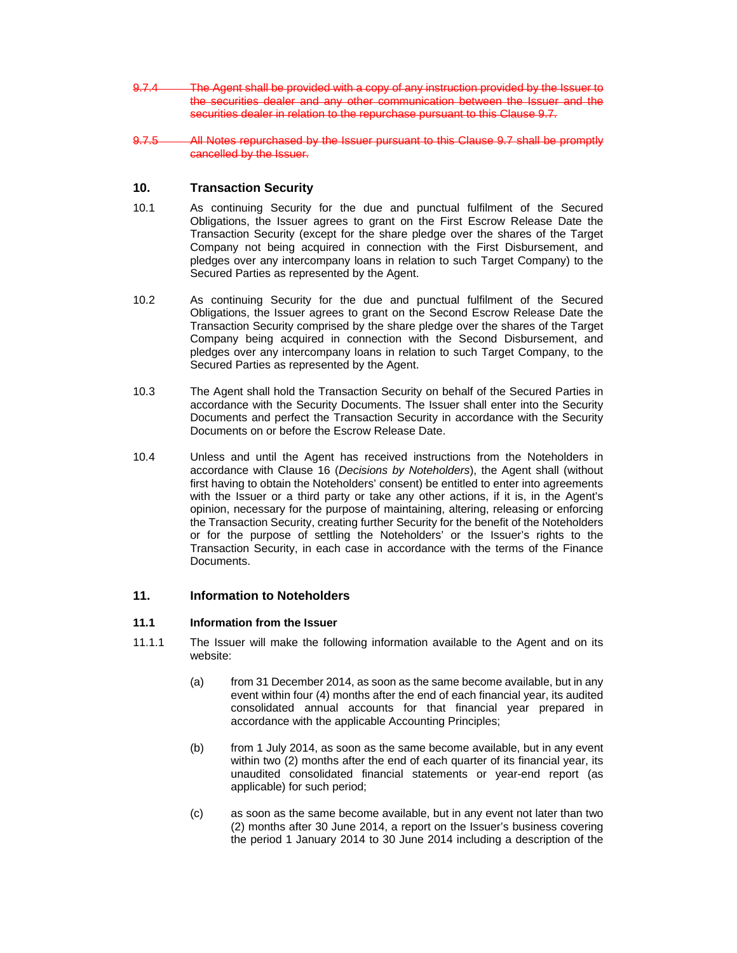- 9.7.4 The Agent shall be provided with a copy of any instruction provided by the Issuer to the securities dealer and any other communication between the Issuer and the securities dealer in relation to the repurchase pursuant to this Clause 9.7.
- 9.7.5 All Notes repurchased by the Issuer pursuant to this Clause 9.7 shall be promptly cancelled by the Issuer.

# **10. Transaction Security**

- 10.1 As continuing Security for the due and punctual fulfilment of the Secured Obligations, the Issuer agrees to grant on the First Escrow Release Date the Transaction Security (except for the share pledge over the shares of the Target Company not being acquired in connection with the First Disbursement, and pledges over any intercompany loans in relation to such Target Company) to the Secured Parties as represented by the Agent.
- 10.2 As continuing Security for the due and punctual fulfilment of the Secured Obligations, the Issuer agrees to grant on the Second Escrow Release Date the Transaction Security comprised by the share pledge over the shares of the Target Company being acquired in connection with the Second Disbursement, and pledges over any intercompany loans in relation to such Target Company, to the Secured Parties as represented by the Agent.
- 10.3 The Agent shall hold the Transaction Security on behalf of the Secured Parties in accordance with the Security Documents. The Issuer shall enter into the Security Documents and perfect the Transaction Security in accordance with the Security Documents on or before the Escrow Release Date.
- 10.4 Unless and until the Agent has received instructions from the Noteholders in accordance with Clause 16 (*Decisions by Noteholders*), the Agent shall (without first having to obtain the Noteholders' consent) be entitled to enter into agreements with the Issuer or a third party or take any other actions, if it is, in the Agent's opinion, necessary for the purpose of maintaining, altering, releasing or enforcing the Transaction Security, creating further Security for the benefit of the Noteholders or for the purpose of settling the Noteholders' or the Issuer's rights to the Transaction Security, in each case in accordance with the terms of the Finance Documents.

# **11. Information to Noteholders**

#### **11.1 Information from the Issuer**

- 11.1.1 The Issuer will make the following information available to the Agent and on its website:
	- (a) from 31 December 2014, as soon as the same become available, but in any event within four (4) months after the end of each financial year, its audited consolidated annual accounts for that financial year prepared in accordance with the applicable Accounting Principles;
	- (b) from 1 July 2014, as soon as the same become available, but in any event within two (2) months after the end of each quarter of its financial year, its unaudited consolidated financial statements or year-end report (as applicable) for such period;
	- (c) as soon as the same become available, but in any event not later than two (2) months after 30 June 2014, a report on the Issuer's business covering the period 1 January 2014 to 30 June 2014 including a description of the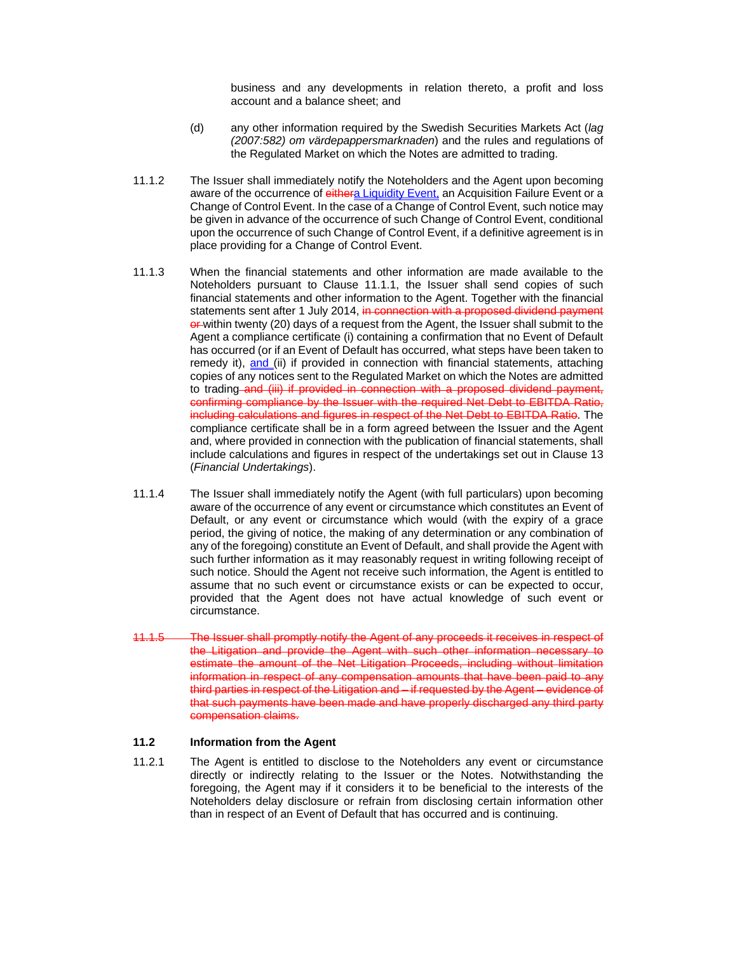business and any developments in relation thereto, a profit and loss account and a balance sheet; and

- (d) any other information required by the Swedish Securities Markets Act (*lag (2007:582) om värdepappersmarknaden*) and the rules and regulations of the Regulated Market on which the Notes are admitted to trading.
- 11.1.2 The Issuer shall immediately notify the Noteholders and the Agent upon becoming aware of the occurrence of eithera Liquidity Event, an Acquisition Failure Event or a Change of Control Event. In the case of a Change of Control Event, such notice may be given in advance of the occurrence of such Change of Control Event, conditional upon the occurrence of such Change of Control Event, if a definitive agreement is in place providing for a Change of Control Event.
- 11.1.3 When the financial statements and other information are made available to the Noteholders pursuant to Clause 11.1.1, the Issuer shall send copies of such financial statements and other information to the Agent. Together with the financial statements sent after 1 July 2014, in connection with a proposed dividend payment **or-** within twenty (20) days of a request from the Agent, the Issuer shall submit to the Agent a compliance certificate (i) containing a confirmation that no Event of Default has occurred (or if an Event of Default has occurred, what steps have been taken to remedy it), and (ii) if provided in connection with financial statements, attaching copies of any notices sent to the Regulated Market on which the Notes are admitted to trading-and (iii) if provided in connection with a proposed dividend payment, confirming compliance by the Issuer with the required Net Debt to EBITDA Ratio, including calculations and figures in respect of the Net Debt to EBITDA Ratio. The compliance certificate shall be in a form agreed between the Issuer and the Agent and, where provided in connection with the publication of financial statements, shall include calculations and figures in respect of the undertakings set out in Clause 13 (*Financial Undertakings*).
- 11.1.4 The Issuer shall immediately notify the Agent (with full particulars) upon becoming aware of the occurrence of any event or circumstance which constitutes an Event of Default, or any event or circumstance which would (with the expiry of a grace period, the giving of notice, the making of any determination or any combination of any of the foregoing) constitute an Event of Default, and shall provide the Agent with such further information as it may reasonably request in writing following receipt of such notice. Should the Agent not receive such information, the Agent is entitled to assume that no such event or circumstance exists or can be expected to occur, provided that the Agent does not have actual knowledge of such event or circumstance.
- 11.1.5 The Issuer shall promptly notify the Agent of any proceeds it receives in respect of the Litigation and provide the Agent with such other information necessary to estimate the amount of the Net Litigation Proceeds, including without limitation information in respect of any compensation amounts that have been paid to any third parties in respect of the Litigation and – if requested by the Agent – evidence of that such payments have been made and have properly discharged any third party compensation claims.

# **11.2 Information from the Agent**

11.2.1 The Agent is entitled to disclose to the Noteholders any event or circumstance directly or indirectly relating to the Issuer or the Notes. Notwithstanding the foregoing, the Agent may if it considers it to be beneficial to the interests of the Noteholders delay disclosure or refrain from disclosing certain information other than in respect of an Event of Default that has occurred and is continuing.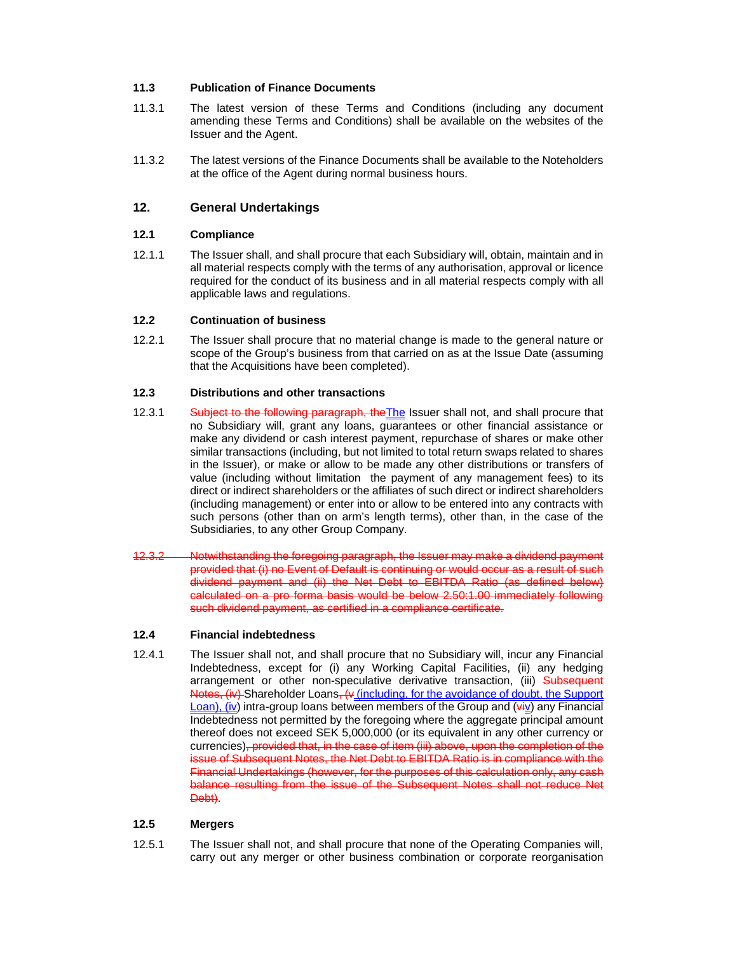# **11.3 Publication of Finance Documents**

- 11.3.1 The latest version of these Terms and Conditions (including any document amending these Terms and Conditions) shall be available on the websites of the Issuer and the Agent.
- 11.3.2 The latest versions of the Finance Documents shall be available to the Noteholders at the office of the Agent during normal business hours.

# **12. General Undertakings**

# **12.1 Compliance**

12.1.1 The Issuer shall, and shall procure that each Subsidiary will, obtain, maintain and in all material respects comply with the terms of any authorisation, approval or licence required for the conduct of its business and in all material respects comply with all applicable laws and regulations.

### **12.2 Continuation of business**

12.2.1 The Issuer shall procure that no material change is made to the general nature or scope of the Group's business from that carried on as at the Issue Date (assuming that the Acquisitions have been completed).

# **12.3 Distributions and other transactions**

- 12.3.1 Subject to the following paragraph, the The Issuer shall not, and shall procure that no Subsidiary will, grant any loans, guarantees or other financial assistance or make any dividend or cash interest payment, repurchase of shares or make other similar transactions (including, but not limited to total return swaps related to shares in the Issuer), or make or allow to be made any other distributions or transfers of value (including without limitation the payment of any management fees) to its direct or indirect shareholders or the affiliates of such direct or indirect shareholders (including management) or enter into or allow to be entered into any contracts with such persons (other than on arm's length terms), other than, in the case of the Subsidiaries, to any other Group Company.
- 12.3.2 Notwithstanding the foregoing paragraph, the Issuer may make a dividend payment provided that (i) no Event of Default is continuing or would occur as a result of such dividend payment and (ii) the Net Debt to EBITDA Ratio (as defined below) calculated on a pro forma basis would be below 2.50:1.00 immediately following such dividend payment, as certified in a compliance certificate.

# **12.4 Financial indebtedness**

12.4.1 The Issuer shall not, and shall procure that no Subsidiary will, incur any Financial Indebtedness, except for (i) any Working Capital Facilities, (ii) any hedging arrangement or other non-speculative derivative transaction, (iii) Subsequent Notes, (iv) Shareholder Loans, (v (including, for the avoidance of doubt, the Support  $\frac{\text{Loan}}{\text{U}}$  intra-group loans between members of the Group and  $(\overrightarrow{uy})$  any Financial Indebtedness not permitted by the foregoing where the aggregate principal amount thereof does not exceed SEK 5,000,000 (or its equivalent in any other currency or currencies)<del>, provided that, in the case of item (iii) above, upon the completion of the</del> issue of Subsequent Notes, the Net Debt to EBITDA Ratio is in compliance with the Financial Undertakings (however, for the purposes of this calculation only, any cash balance resulting from the issue of the Subsequent Notes shall not reduce Net Debt).

### **12.5 Mergers**

12.5.1 The Issuer shall not, and shall procure that none of the Operating Companies will, carry out any merger or other business combination or corporate reorganisation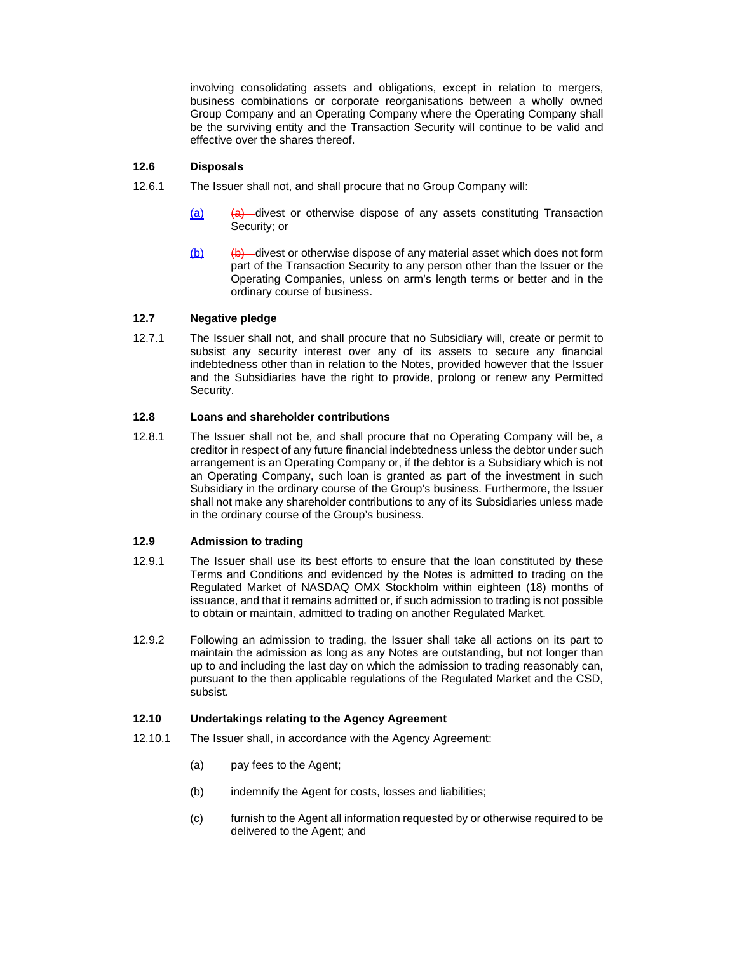involving consolidating assets and obligations, except in relation to mergers, business combinations or corporate reorganisations between a wholly owned Group Company and an Operating Company where the Operating Company shall be the surviving entity and the Transaction Security will continue to be valid and effective over the shares thereof.

# **12.6 Disposals**

- 12.6.1 The Issuer shall not, and shall procure that no Group Company will:
	- $(a)$  (a) divest or otherwise dispose of any assets constituting Transaction Security; or
	- $(b)$  (b) divest or otherwise dispose of any material asset which does not form part of the Transaction Security to any person other than the Issuer or the Operating Companies, unless on arm's length terms or better and in the ordinary course of business.

### **12.7 Negative pledge**

12.7.1 The Issuer shall not, and shall procure that no Subsidiary will, create or permit to subsist any security interest over any of its assets to secure any financial indebtedness other than in relation to the Notes, provided however that the Issuer and the Subsidiaries have the right to provide, prolong or renew any Permitted Security.

#### **12.8 Loans and shareholder contributions**

12.8.1 The Issuer shall not be, and shall procure that no Operating Company will be, a creditor in respect of any future financial indebtedness unless the debtor under such arrangement is an Operating Company or, if the debtor is a Subsidiary which is not an Operating Company, such loan is granted as part of the investment in such Subsidiary in the ordinary course of the Group's business. Furthermore, the Issuer shall not make any shareholder contributions to any of its Subsidiaries unless made in the ordinary course of the Group's business.

#### **12.9 Admission to trading**

- 12.9.1 The Issuer shall use its best efforts to ensure that the loan constituted by these Terms and Conditions and evidenced by the Notes is admitted to trading on the Regulated Market of NASDAQ OMX Stockholm within eighteen (18) months of issuance, and that it remains admitted or, if such admission to trading is not possible to obtain or maintain, admitted to trading on another Regulated Market.
- 12.9.2 Following an admission to trading, the Issuer shall take all actions on its part to maintain the admission as long as any Notes are outstanding, but not longer than up to and including the last day on which the admission to trading reasonably can, pursuant to the then applicable regulations of the Regulated Market and the CSD, subsist.

#### **12.10 Undertakings relating to the Agency Agreement**

- 12.10.1 The Issuer shall, in accordance with the Agency Agreement:
	- (a) pay fees to the Agent;
	- (b) indemnify the Agent for costs, losses and liabilities;
	- (c) furnish to the Agent all information requested by or otherwise required to be delivered to the Agent; and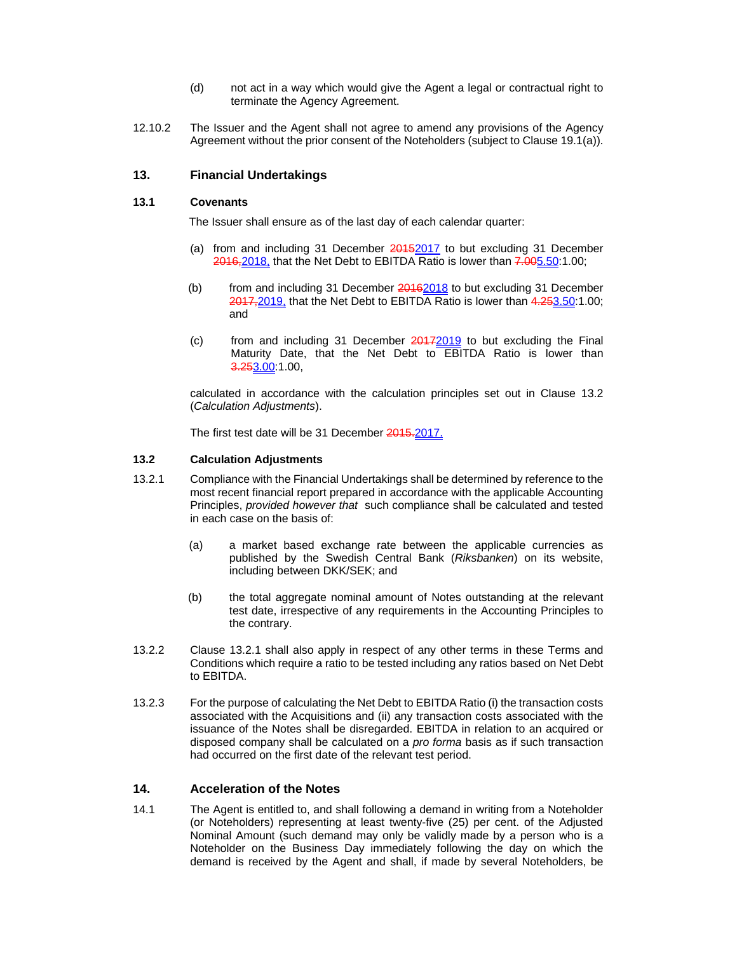- (d) not act in a way which would give the Agent a legal or contractual right to terminate the Agency Agreement.
- 12.10.2 The Issuer and the Agent shall not agree to amend any provisions of the Agency Agreement without the prior consent of the Noteholders (subject to Clause 19.1(a)).

# **13. Financial Undertakings**

### **13.1 Covenants**

The Issuer shall ensure as of the last day of each calendar quarter:

- (a) from and including 31 December 20152017 to but excluding 31 December 2016, 2018, that the Net Debt to EBITDA Ratio is lower than 7.005.50:1.00;
- (b) from and including 31 December 20162018 to but excluding 31 December 2017, 2019, that the Net Debt to EBITDA Ratio is lower than 4.253.50:1.00; and
- (c) from and including 31 December  $20172019$  to but excluding the Final Maturity Date, that the Net Debt to EBITDA Ratio is lower than 3.253.00:1.00,

calculated in accordance with the calculation principles set out in Clause 13.2 (*Calculation Adjustments*).

The first test date will be 31 December 2015.2017.

### **13.2 Calculation Adjustments**

- 13.2.1 Compliance with the Financial Undertakings shall be determined by reference to the most recent financial report prepared in accordance with the applicable Accounting Principles, *provided however that* such compliance shall be calculated and tested in each case on the basis of:
	- (a) a market based exchange rate between the applicable currencies as published by the Swedish Central Bank (*Riksbanken*) on its website, including between DKK/SEK; and
	- (b) the total aggregate nominal amount of Notes outstanding at the relevant test date, irrespective of any requirements in the Accounting Principles to the contrary.
- 13.2.2 Clause 13.2.1 shall also apply in respect of any other terms in these Terms and Conditions which require a ratio to be tested including any ratios based on Net Debt to EBITDA.
- 13.2.3 For the purpose of calculating the Net Debt to EBITDA Ratio (i) the transaction costs associated with the Acquisitions and (ii) any transaction costs associated with the issuance of the Notes shall be disregarded. EBITDA in relation to an acquired or disposed company shall be calculated on a *pro forma* basis as if such transaction had occurred on the first date of the relevant test period.

# **14. Acceleration of the Notes**

14.1 The Agent is entitled to, and shall following a demand in writing from a Noteholder (or Noteholders) representing at least twenty-five (25) per cent. of the Adjusted Nominal Amount (such demand may only be validly made by a person who is a Noteholder on the Business Day immediately following the day on which the demand is received by the Agent and shall, if made by several Noteholders, be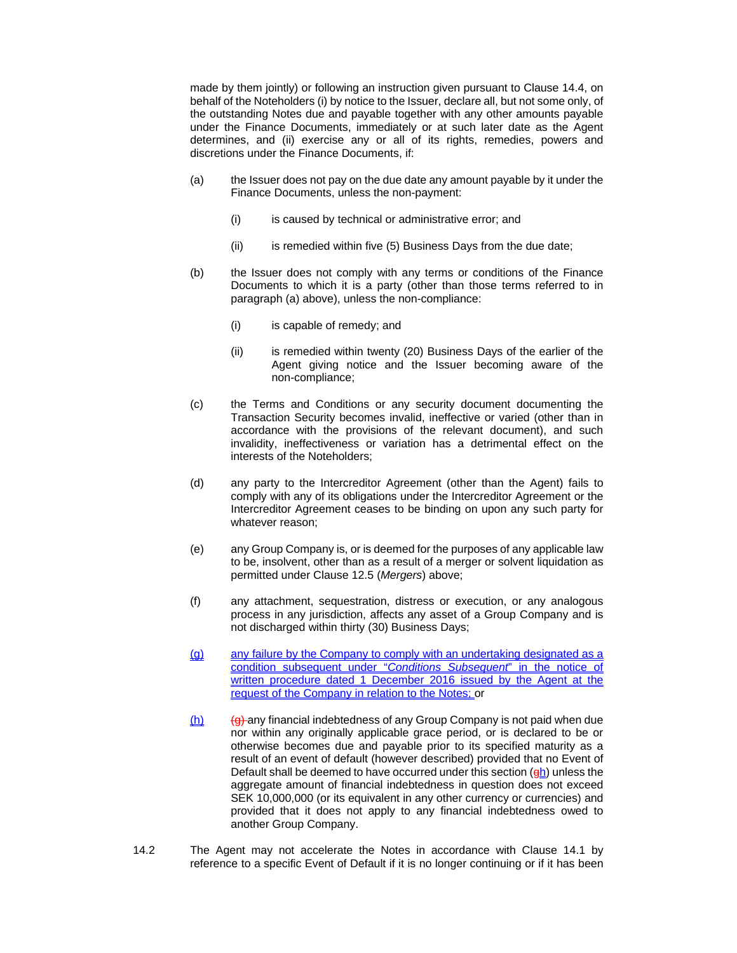made by them jointly) or following an instruction given pursuant to Clause 14.4, on behalf of the Noteholders (i) by notice to the Issuer, declare all, but not some only, of the outstanding Notes due and payable together with any other amounts payable under the Finance Documents, immediately or at such later date as the Agent determines, and (ii) exercise any or all of its rights, remedies, powers and discretions under the Finance Documents, if:

- (a) the Issuer does not pay on the due date any amount payable by it under the Finance Documents, unless the non-payment:
	- (i) is caused by technical or administrative error; and
	- (ii) is remedied within five (5) Business Days from the due date;
- (b) the Issuer does not comply with any terms or conditions of the Finance Documents to which it is a party (other than those terms referred to in paragraph (a) above), unless the non-compliance:
	- (i) is capable of remedy; and
	- (ii) is remedied within twenty (20) Business Days of the earlier of the Agent giving notice and the Issuer becoming aware of the non-compliance;
- (c) the Terms and Conditions or any security document documenting the Transaction Security becomes invalid, ineffective or varied (other than in accordance with the provisions of the relevant document), and such invalidity, ineffectiveness or variation has a detrimental effect on the interests of the Noteholders;
- (d) any party to the Intercreditor Agreement (other than the Agent) fails to comply with any of its obligations under the Intercreditor Agreement or the Intercreditor Agreement ceases to be binding on upon any such party for whatever reason;
- (e) any Group Company is, or is deemed for the purposes of any applicable law to be, insolvent, other than as a result of a merger or solvent liquidation as permitted under Clause 12.5 (*Mergers*) above;
- (f) any attachment, sequestration, distress or execution, or any analogous process in any jurisdiction, affects any asset of a Group Company and is not discharged within thirty (30) Business Days;
- (g) any failure by the Company to comply with an undertaking designated as a condition subsequent under "*Conditions Subsequent*" in the notice of written procedure dated 1 December 2016 issued by the Agent at the request of the Company in relation to the Notes; or
- $(h)$  (g) any financial indebtedness of any Group Company is not paid when due nor within any originally applicable grace period, or is declared to be or otherwise becomes due and payable prior to its specified maturity as a result of an event of default (however described) provided that no Event of Default shall be deemed to have occurred under this section  $(qh)$  unless the aggregate amount of financial indebtedness in question does not exceed SEK 10,000,000 (or its equivalent in any other currency or currencies) and provided that it does not apply to any financial indebtedness owed to another Group Company.
- 14.2 The Agent may not accelerate the Notes in accordance with Clause 14.1 by reference to a specific Event of Default if it is no longer continuing or if it has been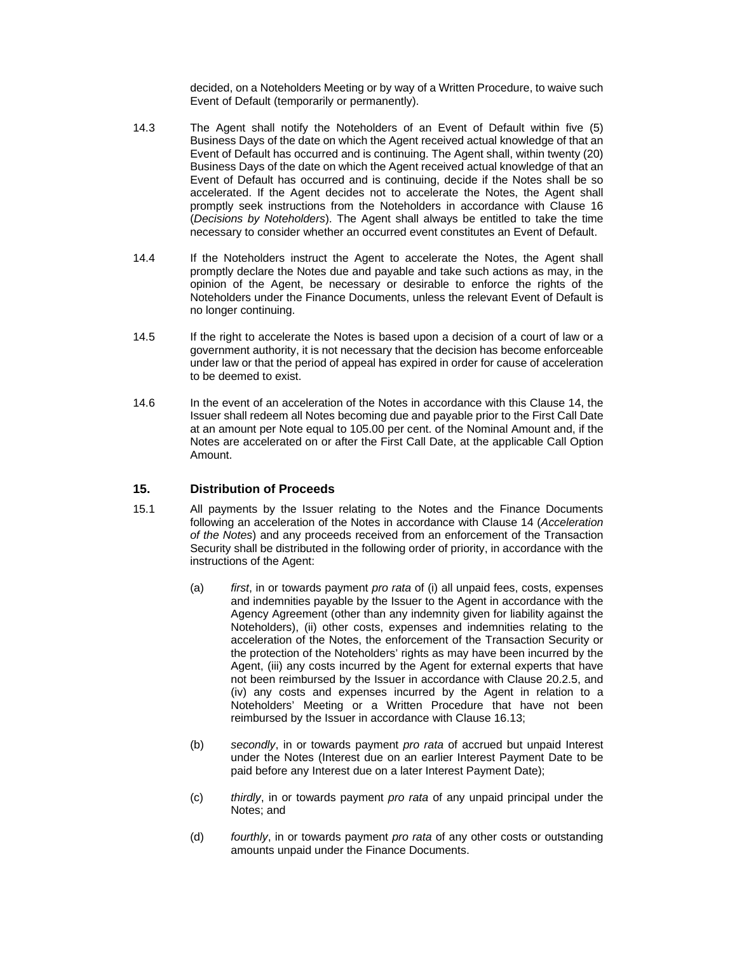decided, on a Noteholders Meeting or by way of a Written Procedure, to waive such Event of Default (temporarily or permanently).

- 14.3 The Agent shall notify the Noteholders of an Event of Default within five (5) Business Days of the date on which the Agent received actual knowledge of that an Event of Default has occurred and is continuing. The Agent shall, within twenty (20) Business Days of the date on which the Agent received actual knowledge of that an Event of Default has occurred and is continuing, decide if the Notes shall be so accelerated. If the Agent decides not to accelerate the Notes, the Agent shall promptly seek instructions from the Noteholders in accordance with Clause 16 (*Decisions by Noteholders*). The Agent shall always be entitled to take the time necessary to consider whether an occurred event constitutes an Event of Default.
- 14.4 If the Noteholders instruct the Agent to accelerate the Notes, the Agent shall promptly declare the Notes due and payable and take such actions as may, in the opinion of the Agent, be necessary or desirable to enforce the rights of the Noteholders under the Finance Documents, unless the relevant Event of Default is no longer continuing.
- 14.5 If the right to accelerate the Notes is based upon a decision of a court of law or a government authority, it is not necessary that the decision has become enforceable under law or that the period of appeal has expired in order for cause of acceleration to be deemed to exist.
- 14.6 In the event of an acceleration of the Notes in accordance with this Clause 14, the Issuer shall redeem all Notes becoming due and payable prior to the First Call Date at an amount per Note equal to 105.00 per cent. of the Nominal Amount and, if the Notes are accelerated on or after the First Call Date, at the applicable Call Option Amount.

# **15. Distribution of Proceeds**

- 15.1 All payments by the Issuer relating to the Notes and the Finance Documents following an acceleration of the Notes in accordance with Clause 14 (*Acceleration of the Notes*) and any proceeds received from an enforcement of the Transaction Security shall be distributed in the following order of priority, in accordance with the instructions of the Agent:
	- (a) *first*, in or towards payment *pro rata* of (i) all unpaid fees, costs, expenses and indemnities payable by the Issuer to the Agent in accordance with the Agency Agreement (other than any indemnity given for liability against the Noteholders), (ii) other costs, expenses and indemnities relating to the acceleration of the Notes, the enforcement of the Transaction Security or the protection of the Noteholders' rights as may have been incurred by the Agent, (iii) any costs incurred by the Agent for external experts that have not been reimbursed by the Issuer in accordance with Clause 20.2.5, and (iv) any costs and expenses incurred by the Agent in relation to a Noteholders' Meeting or a Written Procedure that have not been reimbursed by the Issuer in accordance with Clause 16.13;
	- (b) *secondly*, in or towards payment *pro rata* of accrued but unpaid Interest under the Notes (Interest due on an earlier Interest Payment Date to be paid before any Interest due on a later Interest Payment Date);
	- (c) *thirdly*, in or towards payment *pro rata* of any unpaid principal under the Notes; and
	- (d) *fourthly*, in or towards payment *pro rata* of any other costs or outstanding amounts unpaid under the Finance Documents.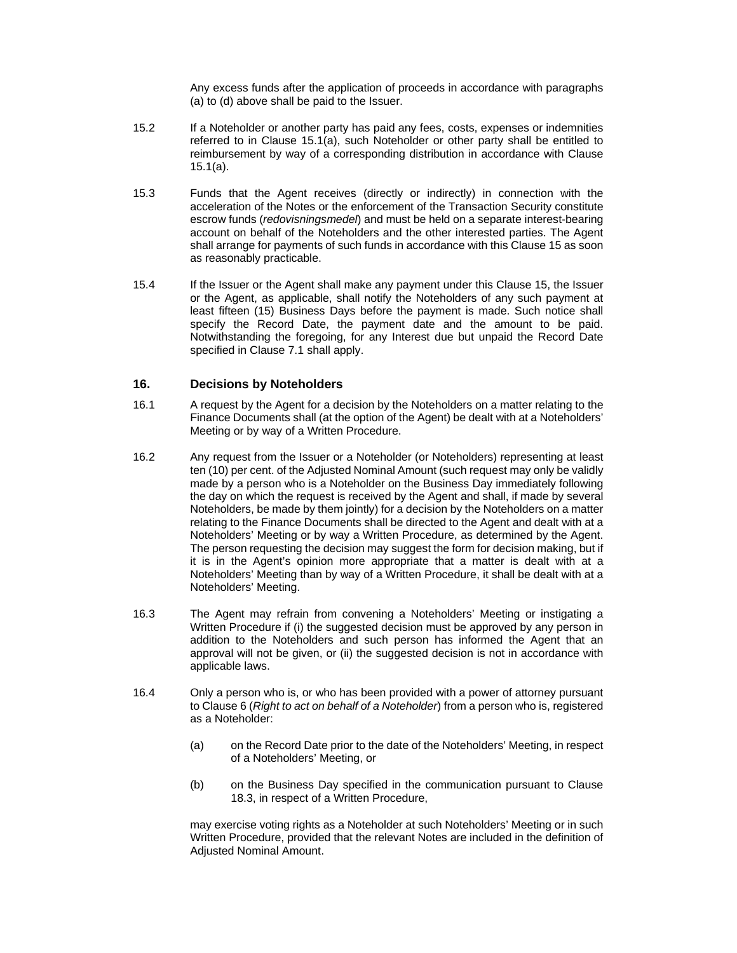Any excess funds after the application of proceeds in accordance with paragraphs (a) to (d) above shall be paid to the Issuer.

- 15.2 If a Noteholder or another party has paid any fees, costs, expenses or indemnities referred to in Clause 15.1(a), such Noteholder or other party shall be entitled to reimbursement by way of a corresponding distribution in accordance with Clause 15.1(a).
- 15.3 Funds that the Agent receives (directly or indirectly) in connection with the acceleration of the Notes or the enforcement of the Transaction Security constitute escrow funds (*redovisningsmedel*) and must be held on a separate interest-bearing account on behalf of the Noteholders and the other interested parties. The Agent shall arrange for payments of such funds in accordance with this Clause 15 as soon as reasonably practicable.
- 15.4 If the Issuer or the Agent shall make any payment under this Clause 15, the Issuer or the Agent, as applicable, shall notify the Noteholders of any such payment at least fifteen (15) Business Days before the payment is made. Such notice shall specify the Record Date, the payment date and the amount to be paid. Notwithstanding the foregoing, for any Interest due but unpaid the Record Date specified in Clause 7.1 shall apply.

# **16. Decisions by Noteholders**

- 16.1 A request by the Agent for a decision by the Noteholders on a matter relating to the Finance Documents shall (at the option of the Agent) be dealt with at a Noteholders' Meeting or by way of a Written Procedure.
- 16.2 Any request from the Issuer or a Noteholder (or Noteholders) representing at least ten (10) per cent. of the Adjusted Nominal Amount (such request may only be validly made by a person who is a Noteholder on the Business Day immediately following the day on which the request is received by the Agent and shall, if made by several Noteholders, be made by them jointly) for a decision by the Noteholders on a matter relating to the Finance Documents shall be directed to the Agent and dealt with at a Noteholders' Meeting or by way a Written Procedure, as determined by the Agent. The person requesting the decision may suggest the form for decision making, but if it is in the Agent's opinion more appropriate that a matter is dealt with at a Noteholders' Meeting than by way of a Written Procedure, it shall be dealt with at a Noteholders' Meeting.
- 16.3 The Agent may refrain from convening a Noteholders' Meeting or instigating a Written Procedure if (i) the suggested decision must be approved by any person in addition to the Noteholders and such person has informed the Agent that an approval will not be given, or (ii) the suggested decision is not in accordance with applicable laws.
- 16.4 Only a person who is, or who has been provided with a power of attorney pursuant to Clause 6 (*Right to act on behalf of a Noteholder*) from a person who is, registered as a Noteholder:
	- (a) on the Record Date prior to the date of the Noteholders' Meeting, in respect of a Noteholders' Meeting, or
	- (b) on the Business Day specified in the communication pursuant to Clause 18.3, in respect of a Written Procedure,

may exercise voting rights as a Noteholder at such Noteholders' Meeting or in such Written Procedure, provided that the relevant Notes are included in the definition of Adjusted Nominal Amount.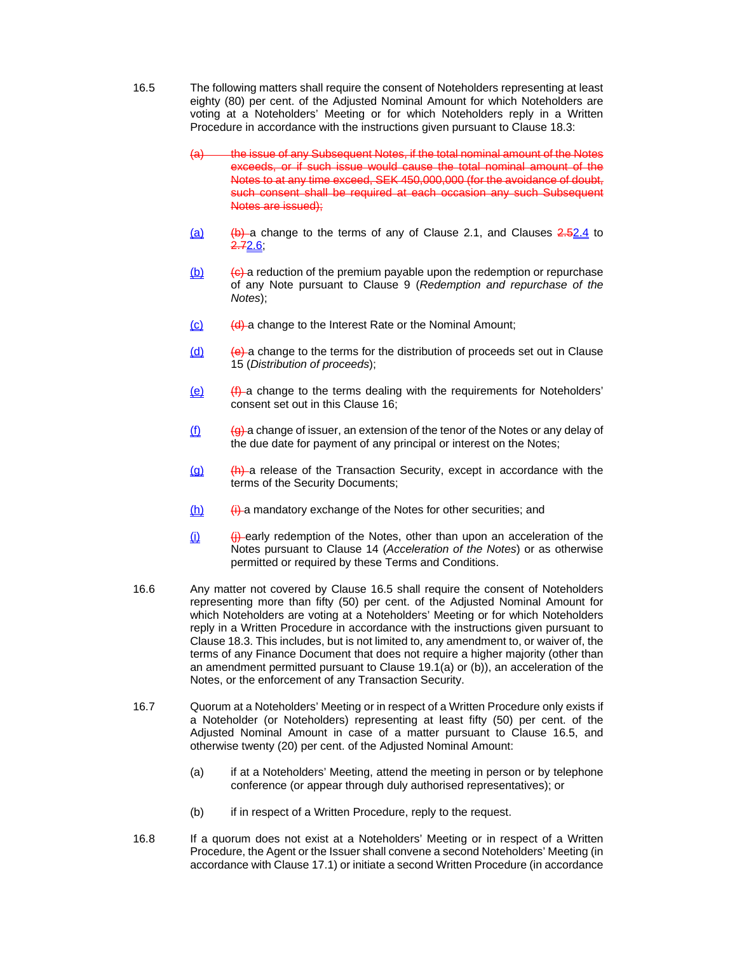- 16.5 The following matters shall require the consent of Noteholders representing at least eighty (80) per cent. of the Adjusted Nominal Amount for which Noteholders are voting at a Noteholders' Meeting or for which Noteholders reply in a Written Procedure in accordance with the instructions given pursuant to Clause 18.3:
	- (a) the issue of any Subsequent Notes, if the total nominal amount of the Notes exceeds, or if such issue would cause the total nominal amount of the Notes to at any time exceed, SEK 450,000,000 (for the avoidance of doubt, such consent shall be required at each occasion any such Subsequent Notes are issued);
	- $(a)$  (b) a change to the terms of any of Clause 2.1, and Clauses  $2.52.4$  to 2.72.6;
	- $(b)$  (b) (c) a reduction of the premium payable upon the redemption or repurchase of any Note pursuant to Clause 9 (*Redemption and repurchase of the Notes*);
	- $(c)$  (d) a change to the Interest Rate or the Nominal Amount;
	- $\frac{d}{dx}$  (e) a change to the terms for the distribution of proceeds set out in Clause 15 (*Distribution of proceeds*);
	- $(e)$  (f) a change to the terms dealing with the requirements for Noteholders' consent set out in this Clause 16;
	- $\underline{\textbf{(f)}}$  (g) a change of issuer, an extension of the tenor of the Notes or any delay of the due date for payment of any principal or interest on the Notes;
	- $(q)$  (h) a release of the Transaction Security, except in accordance with the terms of the Security Documents;
	- $(h)$  (i) a mandatory exchange of the Notes for other securities; and
	- $(i)$  (i) early redemption of the Notes, other than upon an acceleration of the Notes pursuant to Clause 14 (*Acceleration of the Notes*) or as otherwise permitted or required by these Terms and Conditions.
- 16.6 Any matter not covered by Clause 16.5 shall require the consent of Noteholders representing more than fifty (50) per cent. of the Adjusted Nominal Amount for which Noteholders are voting at a Noteholders' Meeting or for which Noteholders reply in a Written Procedure in accordance with the instructions given pursuant to Clause 18.3. This includes, but is not limited to, any amendment to, or waiver of, the terms of any Finance Document that does not require a higher majority (other than an amendment permitted pursuant to Clause 19.1(a) or (b)), an acceleration of the Notes, or the enforcement of any Transaction Security.
- 16.7 Quorum at a Noteholders' Meeting or in respect of a Written Procedure only exists if a Noteholder (or Noteholders) representing at least fifty (50) per cent. of the Adjusted Nominal Amount in case of a matter pursuant to Clause 16.5, and otherwise twenty (20) per cent. of the Adjusted Nominal Amount:
	- (a) if at a Noteholders' Meeting, attend the meeting in person or by telephone conference (or appear through duly authorised representatives); or
	- (b) if in respect of a Written Procedure, reply to the request.
- 16.8 If a quorum does not exist at a Noteholders' Meeting or in respect of a Written Procedure, the Agent or the Issuer shall convene a second Noteholders' Meeting (in accordance with Clause 17.1) or initiate a second Written Procedure (in accordance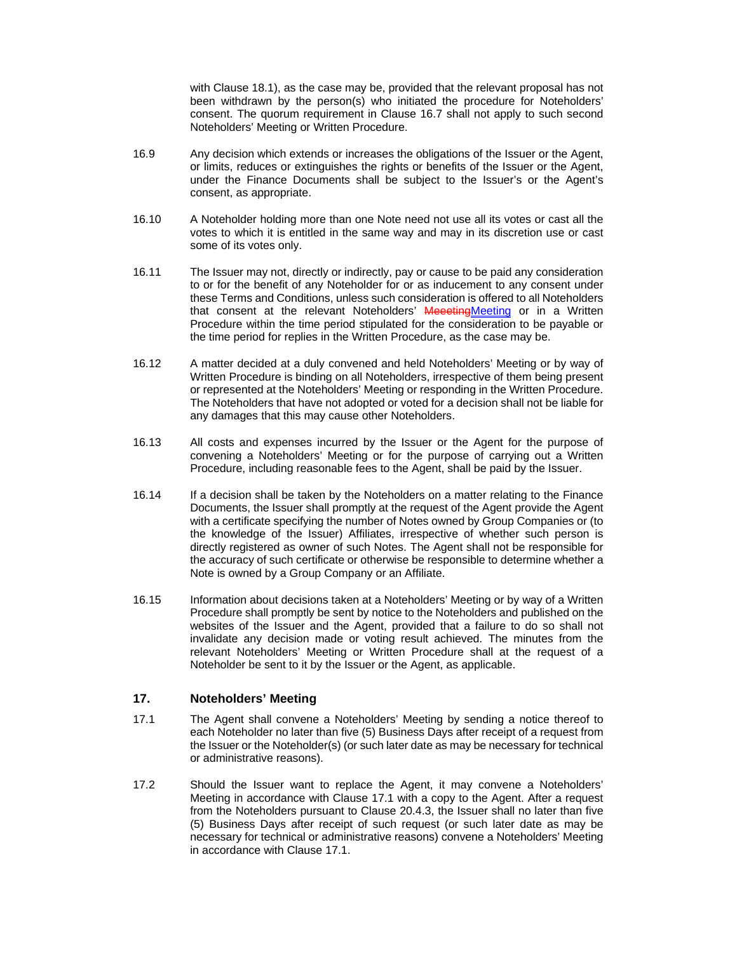with Clause 18.1), as the case may be, provided that the relevant proposal has not been withdrawn by the person(s) who initiated the procedure for Noteholders' consent. The quorum requirement in Clause 16.7 shall not apply to such second Noteholders' Meeting or Written Procedure.

- 16.9 Any decision which extends or increases the obligations of the Issuer or the Agent, or limits, reduces or extinguishes the rights or benefits of the Issuer or the Agent, under the Finance Documents shall be subject to the Issuer's or the Agent's consent, as appropriate.
- 16.10 A Noteholder holding more than one Note need not use all its votes or cast all the votes to which it is entitled in the same way and may in its discretion use or cast some of its votes only.
- 16.11 The Issuer may not, directly or indirectly, pay or cause to be paid any consideration to or for the benefit of any Noteholder for or as inducement to any consent under these Terms and Conditions, unless such consideration is offered to all Noteholders that consent at the relevant Noteholders' Meeeting Meeting or in a Written Procedure within the time period stipulated for the consideration to be payable or the time period for replies in the Written Procedure, as the case may be.
- 16.12 A matter decided at a duly convened and held Noteholders' Meeting or by way of Written Procedure is binding on all Noteholders, irrespective of them being present or represented at the Noteholders' Meeting or responding in the Written Procedure. The Noteholders that have not adopted or voted for a decision shall not be liable for any damages that this may cause other Noteholders.
- 16.13 All costs and expenses incurred by the Issuer or the Agent for the purpose of convening a Noteholders' Meeting or for the purpose of carrying out a Written Procedure, including reasonable fees to the Agent, shall be paid by the Issuer.
- 16.14 If a decision shall be taken by the Noteholders on a matter relating to the Finance Documents, the Issuer shall promptly at the request of the Agent provide the Agent with a certificate specifying the number of Notes owned by Group Companies or (to the knowledge of the Issuer) Affiliates, irrespective of whether such person is directly registered as owner of such Notes. The Agent shall not be responsible for the accuracy of such certificate or otherwise be responsible to determine whether a Note is owned by a Group Company or an Affiliate.
- 16.15 Information about decisions taken at a Noteholders' Meeting or by way of a Written Procedure shall promptly be sent by notice to the Noteholders and published on the websites of the Issuer and the Agent, provided that a failure to do so shall not invalidate any decision made or voting result achieved. The minutes from the relevant Noteholders' Meeting or Written Procedure shall at the request of a Noteholder be sent to it by the Issuer or the Agent, as applicable.

# **17. Noteholders' Meeting**

- 17.1 The Agent shall convene a Noteholders' Meeting by sending a notice thereof to each Noteholder no later than five (5) Business Days after receipt of a request from the Issuer or the Noteholder(s) (or such later date as may be necessary for technical or administrative reasons).
- 17.2 Should the Issuer want to replace the Agent, it may convene a Noteholders' Meeting in accordance with Clause 17.1 with a copy to the Agent. After a request from the Noteholders pursuant to Clause 20.4.3, the Issuer shall no later than five (5) Business Days after receipt of such request (or such later date as may be necessary for technical or administrative reasons) convene a Noteholders' Meeting in accordance with Clause 17.1.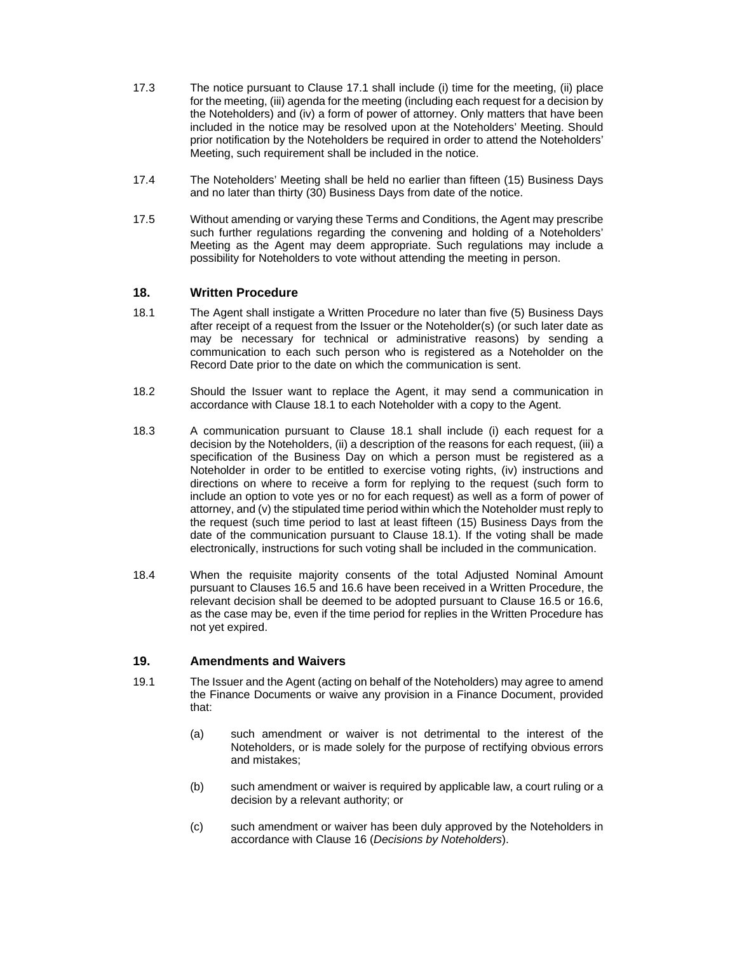- 17.3 The notice pursuant to Clause 17.1 shall include (i) time for the meeting, (ii) place for the meeting, (iii) agenda for the meeting (including each request for a decision by the Noteholders) and (iv) a form of power of attorney. Only matters that have been included in the notice may be resolved upon at the Noteholders' Meeting. Should prior notification by the Noteholders be required in order to attend the Noteholders' Meeting, such requirement shall be included in the notice.
- 17.4 The Noteholders' Meeting shall be held no earlier than fifteen (15) Business Days and no later than thirty (30) Business Days from date of the notice.
- 17.5 Without amending or varying these Terms and Conditions, the Agent may prescribe such further regulations regarding the convening and holding of a Noteholders' Meeting as the Agent may deem appropriate. Such regulations may include a possibility for Noteholders to vote without attending the meeting in person.

# **18. Written Procedure**

- 18.1 The Agent shall instigate a Written Procedure no later than five (5) Business Days after receipt of a request from the Issuer or the Noteholder(s) (or such later date as may be necessary for technical or administrative reasons) by sending a communication to each such person who is registered as a Noteholder on the Record Date prior to the date on which the communication is sent.
- 18.2 Should the Issuer want to replace the Agent, it may send a communication in accordance with Clause 18.1 to each Noteholder with a copy to the Agent.
- 18.3 A communication pursuant to Clause 18.1 shall include (i) each request for a decision by the Noteholders, (ii) a description of the reasons for each request, (iii) a specification of the Business Day on which a person must be registered as a Noteholder in order to be entitled to exercise voting rights, (iv) instructions and directions on where to receive a form for replying to the request (such form to include an option to vote yes or no for each request) as well as a form of power of attorney, and (v) the stipulated time period within which the Noteholder must reply to the request (such time period to last at least fifteen (15) Business Days from the date of the communication pursuant to Clause 18.1). If the voting shall be made electronically, instructions for such voting shall be included in the communication.
- 18.4 When the requisite majority consents of the total Adjusted Nominal Amount pursuant to Clauses 16.5 and 16.6 have been received in a Written Procedure, the relevant decision shall be deemed to be adopted pursuant to Clause 16.5 or 16.6, as the case may be, even if the time period for replies in the Written Procedure has not yet expired.

# **19. Amendments and Waivers**

- 19.1 The Issuer and the Agent (acting on behalf of the Noteholders) may agree to amend the Finance Documents or waive any provision in a Finance Document, provided that:
	- (a) such amendment or waiver is not detrimental to the interest of the Noteholders, or is made solely for the purpose of rectifying obvious errors and mistakes;
	- (b) such amendment or waiver is required by applicable law, a court ruling or a decision by a relevant authority; or
	- (c) such amendment or waiver has been duly approved by the Noteholders in accordance with Clause 16 (*Decisions by Noteholders*).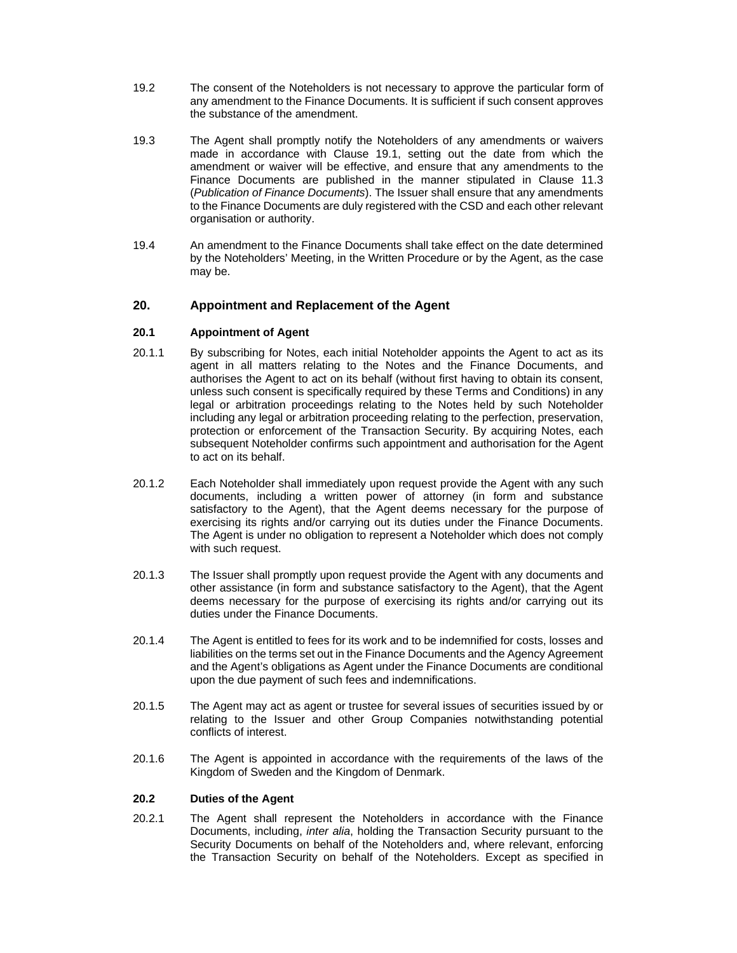- 19.2 The consent of the Noteholders is not necessary to approve the particular form of any amendment to the Finance Documents. It is sufficient if such consent approves the substance of the amendment.
- 19.3 The Agent shall promptly notify the Noteholders of any amendments or waivers made in accordance with Clause 19.1, setting out the date from which the amendment or waiver will be effective, and ensure that any amendments to the Finance Documents are published in the manner stipulated in Clause 11.3 (*Publication of Finance Documents*). The Issuer shall ensure that any amendments to the Finance Documents are duly registered with the CSD and each other relevant organisation or authority.
- 19.4 An amendment to the Finance Documents shall take effect on the date determined by the Noteholders' Meeting, in the Written Procedure or by the Agent, as the case may be.

# **20. Appointment and Replacement of the Agent**

### **20.1 Appointment of Agent**

- 20.1.1 By subscribing for Notes, each initial Noteholder appoints the Agent to act as its agent in all matters relating to the Notes and the Finance Documents, and authorises the Agent to act on its behalf (without first having to obtain its consent, unless such consent is specifically required by these Terms and Conditions) in any legal or arbitration proceedings relating to the Notes held by such Noteholder including any legal or arbitration proceeding relating to the perfection, preservation, protection or enforcement of the Transaction Security. By acquiring Notes, each subsequent Noteholder confirms such appointment and authorisation for the Agent to act on its behalf.
- 20.1.2 Each Noteholder shall immediately upon request provide the Agent with any such documents, including a written power of attorney (in form and substance satisfactory to the Agent), that the Agent deems necessary for the purpose of exercising its rights and/or carrying out its duties under the Finance Documents. The Agent is under no obligation to represent a Noteholder which does not comply with such request.
- 20.1.3 The Issuer shall promptly upon request provide the Agent with any documents and other assistance (in form and substance satisfactory to the Agent), that the Agent deems necessary for the purpose of exercising its rights and/or carrying out its duties under the Finance Documents.
- 20.1.4 The Agent is entitled to fees for its work and to be indemnified for costs, losses and liabilities on the terms set out in the Finance Documents and the Agency Agreement and the Agent's obligations as Agent under the Finance Documents are conditional upon the due payment of such fees and indemnifications.
- 20.1.5 The Agent may act as agent or trustee for several issues of securities issued by or relating to the Issuer and other Group Companies notwithstanding potential conflicts of interest.
- 20.1.6 The Agent is appointed in accordance with the requirements of the laws of the Kingdom of Sweden and the Kingdom of Denmark.

#### **20.2 Duties of the Agent**

20.2.1 The Agent shall represent the Noteholders in accordance with the Finance Documents, including, *inter alia*, holding the Transaction Security pursuant to the Security Documents on behalf of the Noteholders and, where relevant, enforcing the Transaction Security on behalf of the Noteholders. Except as specified in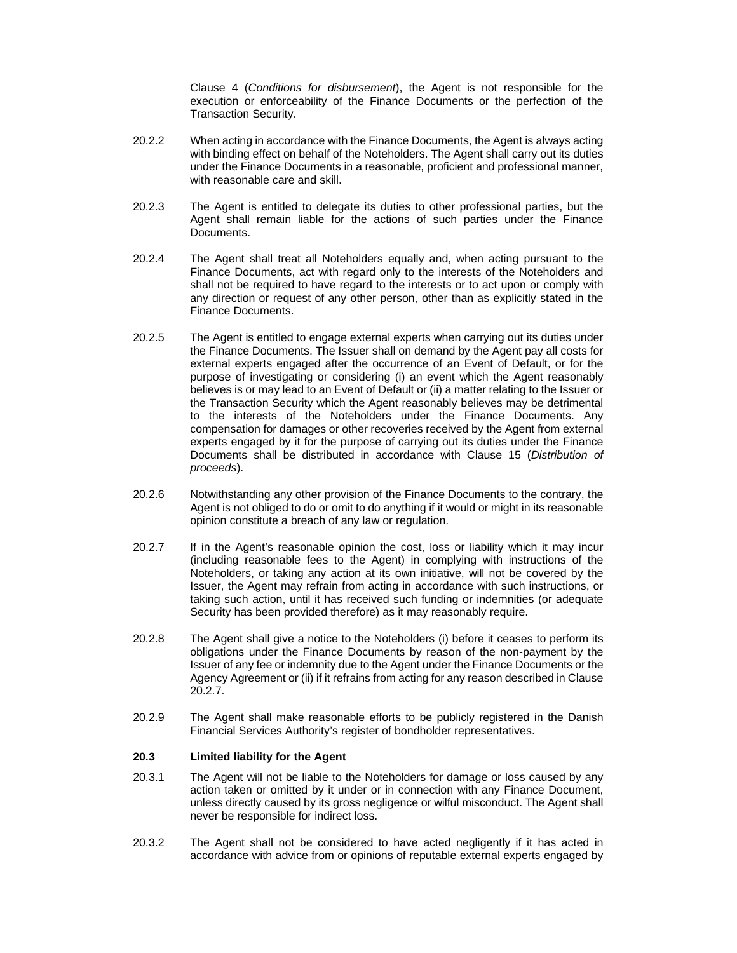Clause 4 (*Conditions for disbursement*), the Agent is not responsible for the execution or enforceability of the Finance Documents or the perfection of the Transaction Security.

- 20.2.2 When acting in accordance with the Finance Documents, the Agent is always acting with binding effect on behalf of the Noteholders. The Agent shall carry out its duties under the Finance Documents in a reasonable, proficient and professional manner, with reasonable care and skill.
- 20.2.3 The Agent is entitled to delegate its duties to other professional parties, but the Agent shall remain liable for the actions of such parties under the Finance Documents.
- 20.2.4 The Agent shall treat all Noteholders equally and, when acting pursuant to the Finance Documents, act with regard only to the interests of the Noteholders and shall not be required to have regard to the interests or to act upon or comply with any direction or request of any other person, other than as explicitly stated in the Finance Documents.
- 20.2.5 The Agent is entitled to engage external experts when carrying out its duties under the Finance Documents. The Issuer shall on demand by the Agent pay all costs for external experts engaged after the occurrence of an Event of Default, or for the purpose of investigating or considering (i) an event which the Agent reasonably believes is or may lead to an Event of Default or (ii) a matter relating to the Issuer or the Transaction Security which the Agent reasonably believes may be detrimental to the interests of the Noteholders under the Finance Documents. Any compensation for damages or other recoveries received by the Agent from external experts engaged by it for the purpose of carrying out its duties under the Finance Documents shall be distributed in accordance with Clause 15 (*Distribution of proceeds*).
- 20.2.6 Notwithstanding any other provision of the Finance Documents to the contrary, the Agent is not obliged to do or omit to do anything if it would or might in its reasonable opinion constitute a breach of any law or regulation.
- 20.2.7 If in the Agent's reasonable opinion the cost, loss or liability which it may incur (including reasonable fees to the Agent) in complying with instructions of the Noteholders, or taking any action at its own initiative, will not be covered by the Issuer, the Agent may refrain from acting in accordance with such instructions, or taking such action, until it has received such funding or indemnities (or adequate Security has been provided therefore) as it may reasonably require.
- 20.2.8 The Agent shall give a notice to the Noteholders (i) before it ceases to perform its obligations under the Finance Documents by reason of the non-payment by the Issuer of any fee or indemnity due to the Agent under the Finance Documents or the Agency Agreement or (ii) if it refrains from acting for any reason described in Clause 20.2.7.
- 20.2.9 The Agent shall make reasonable efforts to be publicly registered in the Danish Financial Services Authority's register of bondholder representatives.

#### **20.3 Limited liability for the Agent**

- 20.3.1 The Agent will not be liable to the Noteholders for damage or loss caused by any action taken or omitted by it under or in connection with any Finance Document, unless directly caused by its gross negligence or wilful misconduct. The Agent shall never be responsible for indirect loss.
- 20.3.2 The Agent shall not be considered to have acted negligently if it has acted in accordance with advice from or opinions of reputable external experts engaged by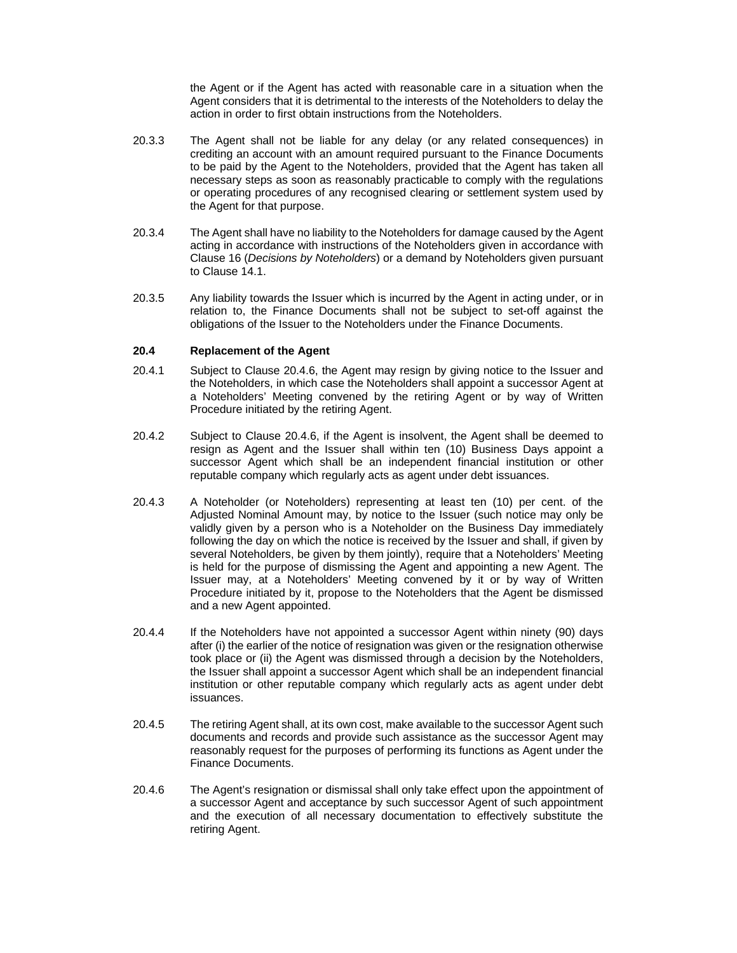the Agent or if the Agent has acted with reasonable care in a situation when the Agent considers that it is detrimental to the interests of the Noteholders to delay the action in order to first obtain instructions from the Noteholders.

- 20.3.3 The Agent shall not be liable for any delay (or any related consequences) in crediting an account with an amount required pursuant to the Finance Documents to be paid by the Agent to the Noteholders, provided that the Agent has taken all necessary steps as soon as reasonably practicable to comply with the regulations or operating procedures of any recognised clearing or settlement system used by the Agent for that purpose.
- 20.3.4 The Agent shall have no liability to the Noteholders for damage caused by the Agent acting in accordance with instructions of the Noteholders given in accordance with Clause 16 (*Decisions by Noteholders*) or a demand by Noteholders given pursuant to Clause 14.1.
- 20.3.5 Any liability towards the Issuer which is incurred by the Agent in acting under, or in relation to, the Finance Documents shall not be subject to set-off against the obligations of the Issuer to the Noteholders under the Finance Documents.

### **20.4 Replacement of the Agent**

- 20.4.1 Subject to Clause 20.4.6, the Agent may resign by giving notice to the Issuer and the Noteholders, in which case the Noteholders shall appoint a successor Agent at a Noteholders' Meeting convened by the retiring Agent or by way of Written Procedure initiated by the retiring Agent.
- 20.4.2 Subject to Clause 20.4.6, if the Agent is insolvent, the Agent shall be deemed to resign as Agent and the Issuer shall within ten (10) Business Days appoint a successor Agent which shall be an independent financial institution or other reputable company which regularly acts as agent under debt issuances.
- 20.4.3 A Noteholder (or Noteholders) representing at least ten (10) per cent. of the Adjusted Nominal Amount may, by notice to the Issuer (such notice may only be validly given by a person who is a Noteholder on the Business Day immediately following the day on which the notice is received by the Issuer and shall, if given by several Noteholders, be given by them jointly), require that a Noteholders' Meeting is held for the purpose of dismissing the Agent and appointing a new Agent. The Issuer may, at a Noteholders' Meeting convened by it or by way of Written Procedure initiated by it, propose to the Noteholders that the Agent be dismissed and a new Agent appointed.
- 20.4.4 If the Noteholders have not appointed a successor Agent within ninety (90) days after (i) the earlier of the notice of resignation was given or the resignation otherwise took place or (ii) the Agent was dismissed through a decision by the Noteholders, the Issuer shall appoint a successor Agent which shall be an independent financial institution or other reputable company which regularly acts as agent under debt issuances.
- 20.4.5 The retiring Agent shall, at its own cost, make available to the successor Agent such documents and records and provide such assistance as the successor Agent may reasonably request for the purposes of performing its functions as Agent under the Finance Documents.
- 20.4.6 The Agent's resignation or dismissal shall only take effect upon the appointment of a successor Agent and acceptance by such successor Agent of such appointment and the execution of all necessary documentation to effectively substitute the retiring Agent.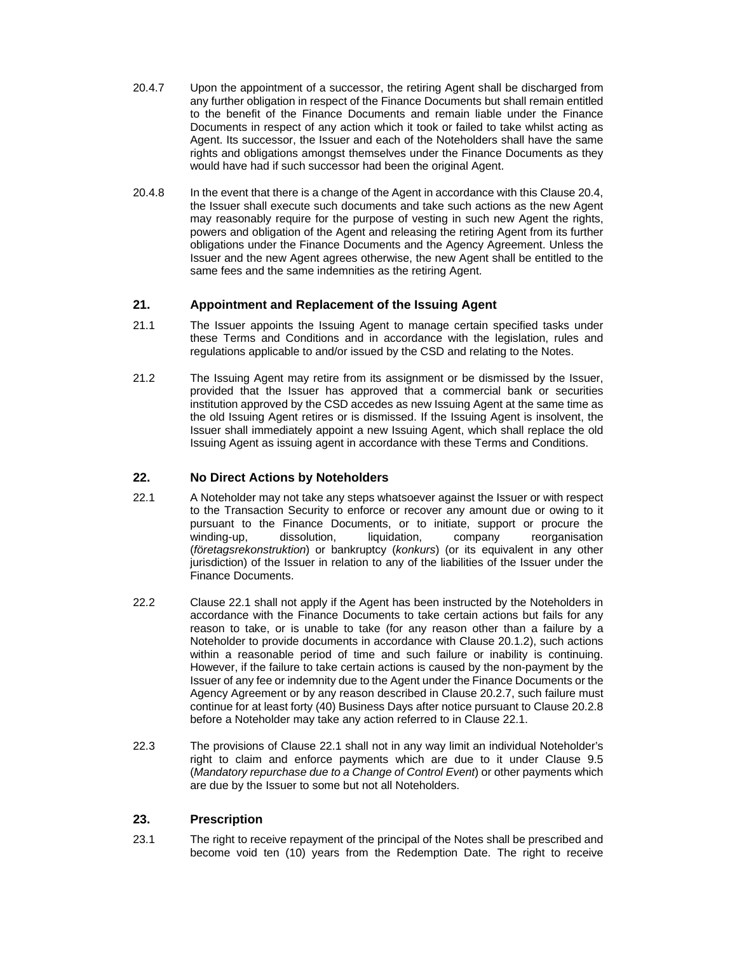- 20.4.7 Upon the appointment of a successor, the retiring Agent shall be discharged from any further obligation in respect of the Finance Documents but shall remain entitled to the benefit of the Finance Documents and remain liable under the Finance Documents in respect of any action which it took or failed to take whilst acting as Agent. Its successor, the Issuer and each of the Noteholders shall have the same rights and obligations amongst themselves under the Finance Documents as they would have had if such successor had been the original Agent.
- 20.4.8 In the event that there is a change of the Agent in accordance with this Clause 20.4, the Issuer shall execute such documents and take such actions as the new Agent may reasonably require for the purpose of vesting in such new Agent the rights, powers and obligation of the Agent and releasing the retiring Agent from its further obligations under the Finance Documents and the Agency Agreement. Unless the Issuer and the new Agent agrees otherwise, the new Agent shall be entitled to the same fees and the same indemnities as the retiring Agent.

# **21. Appointment and Replacement of the Issuing Agent**

- 21.1 The Issuer appoints the Issuing Agent to manage certain specified tasks under these Terms and Conditions and in accordance with the legislation, rules and regulations applicable to and/or issued by the CSD and relating to the Notes.
- 21.2 The Issuing Agent may retire from its assignment or be dismissed by the Issuer, provided that the Issuer has approved that a commercial bank or securities institution approved by the CSD accedes as new Issuing Agent at the same time as the old Issuing Agent retires or is dismissed. If the Issuing Agent is insolvent, the Issuer shall immediately appoint a new Issuing Agent, which shall replace the old Issuing Agent as issuing agent in accordance with these Terms and Conditions.

# **22. No Direct Actions by Noteholders**

- 22.1 A Noteholder may not take any steps whatsoever against the Issuer or with respect to the Transaction Security to enforce or recover any amount due or owing to it pursuant to the Finance Documents, or to initiate, support or procure the winding-up, dissolution, liquidation, company reorganisation (*företagsrekonstruktion*) or bankruptcy (*konkurs*) (or its equivalent in any other jurisdiction) of the Issuer in relation to any of the liabilities of the Issuer under the Finance Documents.
- 22.2 Clause 22.1 shall not apply if the Agent has been instructed by the Noteholders in accordance with the Finance Documents to take certain actions but fails for any reason to take, or is unable to take (for any reason other than a failure by a Noteholder to provide documents in accordance with Clause 20.1.2), such actions within a reasonable period of time and such failure or inability is continuing. However, if the failure to take certain actions is caused by the non-payment by the Issuer of any fee or indemnity due to the Agent under the Finance Documents or the Agency Agreement or by any reason described in Clause 20.2.7, such failure must continue for at least forty (40) Business Days after notice pursuant to Clause 20.2.8 before a Noteholder may take any action referred to in Clause 22.1.
- 22.3 The provisions of Clause 22.1 shall not in any way limit an individual Noteholder's right to claim and enforce payments which are due to it under Clause 9.5 (*Mandatory repurchase due to a Change of Control Event*) or other payments which are due by the Issuer to some but not all Noteholders.

# **23. Prescription**

23.1 The right to receive repayment of the principal of the Notes shall be prescribed and become void ten (10) years from the Redemption Date. The right to receive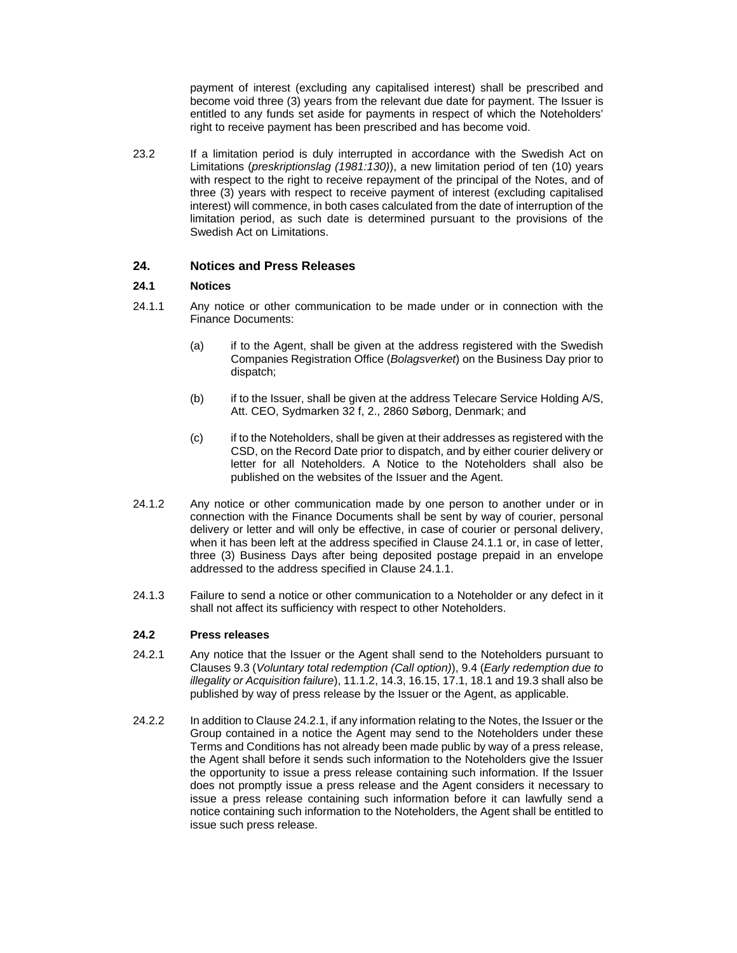payment of interest (excluding any capitalised interest) shall be prescribed and become void three (3) years from the relevant due date for payment. The Issuer is entitled to any funds set aside for payments in respect of which the Noteholders' right to receive payment has been prescribed and has become void.

23.2 If a limitation period is duly interrupted in accordance with the Swedish Act on Limitations (*preskriptionslag (1981:130)*), a new limitation period of ten (10) years with respect to the right to receive repayment of the principal of the Notes, and of three (3) years with respect to receive payment of interest (excluding capitalised interest) will commence, in both cases calculated from the date of interruption of the limitation period, as such date is determined pursuant to the provisions of the Swedish Act on Limitations.

# **24. Notices and Press Releases**

### **24.1 Notices**

- 24.1.1 Any notice or other communication to be made under or in connection with the Finance Documents:
	- (a) if to the Agent, shall be given at the address registered with the Swedish Companies Registration Office (*Bolagsverket*) on the Business Day prior to dispatch;
	- (b) if to the Issuer, shall be given at the address Telecare Service Holding A/S, Att. CEO, Sydmarken 32 f, 2., 2860 Søborg, Denmark; and
	- (c) if to the Noteholders, shall be given at their addresses as registered with the CSD, on the Record Date prior to dispatch, and by either courier delivery or letter for all Noteholders. A Notice to the Noteholders shall also be published on the websites of the Issuer and the Agent.
- 24.1.2 Any notice or other communication made by one person to another under or in connection with the Finance Documents shall be sent by way of courier, personal delivery or letter and will only be effective, in case of courier or personal delivery, when it has been left at the address specified in Clause 24.1.1 or, in case of letter, three (3) Business Days after being deposited postage prepaid in an envelope addressed to the address specified in Clause 24.1.1.
- 24.1.3 Failure to send a notice or other communication to a Noteholder or any defect in it shall not affect its sufficiency with respect to other Noteholders.

#### **24.2 Press releases**

- 24.2.1 Any notice that the Issuer or the Agent shall send to the Noteholders pursuant to Clauses 9.3 (*Voluntary total redemption (Call option)*), 9.4 (*Early redemption due to illegality or Acquisition failure*), 11.1.2, 14.3, 16.15, 17.1, 18.1 and 19.3 shall also be published by way of press release by the Issuer or the Agent, as applicable.
- 24.2.2 In addition to Clause 24.2.1, if any information relating to the Notes, the Issuer or the Group contained in a notice the Agent may send to the Noteholders under these Terms and Conditions has not already been made public by way of a press release, the Agent shall before it sends such information to the Noteholders give the Issuer the opportunity to issue a press release containing such information. If the Issuer does not promptly issue a press release and the Agent considers it necessary to issue a press release containing such information before it can lawfully send a notice containing such information to the Noteholders, the Agent shall be entitled to issue such press release.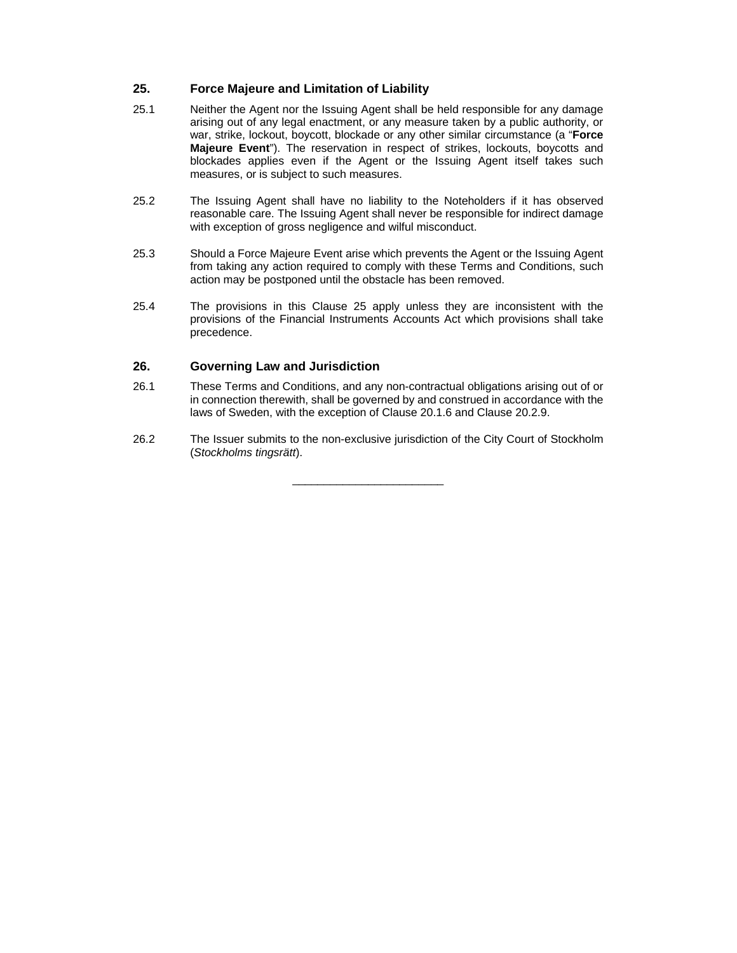# **25. Force Majeure and Limitation of Liability**

- 25.1 Neither the Agent nor the Issuing Agent shall be held responsible for any damage arising out of any legal enactment, or any measure taken by a public authority, or war, strike, lockout, boycott, blockade or any other similar circumstance (a "**Force Majeure Event**"). The reservation in respect of strikes, lockouts, boycotts and blockades applies even if the Agent or the Issuing Agent itself takes such measures, or is subject to such measures.
- 25.2 The Issuing Agent shall have no liability to the Noteholders if it has observed reasonable care. The Issuing Agent shall never be responsible for indirect damage with exception of gross negligence and wilful misconduct.
- 25.3 Should a Force Majeure Event arise which prevents the Agent or the Issuing Agent from taking any action required to comply with these Terms and Conditions, such action may be postponed until the obstacle has been removed.
- 25.4 The provisions in this Clause 25 apply unless they are inconsistent with the provisions of the Financial Instruments Accounts Act which provisions shall take precedence.

# **26. Governing Law and Jurisdiction**

- 26.1 These Terms and Conditions, and any non-contractual obligations arising out of or in connection therewith, shall be governed by and construed in accordance with the laws of Sweden, with the exception of Clause 20.1.6 and Clause 20.2.9.
- 26.2 The Issuer submits to the non-exclusive jurisdiction of the City Court of Stockholm (*Stockholms tingsrätt*).

\_\_\_\_\_\_\_\_\_\_\_\_\_\_\_\_\_\_\_\_\_\_\_\_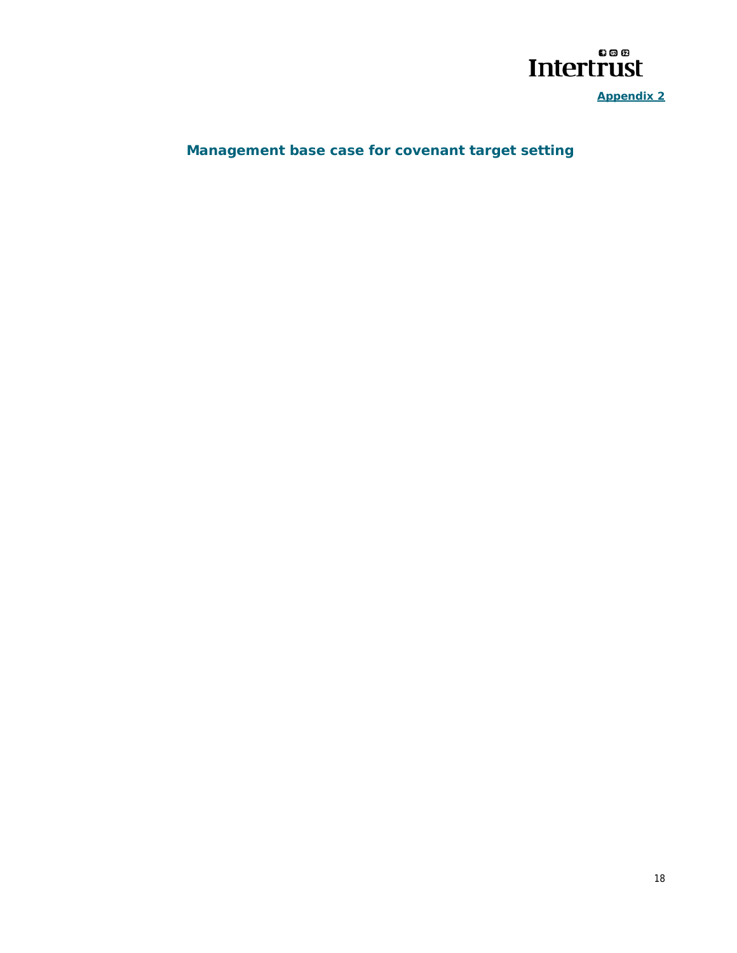

**Appendix 2** 

# **Management base case for covenant target setting**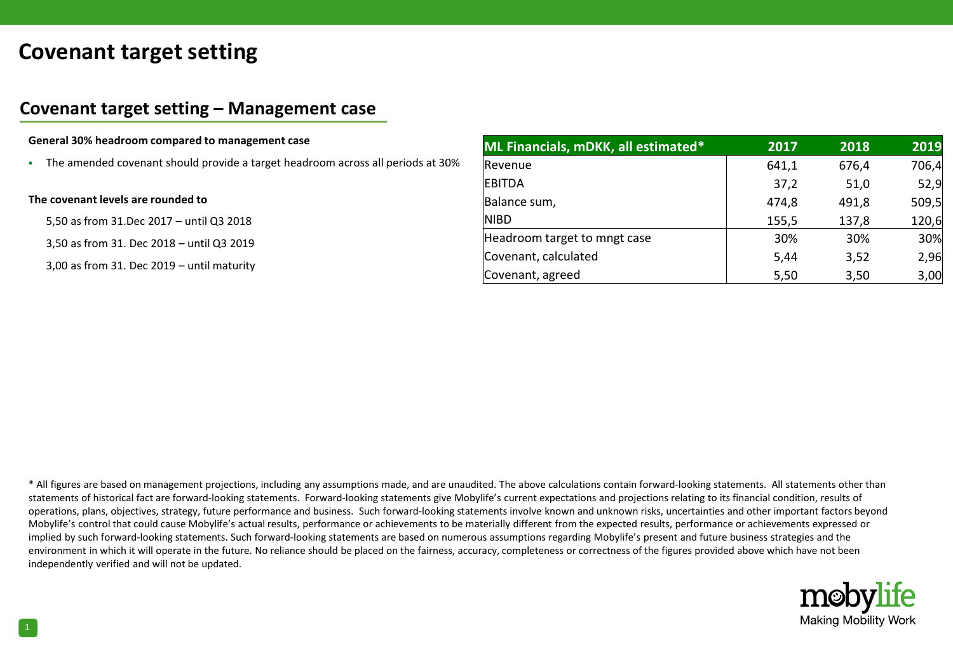# **Covenant target setting**

# **Covenant target setting – Management case**

### **General 30% headroom compared to management case**

The amended covenant should provide a target headroom across all periods at 30%

#### **The covenant levels are rounded to**

5,50 as from 31.Dec 2017 – until Q3 2018

3,50 as from 31. Dec 2018 – until Q3 2019

3,00 as from 31. Dec 2019 – until maturity

| ML Financials, mDKK, all estimated* | 2017  | 2018  | 2019  |
|-------------------------------------|-------|-------|-------|
| Revenue                             | 641,1 | 676,4 | 706,4 |
| <b>EBITDA</b>                       | 37,2  | 51,0  | 52,9  |
| Balance sum,                        | 474,8 | 491,8 | 509,5 |
| <b>NIBD</b>                         | 155,5 | 137,8 | 120,6 |
| Headroom target to mngt case        | 30%   | 30%   | 30%   |
| Covenant, calculated                | 5.44  | 3,52  | 2,96  |
| Covenant, agreed                    | 5,50  | 3,50  | 3,00  |

\* All figures are based on management projections, including any assumptions made, and are unaudited. The above calculations contain forward-looking statements. All statements other than statements of historical fact are forward-looking statements. Forward-looking statements give Mobylife's current expectations and projections relating to its financial condition, results of operations, plans, objectives, strategy, future performance and business. Such forward-looking statements involve known and unknown risks, uncertainties and other important factors beyond Mobylife's control that could cause Mobylife's actual results, performance or achievements to be materially different from the expected results, performance or achievements expressed or implied by such forward-looking statements. Such forward-looking statements are based on numerous assumptions regarding Mobylife's present and future business strategies and the environment in which it will operate in the future. No reliance should be placed on the fairness, accuracy, completeness or correctness of the figures provided above which have not been independently verified and will not be updated.

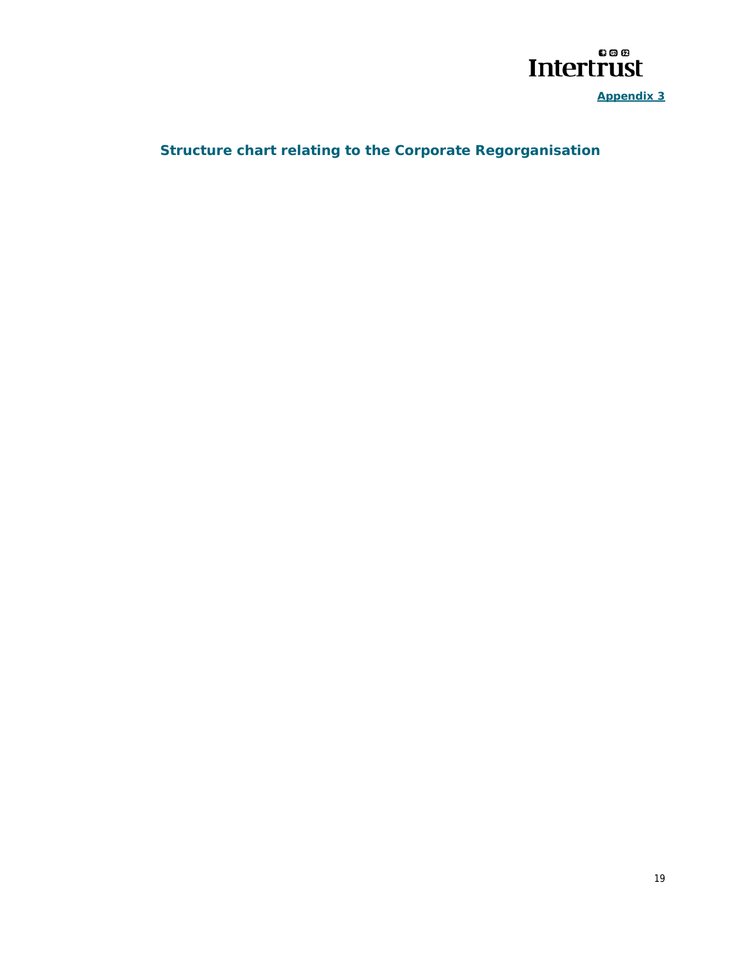

**Appendix 3** 

# **Structure chart relating to the Corporate Regorganisation**